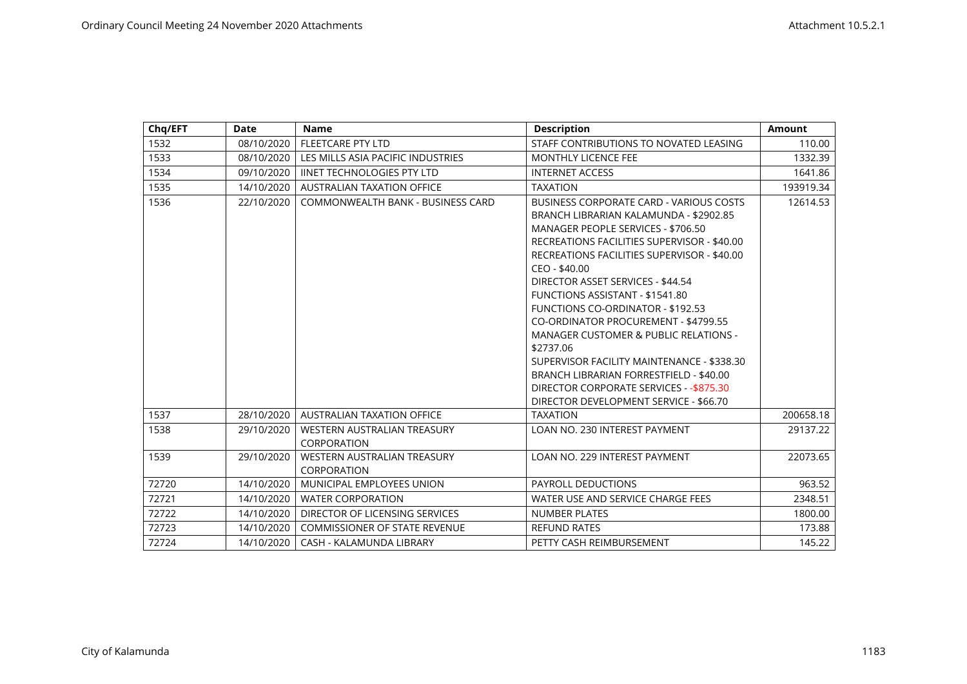| Chq/EFT | Date       | <b>Name</b>                                | <b>Description</b>                                                                                                                                                                                                                                                                                                                                                                            | <b>Amount</b> |
|---------|------------|--------------------------------------------|-----------------------------------------------------------------------------------------------------------------------------------------------------------------------------------------------------------------------------------------------------------------------------------------------------------------------------------------------------------------------------------------------|---------------|
| 1532    | 08/10/2020 | FLEETCARE PTY LTD                          | STAFF CONTRIBUTIONS TO NOVATED LEASING                                                                                                                                                                                                                                                                                                                                                        | 110.00        |
| 1533    | 08/10/2020 | LES MILLS ASIA PACIFIC INDUSTRIES          | <b>MONTHLY LICENCE FEE</b>                                                                                                                                                                                                                                                                                                                                                                    | 1332.39       |
| 1534    | 09/10/2020 | <b>IINET TECHNOLOGIES PTY LTD</b>          | <b>INTERNET ACCESS</b>                                                                                                                                                                                                                                                                                                                                                                        | 1641.86       |
| 1535    | 14/10/2020 | <b>AUSTRALIAN TAXATION OFFICE</b>          | <b>TAXATION</b>                                                                                                                                                                                                                                                                                                                                                                               | 193919.34     |
| 1536    | 22/10/2020 | COMMONWEALTH BANK - BUSINESS CARD          | BUSINESS CORPORATE CARD - VARIOUS COSTS<br>BRANCH LIBRARIAN KALAMUNDA - \$2902.85<br>MANAGER PEOPLE SERVICES - \$706.50<br>RECREATIONS FACILITIES SUPERVISOR - \$40.00<br>RECREATIONS FACILITIES SUPERVISOR - \$40.00<br>CEO - \$40.00                                                                                                                                                        | 12614.53      |
|         |            |                                            | DIRECTOR ASSET SERVICES - \$44.54<br>FUNCTIONS ASSISTANT - \$1541.80<br><b>FUNCTIONS CO-ORDINATOR - \$192.53</b><br>CO-ORDINATOR PROCUREMENT - \$4799.55<br>MANAGER CUSTOMER & PUBLIC RELATIONS -<br>\$2737.06<br>SUPERVISOR FACILITY MAINTENANCE - \$338.30<br>BRANCH LIBRARIAN FORRESTFIELD - \$40.00<br>DIRECTOR CORPORATE SERVICES - - \$875.30<br>DIRECTOR DEVELOPMENT SERVICE - \$66.70 |               |
| 1537    | 28/10/2020 | <b>AUSTRALIAN TAXATION OFFICE</b>          | <b>TAXATION</b>                                                                                                                                                                                                                                                                                                                                                                               | 200658.18     |
| 1538    | 29/10/2020 | WESTERN AUSTRALIAN TREASURY<br>CORPORATION | <b>LOAN NO. 230 INTEREST PAYMENT</b>                                                                                                                                                                                                                                                                                                                                                          | 29137.22      |
| 1539    | 29/10/2020 | WESTERN AUSTRALIAN TREASURY<br>CORPORATION | LOAN NO. 229 INTEREST PAYMENT                                                                                                                                                                                                                                                                                                                                                                 | 22073.65      |
| 72720   | 14/10/2020 | MUNICIPAL EMPLOYEES UNION                  | PAYROLL DEDUCTIONS                                                                                                                                                                                                                                                                                                                                                                            | 963.52        |
| 72721   | 14/10/2020 | <b>WATER CORPORATION</b>                   | WATER USE AND SERVICE CHARGE FEES                                                                                                                                                                                                                                                                                                                                                             | 2348.51       |
| 72722   | 14/10/2020 | DIRECTOR OF LICENSING SERVICES             | <b>NUMBER PLATES</b>                                                                                                                                                                                                                                                                                                                                                                          | 1800.00       |
| 72723   | 14/10/2020 | <b>COMMISSIONER OF STATE REVENUE</b>       | <b>REFUND RATES</b>                                                                                                                                                                                                                                                                                                                                                                           | 173.88        |
| 72724   | 14/10/2020 | CASH - KALAMUNDA LIBRARY                   | PETTY CASH REIMBURSEMENT                                                                                                                                                                                                                                                                                                                                                                      | 145.22        |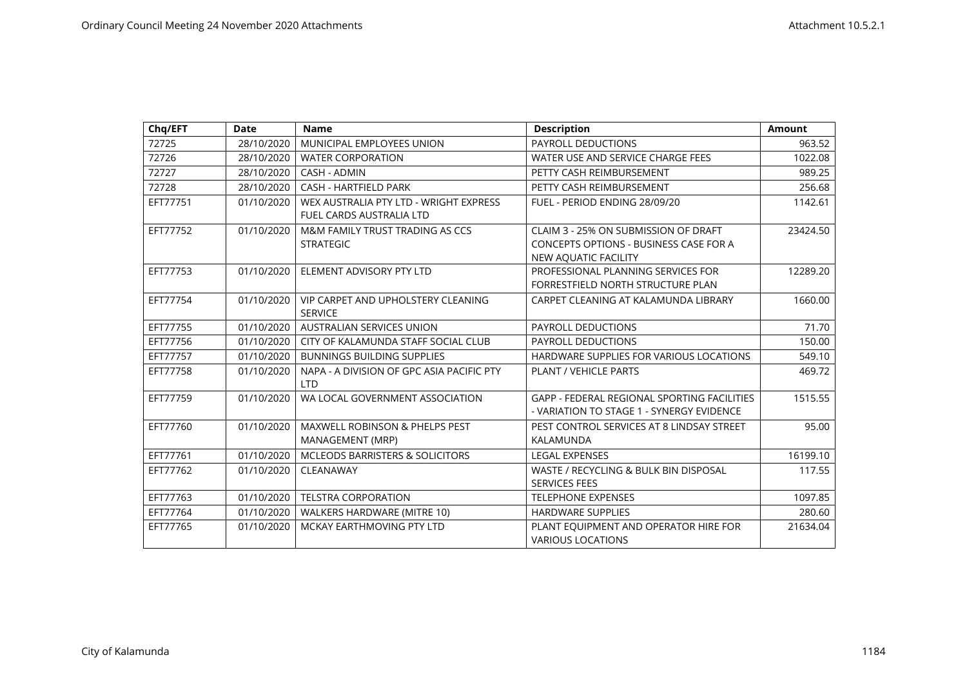| Chq/EFT  | <b>Date</b> | <b>Name</b>                                                               | <b>Description</b>                                                                                     | <b>Amount</b> |
|----------|-------------|---------------------------------------------------------------------------|--------------------------------------------------------------------------------------------------------|---------------|
| 72725    | 28/10/2020  | MUNICIPAL EMPLOYEES UNION                                                 | PAYROLL DEDUCTIONS                                                                                     | 963.52        |
| 72726    | 28/10/2020  | <b>WATER CORPORATION</b>                                                  | WATER USE AND SERVICE CHARGE FEES                                                                      | 1022.08       |
| 72727    | 28/10/2020  | CASH - ADMIN                                                              | PETTY CASH REIMBURSEMENT                                                                               | 989.25        |
| 72728    | 28/10/2020  | <b>CASH - HARTFIELD PARK</b>                                              | PETTY CASH REIMBURSEMENT                                                                               | 256.68        |
| EFT77751 | 01/10/2020  | WEX AUSTRALIA PTY LTD - WRIGHT EXPRESS<br><b>FUEL CARDS AUSTRALIA LTD</b> | FUEL - PERIOD ENDING 28/09/20                                                                          | 1142.61       |
| EFT77752 | 01/10/2020  | M&M FAMILY TRUST TRADING AS CCS<br><b>STRATEGIC</b>                       | CLAIM 3 - 25% ON SUBMISSION OF DRAFT<br>CONCEPTS OPTIONS - BUSINESS CASE FOR A<br>NEW AQUATIC FACILITY | 23424.50      |
| EFT77753 | 01/10/2020  | ELEMENT ADVISORY PTY LTD                                                  | PROFESSIONAL PLANNING SERVICES FOR<br>FORRESTFIELD NORTH STRUCTURE PLAN                                | 12289.20      |
| EFT77754 | 01/10/2020  | <b>VIP CARPET AND UPHOLSTERY CLEANING</b><br><b>SERVICE</b>               | CARPET CLEANING AT KALAMUNDA LIBRARY                                                                   | 1660.00       |
| EFT77755 | 01/10/2020  | <b>AUSTRALIAN SERVICES UNION</b>                                          | <b>PAYROLL DEDUCTIONS</b>                                                                              | 71.70         |
| EFT77756 | 01/10/2020  | CITY OF KALAMUNDA STAFF SOCIAL CLUB                                       | PAYROLL DEDUCTIONS                                                                                     | 150.00        |
| EFT77757 | 01/10/2020  | <b>BUNNINGS BUILDING SUPPLIES</b>                                         | HARDWARE SUPPLIES FOR VARIOUS LOCATIONS                                                                | 549.10        |
| EFT77758 | 01/10/2020  | NAPA - A DIVISION OF GPC ASIA PACIFIC PTY<br><b>LTD</b>                   | <b>PLANT / VEHICLE PARTS</b>                                                                           | 469.72        |
| EFT77759 | 01/10/2020  | WA LOCAL GOVERNMENT ASSOCIATION                                           | <b>GAPP - FEDERAL REGIONAL SPORTING FACILITIES</b><br>- VARIATION TO STAGE 1 - SYNERGY EVIDENCE        | 1515.55       |
| EFT77760 | 01/10/2020  | <b>MAXWELL ROBINSON &amp; PHELPS PEST</b><br>MANAGEMENT (MRP)             | PEST CONTROL SERVICES AT 8 LINDSAY STREET<br>KALAMUNDA                                                 | 95.00         |
| EFT77761 | 01/10/2020  | <b>MCLEODS BARRISTERS &amp; SOLICITORS</b>                                | <b>LEGAL EXPENSES</b>                                                                                  | 16199.10      |
| EFT77762 | 01/10/2020  | CLEANAWAY                                                                 | WASTE / RECYCLING & BULK BIN DISPOSAL<br><b>SERVICES FEES</b>                                          | 117.55        |
| EFT77763 | 01/10/2020  | <b>TELSTRA CORPORATION</b>                                                | <b>TELEPHONE EXPENSES</b>                                                                              | 1097.85       |
| EFT77764 | 01/10/2020  | WALKERS HARDWARE (MITRE 10)                                               | <b>HARDWARE SUPPLIES</b>                                                                               | 280.60        |
| EFT77765 | 01/10/2020  | MCKAY EARTHMOVING PTY LTD                                                 | PLANT EQUIPMENT AND OPERATOR HIRE FOR<br><b>VARIOUS LOCATIONS</b>                                      | 21634.04      |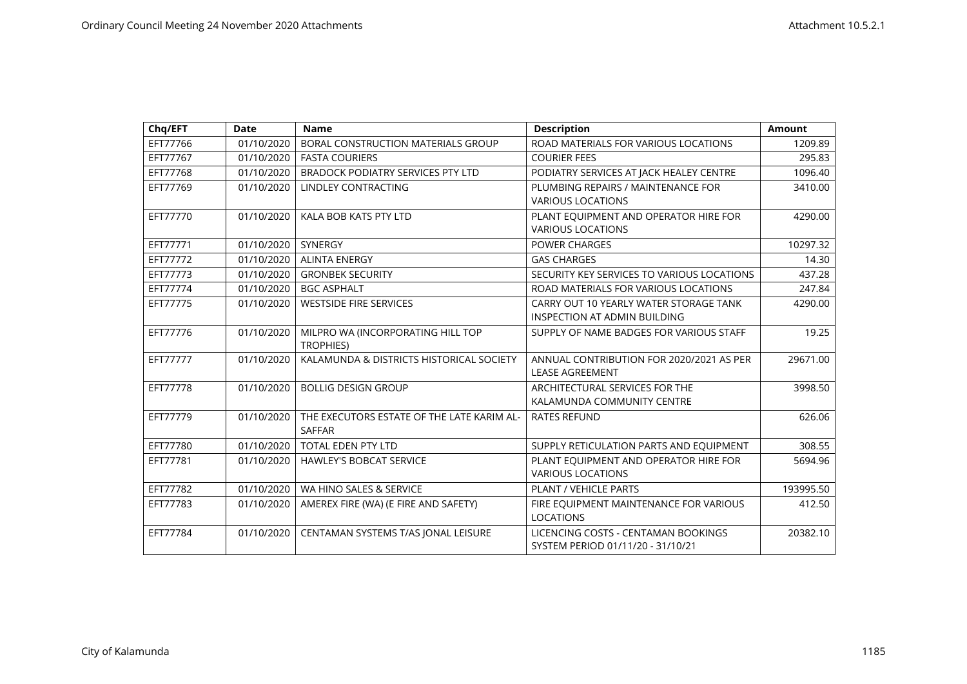| Chq/EFT  | <b>Date</b> | <b>Name</b>                                | <b>Description</b>                         | <b>Amount</b> |
|----------|-------------|--------------------------------------------|--------------------------------------------|---------------|
| EFT77766 | 01/10/2020  | BORAL CONSTRUCTION MATERIALS GROUP         | ROAD MATERIALS FOR VARIOUS LOCATIONS       | 1209.89       |
| EFT77767 | 01/10/2020  | <b>FASTA COURIERS</b>                      | <b>COURIER FEES</b>                        | 295.83        |
| EFT77768 | 01/10/2020  | BRADOCK PODIATRY SERVICES PTY LTD          | PODIATRY SERVICES AT JACK HEALEY CENTRE    | 1096.40       |
| EFT77769 | 01/10/2020  | <b>LINDLEY CONTRACTING</b>                 | PLUMBING REPAIRS / MAINTENANCE FOR         | 3410.00       |
|          |             |                                            | <b>VARIOUS LOCATIONS</b>                   |               |
| EFT77770 | 01/10/2020  | KALA BOB KATS PTY LTD                      | PLANT EQUIPMENT AND OPERATOR HIRE FOR      | 4290.00       |
|          |             |                                            | <b>VARIOUS LOCATIONS</b>                   |               |
| EFT77771 | 01/10/2020  | SYNERGY                                    | <b>POWER CHARGES</b>                       | 10297.32      |
| EFT77772 | 01/10/2020  | <b>ALINTA ENERGY</b>                       | <b>GAS CHARGES</b>                         | 14.30         |
| EFT77773 | 01/10/2020  | <b>GRONBEK SECURITY</b>                    | SECURITY KEY SERVICES TO VARIOUS LOCATIONS | 437.28        |
| EFT77774 | 01/10/2020  | <b>BGC ASPHALT</b>                         | ROAD MATERIALS FOR VARIOUS LOCATIONS       | 247.84        |
| EFT77775 | 01/10/2020  | <b>WESTSIDE FIRE SERVICES</b>              | CARRY OUT 10 YEARLY WATER STORAGE TANK     | 4290.00       |
|          |             |                                            | INSPECTION AT ADMIN BUILDING               |               |
| EFT77776 | 01/10/2020  | MILPRO WA (INCORPORATING HILL TOP          | SUPPLY OF NAME BADGES FOR VARIOUS STAFF    | 19.25         |
|          |             | <b>TROPHIES)</b>                           |                                            |               |
| EFT77777 | 01/10/2020  | KALAMUNDA & DISTRICTS HISTORICAL SOCIETY   | ANNUAL CONTRIBUTION FOR 2020/2021 AS PER   | 29671.00      |
|          |             |                                            | <b>LEASE AGREEMENT</b>                     |               |
| EFT77778 | 01/10/2020  | <b>BOLLIG DESIGN GROUP</b>                 | ARCHITECTURAL SERVICES FOR THE             | 3998.50       |
|          |             |                                            | KALAMUNDA COMMUNITY CENTRE                 |               |
| EFT77779 | 01/10/2020  | THE EXECUTORS ESTATE OF THE LATE KARIM AL- | <b>RATES REFUND</b>                        | 626.06        |
|          |             | <b>SAFFAR</b>                              |                                            |               |
| EFT77780 | 01/10/2020  | <b>TOTAL EDEN PTY LTD</b>                  | SUPPLY RETICULATION PARTS AND EQUIPMENT    | 308.55        |
| EFT77781 | 01/10/2020  | <b>HAWLEY'S BOBCAT SERVICE</b>             | PLANT EQUIPMENT AND OPERATOR HIRE FOR      | 5694.96       |
|          |             |                                            | <b>VARIOUS LOCATIONS</b>                   |               |
| EFT77782 | 01/10/2020  | WA HINO SALES & SERVICE                    | PLANT / VEHICLE PARTS                      | 193995.50     |
| EFT77783 | 01/10/2020  | AMEREX FIRE (WA) (E FIRE AND SAFETY)       | FIRE EQUIPMENT MAINTENANCE FOR VARIOUS     | 412.50        |
|          |             |                                            | <b>LOCATIONS</b>                           |               |
| EFT77784 | 01/10/2020  | CENTAMAN SYSTEMS T/AS JONAL LEISURE        | LICENCING COSTS - CENTAMAN BOOKINGS        | 20382.10      |
|          |             |                                            | SYSTEM PERIOD 01/11/20 - 31/10/21          |               |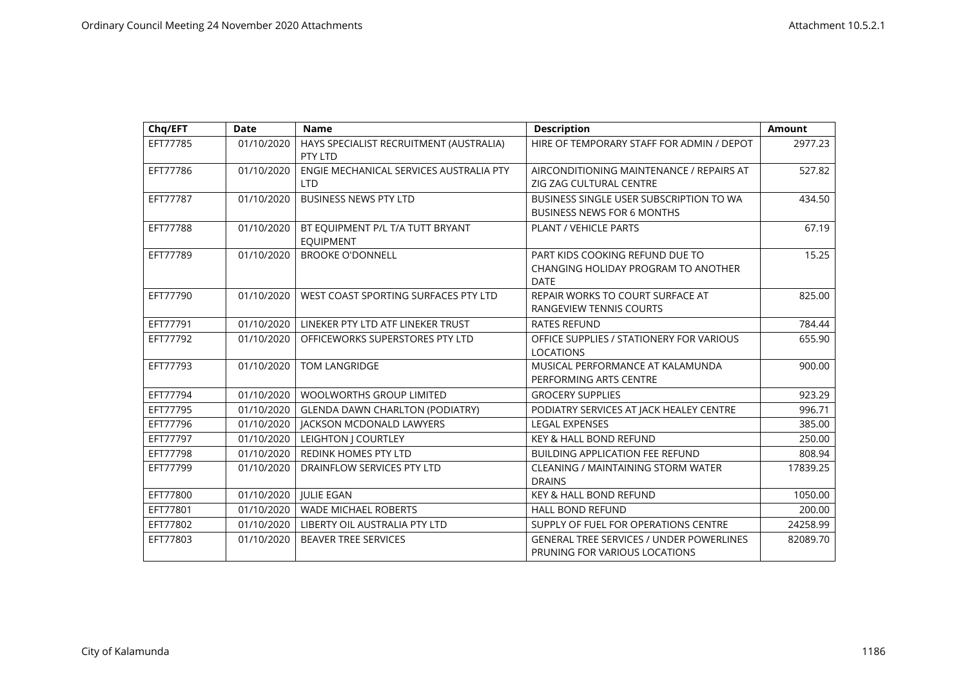| Chq/EFT  | <b>Date</b> | <b>Name</b>                                           | <b>Description</b>                                                                    | <b>Amount</b> |
|----------|-------------|-------------------------------------------------------|---------------------------------------------------------------------------------------|---------------|
| EFT77785 | 01/10/2020  | HAYS SPECIALIST RECRUITMENT (AUSTRALIA)<br>PTY LTD    | HIRE OF TEMPORARY STAFF FOR ADMIN / DEPOT                                             | 2977.23       |
| EFT77786 | 01/10/2020  | ENGIE MECHANICAL SERVICES AUSTRALIA PTY<br><b>LTD</b> | AIRCONDITIONING MAINTENANCE / REPAIRS AT<br>ZIG ZAG CULTURAL CENTRE                   | 527.82        |
| EFT77787 | 01/10/2020  | <b>BUSINESS NEWS PTY LTD</b>                          | BUSINESS SINGLE USER SUBSCRIPTION TO WA<br><b>BUSINESS NEWS FOR 6 MONTHS</b>          | 434.50        |
| EFT77788 | 01/10/2020  | BT EQUIPMENT P/L T/A TUTT BRYANT<br><b>EQUIPMENT</b>  | PLANT / VEHICLE PARTS                                                                 | 67.19         |
| EFT77789 | 01/10/2020  | <b>BROOKE O'DONNELL</b>                               | PART KIDS COOKING REFUND DUE TO<br>CHANGING HOLIDAY PROGRAM TO ANOTHER<br><b>DATE</b> | 15.25         |
| EFT77790 | 01/10/2020  | WEST COAST SPORTING SURFACES PTY LTD                  | REPAIR WORKS TO COURT SURFACE AT<br><b>RANGEVIEW TENNIS COURTS</b>                    | 825.00        |
| EFT77791 | 01/10/2020  | LINEKER PTY LTD ATF LINEKER TRUST                     | <b>RATES REFUND</b>                                                                   | 784.44        |
| EFT77792 | 01/10/2020  | OFFICEWORKS SUPERSTORES PTY LTD                       | OFFICE SUPPLIES / STATIONERY FOR VARIOUS<br><b>LOCATIONS</b>                          | 655.90        |
| EFT77793 | 01/10/2020  | <b>TOM LANGRIDGE</b>                                  | MUSICAL PERFORMANCE AT KALAMUNDA<br>PERFORMING ARTS CENTRE                            | 900.00        |
| EFT77794 | 01/10/2020  | WOOLWORTHS GROUP LIMITED                              | <b>GROCERY SUPPLIES</b>                                                               | 923.29        |
| EFT77795 | 01/10/2020  | <b>GLENDA DAWN CHARLTON (PODIATRY)</b>                | PODIATRY SERVICES AT JACK HEALEY CENTRE                                               | 996.71        |
| EFT77796 | 01/10/2020  | <b>JACKSON MCDONALD LAWYERS</b>                       | <b>LEGAL EXPENSES</b>                                                                 | 385.00        |
| EFT77797 | 01/10/2020  | LEIGHTON J COURTLEY                                   | <b>KEY &amp; HALL BOND REFUND</b>                                                     | 250.00        |
| EFT77798 | 01/10/2020  | REDINK HOMES PTY LTD                                  | <b>BUILDING APPLICATION FEE REFUND</b>                                                | 808.94        |
| EFT77799 | 01/10/2020  | DRAINFLOW SERVICES PTY LTD                            | <b>CLEANING / MAINTAINING STORM WATER</b><br><b>DRAINS</b>                            | 17839.25      |
| EFT77800 | 01/10/2020  | <b>JULIE EGAN</b>                                     | <b>KEY &amp; HALL BOND REFUND</b>                                                     | 1050.00       |
| EFT77801 | 01/10/2020  | <b>WADE MICHAEL ROBERTS</b>                           | <b>HALL BOND REFUND</b>                                                               | 200.00        |
| EFT77802 | 01/10/2020  | LIBERTY OIL AUSTRALIA PTY LTD                         | SUPPLY OF FUEL FOR OPERATIONS CENTRE                                                  | 24258.99      |
| EFT77803 | 01/10/2020  | <b>BEAVER TREE SERVICES</b>                           | <b>GENERAL TREE SERVICES / UNDER POWERLINES</b><br>PRUNING FOR VARIOUS LOCATIONS      | 82089.70      |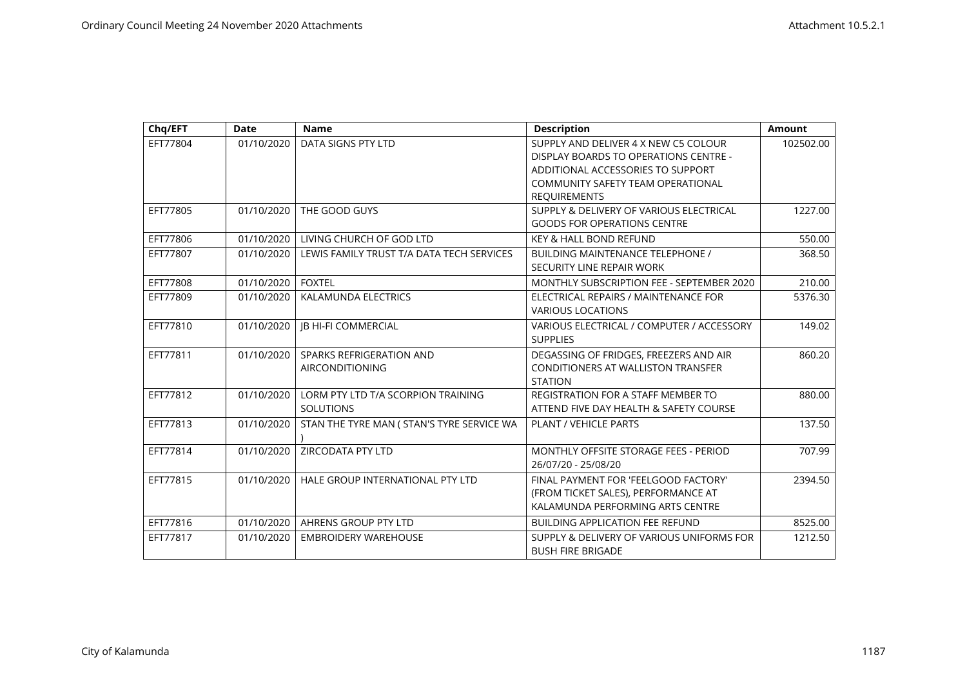| Chq/EFT  | <b>Date</b> | <b>Name</b>                                | <b>Description</b>                        | Amount    |
|----------|-------------|--------------------------------------------|-------------------------------------------|-----------|
| EFT77804 | 01/10/2020  | DATA SIGNS PTY LTD                         | SUPPLY AND DELIVER 4 X NEW C5 COLOUR      | 102502.00 |
|          |             |                                            | DISPLAY BOARDS TO OPERATIONS CENTRE -     |           |
|          |             |                                            | ADDITIONAL ACCESSORIES TO SUPPORT         |           |
|          |             |                                            | COMMUNITY SAFETY TEAM OPERATIONAL         |           |
|          |             |                                            | <b>REQUIREMENTS</b>                       |           |
| EFT77805 | 01/10/2020  | THE GOOD GUYS                              | SUPPLY & DELIVERY OF VARIOUS ELECTRICAL   | 1227.00   |
|          |             |                                            | <b>GOODS FOR OPERATIONS CENTRE</b>        |           |
| EFT77806 | 01/10/2020  | LIVING CHURCH OF GOD LTD                   | <b>KEY &amp; HALL BOND REFUND</b>         | 550.00    |
| EFT77807 | 01/10/2020  | LEWIS FAMILY TRUST T/A DATA TECH SERVICES  | <b>BUILDING MAINTENANCE TELEPHONE /</b>   | 368.50    |
|          |             |                                            | SECURITY LINE REPAIR WORK                 |           |
| EFT77808 | 01/10/2020  | <b>FOXTEL</b>                              | MONTHLY SUBSCRIPTION FEE - SEPTEMBER 2020 | 210.00    |
| EFT77809 | 01/10/2020  | KALAMUNDA ELECTRICS                        | ELECTRICAL REPAIRS / MAINTENANCE FOR      | 5376.30   |
|          |             |                                            | <b>VARIOUS LOCATIONS</b>                  |           |
| EFT77810 | 01/10/2020  | <b>JB HI-FI COMMERCIAL</b>                 | VARIOUS ELECTRICAL / COMPUTER / ACCESSORY | 149.02    |
|          |             |                                            | <b>SUPPLIES</b>                           |           |
| EFT77811 | 01/10/2020  | SPARKS REFRIGERATION AND                   | DEGASSING OF FRIDGES, FREEZERS AND AIR    | 860.20    |
|          |             | <b>AIRCONDITIONING</b>                     | CONDITIONERS AT WALLISTON TRANSFER        |           |
|          |             |                                            | <b>STATION</b>                            |           |
| EFT77812 | 01/10/2020  | LORM PTY LTD T/A SCORPION TRAINING         | REGISTRATION FOR A STAFF MEMBER TO        | 880.00    |
|          |             | <b>SOLUTIONS</b>                           | ATTEND FIVE DAY HEALTH & SAFETY COURSE    |           |
| EFT77813 | 01/10/2020  | STAN THE TYRE MAN ( STAN'S TYRE SERVICE WA | <b>PLANT / VEHICLE PARTS</b>              | 137.50    |
|          |             |                                            |                                           |           |
| EFT77814 | 01/10/2020  | <b>ZIRCODATA PTY LTD</b>                   | MONTHLY OFFSITE STORAGE FEES - PERIOD     | 707.99    |
|          |             |                                            | 26/07/20 - 25/08/20                       |           |
| EFT77815 | 01/10/2020  | HALE GROUP INTERNATIONAL PTY LTD           | FINAL PAYMENT FOR 'FEELGOOD FACTORY'      | 2394.50   |
|          |             |                                            | (FROM TICKET SALES), PERFORMANCE AT       |           |
|          |             |                                            | KALAMUNDA PERFORMING ARTS CENTRE          |           |
| EFT77816 | 01/10/2020  | AHRENS GROUP PTY LTD                       | <b>BUILDING APPLICATION FEE REFUND</b>    | 8525.00   |
| EFT77817 | 01/10/2020  | <b>EMBROIDERY WAREHOUSE</b>                | SUPPLY & DELIVERY OF VARIOUS UNIFORMS FOR | 1212.50   |
|          |             |                                            | <b>BUSH FIRE BRIGADE</b>                  |           |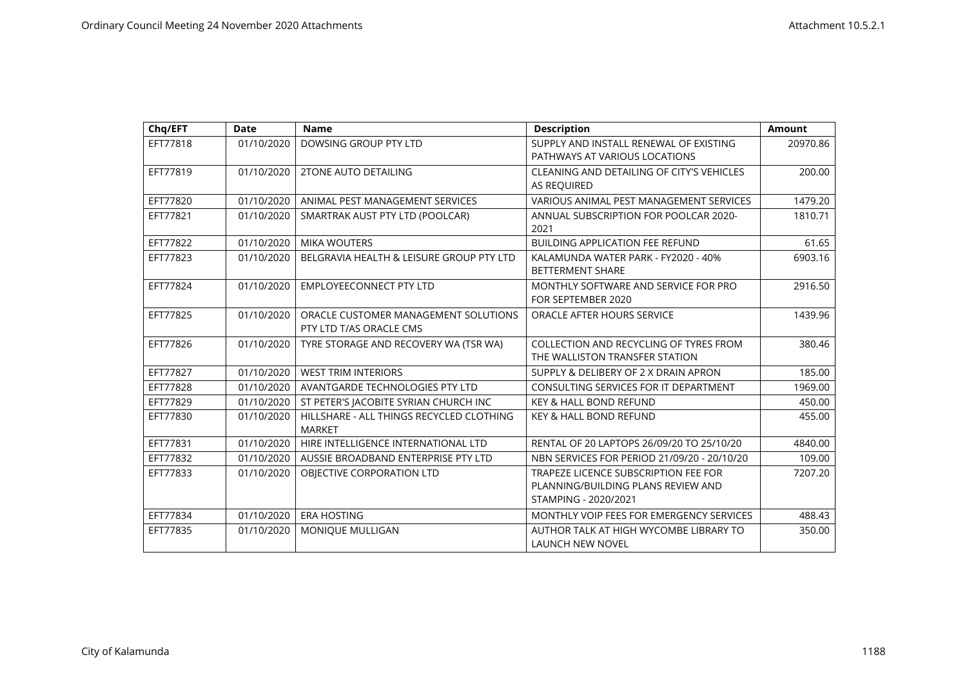| Chq/EFT  | <b>Date</b> | <b>Name</b>                                                     | <b>Description</b>                                                                                 | <b>Amount</b> |
|----------|-------------|-----------------------------------------------------------------|----------------------------------------------------------------------------------------------------|---------------|
| EFT77818 | 01/10/2020  | DOWSING GROUP PTY LTD                                           | SUPPLY AND INSTALL RENEWAL OF EXISTING<br>PATHWAYS AT VARIOUS LOCATIONS                            | 20970.86      |
| EFT77819 | 01/10/2020  | <b>2TONE AUTO DETAILING</b>                                     | CLEANING AND DETAILING OF CITY'S VEHICLES<br>AS REQUIRED                                           | 200.00        |
| EFT77820 | 01/10/2020  | ANIMAL PEST MANAGEMENT SERVICES                                 | VARIOUS ANIMAL PEST MANAGEMENT SERVICES                                                            | 1479.20       |
| EFT77821 | 01/10/2020  | SMARTRAK AUST PTY LTD (POOLCAR)                                 | ANNUAL SUBSCRIPTION FOR POOLCAR 2020-<br>2021                                                      | 1810.71       |
| EFT77822 | 01/10/2020  | <b>MIKA WOUTERS</b>                                             | <b>BUILDING APPLICATION FEE REFUND</b>                                                             | 61.65         |
| EFT77823 | 01/10/2020  | BELGRAVIA HEALTH & LEISURE GROUP PTY LTD                        | KALAMUNDA WATER PARK - FY2020 - 40%<br><b>BETTERMENT SHARE</b>                                     | 6903.16       |
| EFT77824 | 01/10/2020  | <b>EMPLOYEECONNECT PTY LTD</b>                                  | MONTHLY SOFTWARE AND SERVICE FOR PRO<br>FOR SEPTEMBER 2020                                         | 2916.50       |
| EFT77825 | 01/10/2020  | ORACLE CUSTOMER MANAGEMENT SOLUTIONS<br>PTY LTD T/AS ORACLE CMS | ORACLE AFTER HOURS SERVICE                                                                         | 1439.96       |
| EFT77826 | 01/10/2020  | TYRE STORAGE AND RECOVERY WA (TSR WA)                           | COLLECTION AND RECYCLING OF TYRES FROM<br>THE WALLISTON TRANSFER STATION                           | 380.46        |
| EFT77827 | 01/10/2020  | <b>WEST TRIM INTERIORS</b>                                      | SUPPLY & DELIBERY OF 2 X DRAIN APRON                                                               | 185.00        |
| EFT77828 | 01/10/2020  | AVANTGARDE TECHNOLOGIES PTY LTD                                 | CONSULTING SERVICES FOR IT DEPARTMENT                                                              | 1969.00       |
| EFT77829 | 01/10/2020  | ST PETER'S JACOBITE SYRIAN CHURCH INC                           | <b>KEY &amp; HALL BOND REFUND</b>                                                                  | 450.00        |
| EFT77830 | 01/10/2020  | HILLSHARE - ALL THINGS RECYCLED CLOTHING<br><b>MARKET</b>       | <b>KEY &amp; HALL BOND REFUND</b>                                                                  | 455.00        |
| EFT77831 | 01/10/2020  | HIRE INTELLIGENCE INTERNATIONAL LTD                             | RENTAL OF 20 LAPTOPS 26/09/20 TO 25/10/20                                                          | 4840.00       |
| EFT77832 | 01/10/2020  | AUSSIE BROADBAND ENTERPRISE PTY LTD                             | NBN SERVICES FOR PERIOD 21/09/20 - 20/10/20                                                        | 109.00        |
| EFT77833 | 01/10/2020  | OBJECTIVE CORPORATION LTD                                       | TRAPEZE LICENCE SUBSCRIPTION FEE FOR<br>PLANNING/BUILDING PLANS REVIEW AND<br>STAMPING - 2020/2021 | 7207.20       |
| EFT77834 | 01/10/2020  | <b>ERA HOSTING</b>                                              | MONTHLY VOIP FEES FOR EMERGENCY SERVICES                                                           | 488.43        |
| EFT77835 | 01/10/2020  | MONIQUE MULLIGAN                                                | AUTHOR TALK AT HIGH WYCOMBE LIBRARY TO<br><b>LAUNCH NEW NOVEL</b>                                  | 350.00        |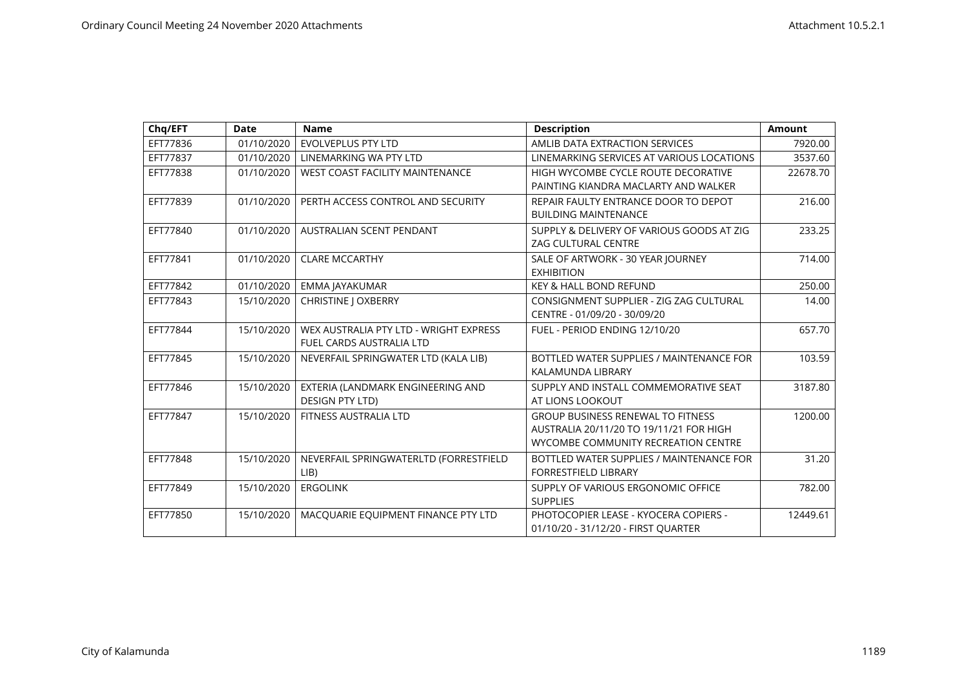| Chq/EFT  | <b>Date</b> | <b>Name</b>                                                               | <b>Description</b>                                                                                                         | <b>Amount</b> |
|----------|-------------|---------------------------------------------------------------------------|----------------------------------------------------------------------------------------------------------------------------|---------------|
| EFT77836 | 01/10/2020  | <b>EVOLVEPLUS PTY LTD</b>                                                 | AMLIB DATA EXTRACTION SERVICES                                                                                             | 7920.00       |
| EFT77837 | 01/10/2020  | LINEMARKING WA PTY LTD                                                    | LINEMARKING SERVICES AT VARIOUS LOCATIONS                                                                                  | 3537.60       |
| EFT77838 | 01/10/2020  | <b>WEST COAST FACILITY MAINTENANCE</b>                                    | HIGH WYCOMBE CYCLE ROUTE DECORATIVE<br>PAINTING KIANDRA MACLARTY AND WALKER                                                | 22678.70      |
| EFT77839 | 01/10/2020  | PERTH ACCESS CONTROL AND SECURITY                                         | REPAIR FAULTY ENTRANCE DOOR TO DEPOT<br><b>BUILDING MAINTENANCE</b>                                                        | 216.00        |
| EFT77840 | 01/10/2020  | AUSTRALIAN SCENT PENDANT                                                  | SUPPLY & DELIVERY OF VARIOUS GOODS AT ZIG<br>ZAG CULTURAL CENTRE                                                           | 233.25        |
| EFT77841 | 01/10/2020  | <b>CLARE MCCARTHY</b>                                                     | SALE OF ARTWORK - 30 YEAR JOURNEY<br><b>EXHIBITION</b>                                                                     | 714.00        |
| EFT77842 | 01/10/2020  | EMMA JAYAKUMAR                                                            | KEY & HALL BOND REFUND                                                                                                     | 250.00        |
| EFT77843 | 15/10/2020  | <b>CHRISTINE   OXBERRY</b>                                                | CONSIGNMENT SUPPLIER - ZIG ZAG CULTURAL<br>CENTRE - 01/09/20 - 30/09/20                                                    | 14.00         |
| EFT77844 | 15/10/2020  | WEX AUSTRALIA PTY LTD - WRIGHT EXPRESS<br><b>FUEL CARDS AUSTRALIA LTD</b> | FUEL - PERIOD ENDING 12/10/20                                                                                              | 657.70        |
| EFT77845 | 15/10/2020  | NEVERFAIL SPRINGWATER LTD (KALA LIB)                                      | BOTTLED WATER SUPPLIES / MAINTENANCE FOR<br>KALAMUNDA LIBRARY                                                              | 103.59        |
| EFT77846 | 15/10/2020  | EXTERIA (LANDMARK ENGINEERING AND<br><b>DESIGN PTY LTD)</b>               | SUPPLY AND INSTALL COMMEMORATIVE SEAT<br>AT LIONS LOOKOUT                                                                  | 3187.80       |
| EFT77847 | 15/10/2020  | FITNESS AUSTRALIA LTD                                                     | <b>GROUP BUSINESS RENEWAL TO FITNESS</b><br>AUSTRALIA 20/11/20 TO 19/11/21 FOR HIGH<br>WYCOMBE COMMUNITY RECREATION CENTRE | 1200.00       |
| EFT77848 | 15/10/2020  | NEVERFAIL SPRINGWATERLTD (FORRESTFIELD<br>LIB)                            | BOTTLED WATER SUPPLIES / MAINTENANCE FOR<br><b>FORRESTFIELD LIBRARY</b>                                                    | 31.20         |
| EFT77849 | 15/10/2020  | <b>ERGOLINK</b>                                                           | SUPPLY OF VARIOUS ERGONOMIC OFFICE<br><b>SUPPLIES</b>                                                                      | 782.00        |
| EFT77850 | 15/10/2020  | MACQUARIE EQUIPMENT FINANCE PTY LTD                                       | PHOTOCOPIER LEASE - KYOCERA COPIERS -<br>01/10/20 - 31/12/20 - FIRST OUARTER                                               | 12449.61      |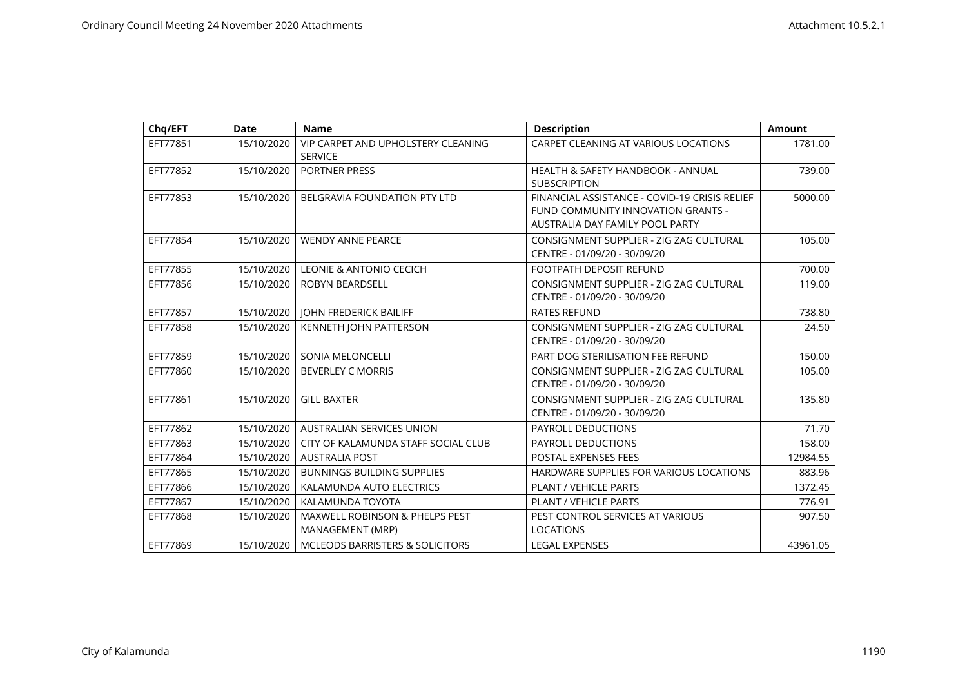| Chq/EFT  | <b>Date</b> | <b>Name</b>                                                   | <b>Description</b>                                                                                                     | <b>Amount</b> |
|----------|-------------|---------------------------------------------------------------|------------------------------------------------------------------------------------------------------------------------|---------------|
| EFT77851 | 15/10/2020  | VIP CARPET AND UPHOLSTERY CLEANING<br><b>SERVICE</b>          | CARPET CLEANING AT VARIOUS LOCATIONS                                                                                   | 1781.00       |
| EFT77852 | 15/10/2020  | <b>PORTNER PRESS</b>                                          | <b>HEALTH &amp; SAFETY HANDBOOK - ANNUAL</b><br><b>SUBSCRIPTION</b>                                                    | 739.00        |
| EFT77853 | 15/10/2020  | <b>BELGRAVIA FOUNDATION PTY LTD</b>                           | FINANCIAL ASSISTANCE - COVID-19 CRISIS RELIEF<br>FUND COMMUNITY INNOVATION GRANTS -<br>AUSTRALIA DAY FAMILY POOL PARTY | 5000.00       |
| EFT77854 | 15/10/2020  | <b>WENDY ANNE PEARCE</b>                                      | CONSIGNMENT SUPPLIER - ZIG ZAG CULTURAL<br>CENTRE - 01/09/20 - 30/09/20                                                | 105.00        |
| EFT77855 | 15/10/2020  | LEONIE & ANTONIO CECICH                                       | <b>FOOTPATH DEPOSIT REFUND</b>                                                                                         | 700.00        |
| EFT77856 | 15/10/2020  | <b>ROBYN BEARDSELL</b>                                        | CONSIGNMENT SUPPLIER - ZIG ZAG CULTURAL<br>CENTRE - 01/09/20 - 30/09/20                                                | 119.00        |
| EFT77857 | 15/10/2020  | <b>JOHN FREDERICK BAILIFF</b>                                 | <b>RATES REFUND</b>                                                                                                    | 738.80        |
| EFT77858 | 15/10/2020  | KENNETH JOHN PATTERSON                                        | CONSIGNMENT SUPPLIER - ZIG ZAG CULTURAL<br>CENTRE - 01/09/20 - 30/09/20                                                | 24.50         |
| EFT77859 | 15/10/2020  | <b>SONIA MELONCELLI</b>                                       | PART DOG STERILISATION FEE REFUND                                                                                      | 150.00        |
| EFT77860 | 15/10/2020  | <b>BEVERLEY C MORRIS</b>                                      | CONSIGNMENT SUPPLIER - ZIG ZAG CULTURAL<br>CENTRE - 01/09/20 - 30/09/20                                                | 105.00        |
| EFT77861 | 15/10/2020  | <b>GILL BAXTER</b>                                            | CONSIGNMENT SUPPLIER - ZIG ZAG CULTURAL<br>CENTRE - 01/09/20 - 30/09/20                                                | 135.80        |
| EFT77862 | 15/10/2020  | <b>AUSTRALIAN SERVICES UNION</b>                              | <b>PAYROLL DEDUCTIONS</b>                                                                                              | 71.70         |
| EFT77863 | 15/10/2020  | CITY OF KALAMUNDA STAFF SOCIAL CLUB                           | <b>PAYROLL DEDUCTIONS</b>                                                                                              | 158.00        |
| EFT77864 | 15/10/2020  | <b>AUSTRALIA POST</b>                                         | <b>POSTAL EXPENSES FEES</b>                                                                                            | 12984.55      |
| EFT77865 | 15/10/2020  | <b>BUNNINGS BUILDING SUPPLIES</b>                             | HARDWARE SUPPLIES FOR VARIOUS LOCATIONS                                                                                | 883.96        |
| EFT77866 | 15/10/2020  | KALAMUNDA AUTO ELECTRICS                                      | PLANT / VEHICLE PARTS                                                                                                  | 1372.45       |
| EFT77867 | 15/10/2020  | KALAMUNDA TOYOTA                                              | <b>PLANT / VEHICLE PARTS</b>                                                                                           | 776.91        |
| EFT77868 | 15/10/2020  | <b>MAXWELL ROBINSON &amp; PHELPS PEST</b><br>MANAGEMENT (MRP) | PEST CONTROL SERVICES AT VARIOUS<br><b>LOCATIONS</b>                                                                   | 907.50        |
| EFT77869 | 15/10/2020  | <b>MCLEODS BARRISTERS &amp; SOLICITORS</b>                    | <b>LEGAL EXPENSES</b>                                                                                                  | 43961.05      |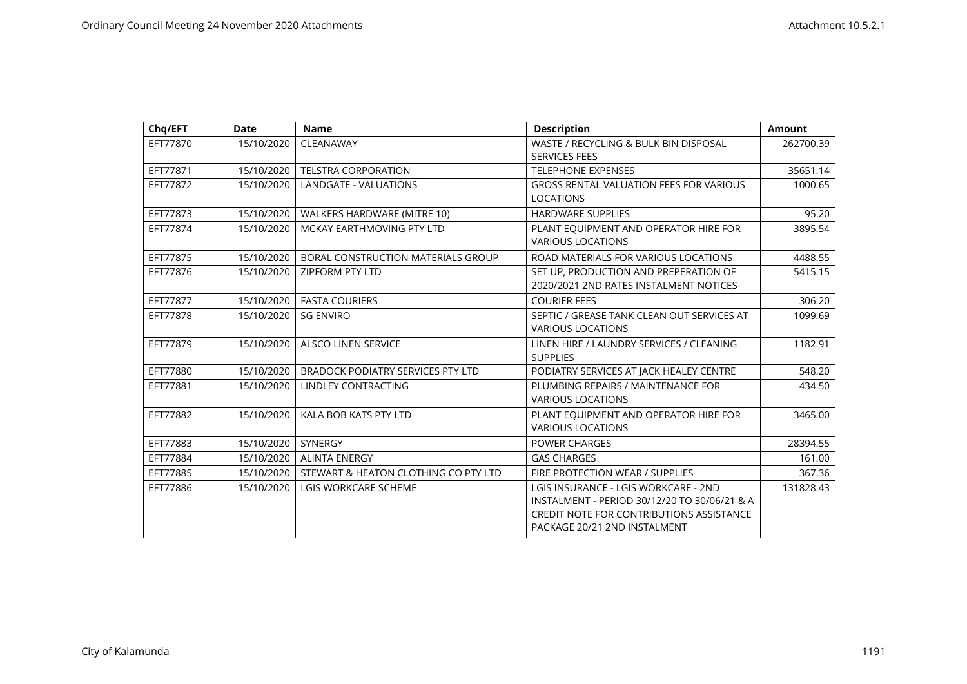| Chq/EFT  | <b>Date</b> | <b>Name</b>                              | <b>Description</b>                                                                                                                                                      | Amount    |
|----------|-------------|------------------------------------------|-------------------------------------------------------------------------------------------------------------------------------------------------------------------------|-----------|
| EFT77870 | 15/10/2020  | CLEANAWAY                                | WASTE / RECYCLING & BULK BIN DISPOSAL<br><b>SERVICES FEES</b>                                                                                                           | 262700.39 |
| EFT77871 | 15/10/2020  | <b>TELSTRA CORPORATION</b>               | <b>TELEPHONE EXPENSES</b>                                                                                                                                               | 35651.14  |
| EFT77872 | 15/10/2020  | <b>LANDGATE - VALUATIONS</b>             | <b>GROSS RENTAL VALUATION FEES FOR VARIOUS</b><br><b>LOCATIONS</b>                                                                                                      | 1000.65   |
| EFT77873 | 15/10/2020  | WALKERS HARDWARE (MITRE 10)              | <b>HARDWARE SUPPLIES</b>                                                                                                                                                | 95.20     |
| EFT77874 | 15/10/2020  | MCKAY EARTHMOVING PTY LTD                | PLANT EQUIPMENT AND OPERATOR HIRE FOR<br><b>VARIOUS LOCATIONS</b>                                                                                                       | 3895.54   |
| EFT77875 | 15/10/2020  | BORAL CONSTRUCTION MATERIALS GROUP       | ROAD MATERIALS FOR VARIOUS LOCATIONS                                                                                                                                    | 4488.55   |
| EFT77876 | 15/10/2020  | <b>ZIPFORM PTY LTD</b>                   | SET UP, PRODUCTION AND PREPERATION OF<br>2020/2021 2ND RATES INSTALMENT NOTICES                                                                                         | 5415.15   |
| EFT77877 | 15/10/2020  | <b>FASTA COURIERS</b>                    | <b>COURIER FEES</b>                                                                                                                                                     | 306.20    |
| EFT77878 | 15/10/2020  | <b>SG ENVIRO</b>                         | SEPTIC / GREASE TANK CLEAN OUT SERVICES AT<br><b>VARIOUS LOCATIONS</b>                                                                                                  | 1099.69   |
| EFT77879 | 15/10/2020  | <b>ALSCO LINEN SERVICE</b>               | LINEN HIRE / LAUNDRY SERVICES / CLEANING<br><b>SUPPLIES</b>                                                                                                             | 1182.91   |
| EFT77880 | 15/10/2020  | <b>BRADOCK PODIATRY SERVICES PTY LTD</b> | PODIATRY SERVICES AT JACK HEALEY CENTRE                                                                                                                                 | 548.20    |
| EFT77881 | 15/10/2020  | LINDLEY CONTRACTING                      | PLUMBING REPAIRS / MAINTENANCE FOR<br><b>VARIOUS LOCATIONS</b>                                                                                                          | 434.50    |
| EFT77882 | 15/10/2020  | KALA BOB KATS PTY LTD                    | PLANT EQUIPMENT AND OPERATOR HIRE FOR<br><b>VARIOUS LOCATIONS</b>                                                                                                       | 3465.00   |
| EFT77883 | 15/10/2020  | <b>SYNERGY</b>                           | <b>POWER CHARGES</b>                                                                                                                                                    | 28394.55  |
| EFT77884 | 15/10/2020  | <b>ALINTA ENERGY</b>                     | <b>GAS CHARGES</b>                                                                                                                                                      | 161.00    |
| EFT77885 | 15/10/2020  | STEWART & HEATON CLOTHING CO PTY LTD     | FIRE PROTECTION WEAR / SUPPLIES                                                                                                                                         | 367.36    |
| EFT77886 | 15/10/2020  | <b>LGIS WORKCARE SCHEME</b>              | LGIS INSURANCE - LGIS WORKCARE - 2ND<br>INSTALMENT - PERIOD 30/12/20 TO 30/06/21 & A<br><b>CREDIT NOTE FOR CONTRIBUTIONS ASSISTANCE</b><br>PACKAGE 20/21 2ND INSTALMENT | 131828.43 |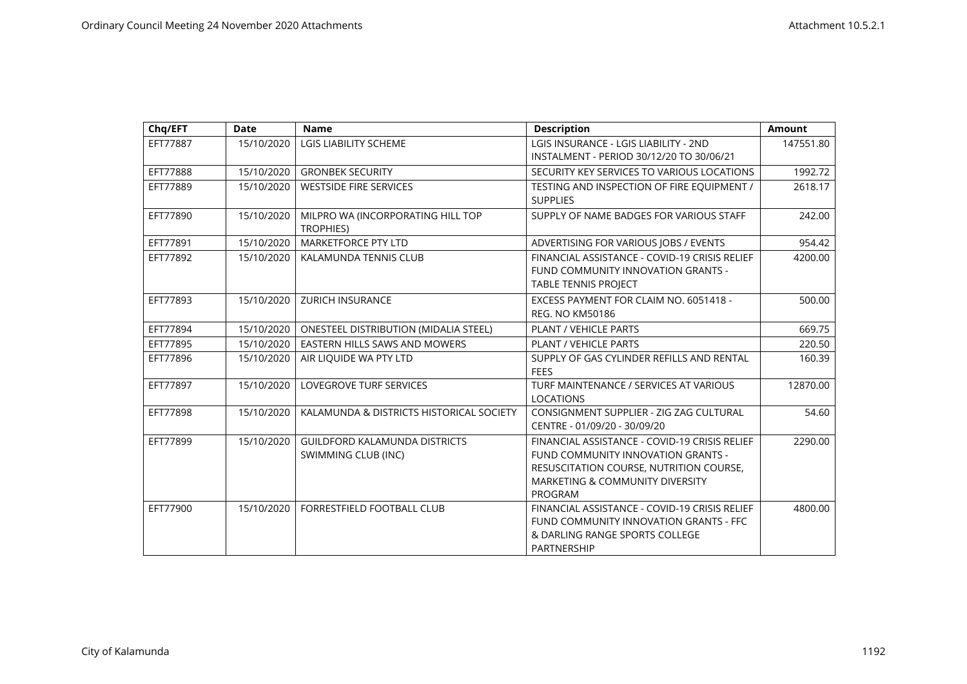| Chq/EFT  | <b>Date</b> | <b>Name</b>                                                 | <b>Description</b>                                                                                                                                                                      | <b>Amount</b> |
|----------|-------------|-------------------------------------------------------------|-----------------------------------------------------------------------------------------------------------------------------------------------------------------------------------------|---------------|
| EFT77887 | 15/10/2020  | LGIS LIABILITY SCHEME                                       | LGIS INSURANCE - LGIS LIABILITY - 2ND<br>INSTALMENT - PERIOD 30/12/20 TO 30/06/21                                                                                                       | 147551.80     |
| EFT77888 | 15/10/2020  | <b>GRONBEK SECURITY</b>                                     | SECURITY KEY SERVICES TO VARIOUS LOCATIONS                                                                                                                                              | 1992.72       |
| EFT77889 | 15/10/2020  | <b>WESTSIDE FIRE SERVICES</b>                               | TESTING AND INSPECTION OF FIRE EQUIPMENT /<br><b>SUPPLIES</b>                                                                                                                           | 2618.17       |
| EFT77890 | 15/10/2020  | MILPRO WA (INCORPORATING HILL TOP<br>TROPHIES)              | SUPPLY OF NAME BADGES FOR VARIOUS STAFF                                                                                                                                                 | 242.00        |
| EFT77891 | 15/10/2020  | MARKETFORCE PTY LTD                                         | ADVERTISING FOR VARIOUS JOBS / EVENTS                                                                                                                                                   | 954.42        |
| EFT77892 | 15/10/2020  | KALAMUNDA TENNIS CLUB                                       | FINANCIAL ASSISTANCE - COVID-19 CRISIS RELIEF<br>FUND COMMUNITY INNOVATION GRANTS -<br><b>TABLE TENNIS PROJECT</b>                                                                      | 4200.00       |
| EFT77893 | 15/10/2020  | <b>ZURICH INSURANCE</b>                                     | EXCESS PAYMENT FOR CLAIM NO. 6051418 -<br><b>REG. NO KM50186</b>                                                                                                                        | 500.00        |
| EFT77894 | 15/10/2020  | <b>ONESTEEL DISTRIBUTION (MIDALIA STEEL)</b>                | PLANT / VEHICLE PARTS                                                                                                                                                                   | 669.75        |
| EFT77895 | 15/10/2020  | EASTERN HILLS SAWS AND MOWERS                               | <b>PLANT / VEHICLE PARTS</b>                                                                                                                                                            | 220.50        |
| EFT77896 | 15/10/2020  | AIR LIQUIDE WA PTY LTD                                      | SUPPLY OF GAS CYLINDER REFILLS AND RENTAL<br><b>FEES</b>                                                                                                                                | 160.39        |
| EFT77897 | 15/10/2020  | <b>LOVEGROVE TURF SERVICES</b>                              | TURF MAINTENANCE / SERVICES AT VARIOUS<br><b>LOCATIONS</b>                                                                                                                              | 12870.00      |
| EFT77898 | 15/10/2020  | KALAMUNDA & DISTRICTS HISTORICAL SOCIETY                    | CONSIGNMENT SUPPLIER - ZIG ZAG CULTURAL<br>CENTRE - 01/09/20 - 30/09/20                                                                                                                 | 54.60         |
| EFT77899 | 15/10/2020  | <b>GUILDFORD KALAMUNDA DISTRICTS</b><br>SWIMMING CLUB (INC) | FINANCIAL ASSISTANCE - COVID-19 CRISIS RELIEF<br>FUND COMMUNITY INNOVATION GRANTS -<br>RESUSCITATION COURSE, NUTRITION COURSE,<br><b>MARKETING &amp; COMMUNITY DIVERSITY</b><br>PROGRAM | 2290.00       |
| EFT77900 | 15/10/2020  | FORRESTFIELD FOOTBALL CLUB                                  | FINANCIAL ASSISTANCE - COVID-19 CRISIS RELIEF<br>FUND COMMUNITY INNOVATION GRANTS - FFC<br>& DARLING RANGE SPORTS COLLEGE<br>PARTNERSHIP                                                | 4800.00       |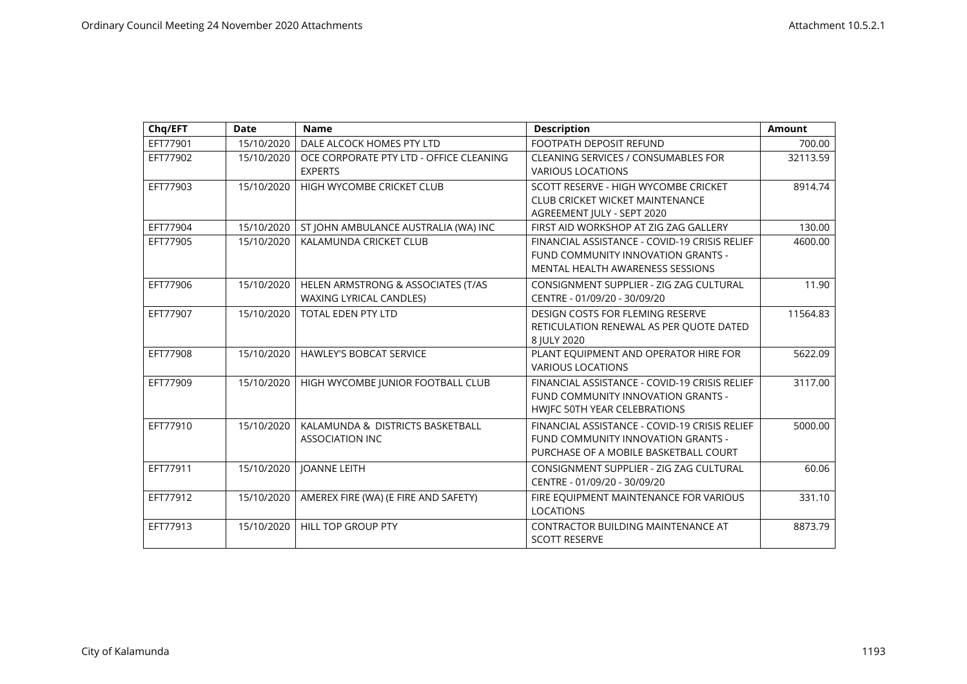| Chq/EFT  | <b>Date</b> | <b>Name</b>                                                          | <b>Description</b>                                                                                                           | <b>Amount</b> |
|----------|-------------|----------------------------------------------------------------------|------------------------------------------------------------------------------------------------------------------------------|---------------|
| EFT77901 | 15/10/2020  | DALE ALCOCK HOMES PTY LTD                                            | FOOTPATH DEPOSIT REFUND                                                                                                      | 700.00        |
| EFT77902 | 15/10/2020  | OCE CORPORATE PTY LTD - OFFICE CLEANING<br><b>EXPERTS</b>            | <b>CLEANING SERVICES / CONSUMABLES FOR</b><br><b>VARIOUS LOCATIONS</b>                                                       | 32113.59      |
| EFT77903 | 15/10/2020  | HIGH WYCOMBE CRICKET CLUB                                            | SCOTT RESERVE - HIGH WYCOMBE CRICKET<br><b>CLUB CRICKET WICKET MAINTENANCE</b><br>AGREEMENT JULY - SEPT 2020                 | 8914.74       |
| EFT77904 | 15/10/2020  | ST JOHN AMBULANCE AUSTRALIA (WA) INC                                 | FIRST AID WORKSHOP AT ZIG ZAG GALLERY                                                                                        | 130.00        |
| EFT77905 | 15/10/2020  | KALAMUNDA CRICKET CLUB                                               | FINANCIAL ASSISTANCE - COVID-19 CRISIS RELIEF<br>FUND COMMUNITY INNOVATION GRANTS -<br>MENTAL HEALTH AWARENESS SESSIONS      | 4600.00       |
| EFT77906 | 15/10/2020  | HELEN ARMSTRONG & ASSOCIATES (T/AS<br><b>WAXING LYRICAL CANDLES)</b> | CONSIGNMENT SUPPLIER - ZIG ZAG CULTURAL<br>CENTRE - 01/09/20 - 30/09/20                                                      | 11.90         |
| EFT77907 | 15/10/2020  | <b>TOTAL EDEN PTY LTD</b>                                            | <b>DESIGN COSTS FOR FLEMING RESERVE</b><br>RETICULATION RENEWAL AS PER QUOTE DATED<br>8 IULY 2020                            | 11564.83      |
| EFT77908 | 15/10/2020  | <b>HAWLEY'S BOBCAT SERVICE</b>                                       | PLANT EQUIPMENT AND OPERATOR HIRE FOR<br><b>VARIOUS LOCATIONS</b>                                                            | 5622.09       |
| EFT77909 | 15/10/2020  | HIGH WYCOMBE JUNIOR FOOTBALL CLUB                                    | FINANCIAL ASSISTANCE - COVID-19 CRISIS RELIEF<br>FUND COMMUNITY INNOVATION GRANTS -<br>HWIFC 50TH YEAR CELEBRATIONS          | 3117.00       |
| EFT77910 | 15/10/2020  | KALAMUNDA & DISTRICTS BASKETBALL<br><b>ASSOCIATION INC</b>           | FINANCIAL ASSISTANCE - COVID-19 CRISIS RELIEF<br>FUND COMMUNITY INNOVATION GRANTS -<br>PURCHASE OF A MOBILE BASKETBALL COURT | 5000.00       |
| EFT77911 | 15/10/2020  | <b>JOANNE LEITH</b>                                                  | CONSIGNMENT SUPPLIER - ZIG ZAG CULTURAL<br>CENTRE - 01/09/20 - 30/09/20                                                      | 60.06         |
| EFT77912 | 15/10/2020  | AMEREX FIRE (WA) (E FIRE AND SAFETY)                                 | FIRE EQUIPMENT MAINTENANCE FOR VARIOUS<br><b>LOCATIONS</b>                                                                   | 331.10        |
| EFT77913 | 15/10/2020  | HILL TOP GROUP PTY                                                   | CONTRACTOR BUILDING MAINTENANCE AT<br><b>SCOTT RESERVE</b>                                                                   | 8873.79       |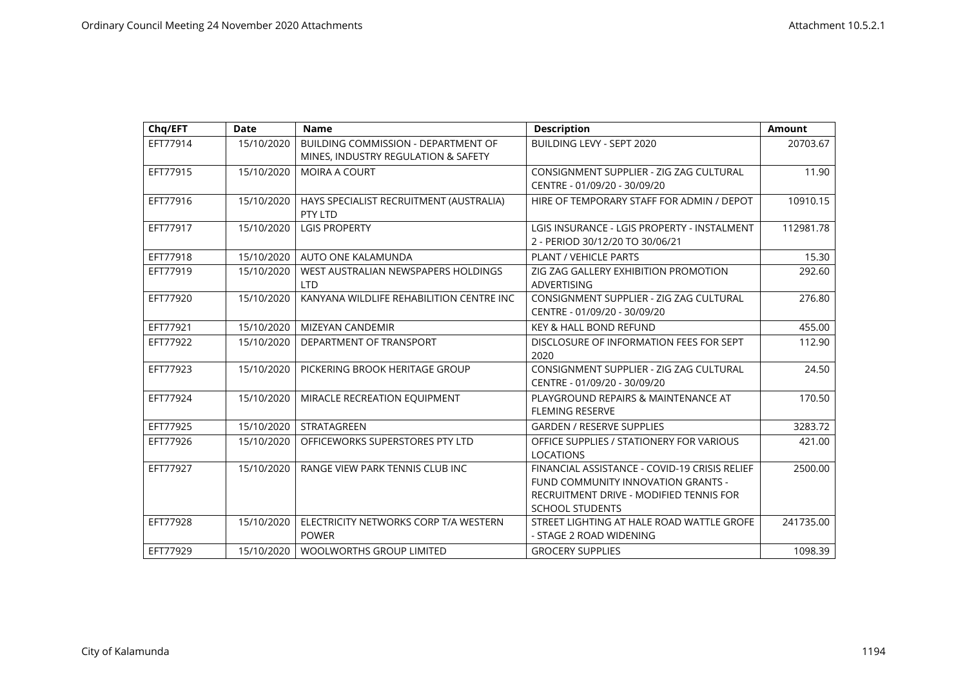| Chq/EFT  | <b>Date</b> | <b>Name</b>                                                                | <b>Description</b>                                                                                                                                       | <b>Amount</b> |
|----------|-------------|----------------------------------------------------------------------------|----------------------------------------------------------------------------------------------------------------------------------------------------------|---------------|
| EFT77914 | 15/10/2020  | BUILDING COMMISSION - DEPARTMENT OF<br>MINES, INDUSTRY REGULATION & SAFETY | BUILDING LEVY - SEPT 2020                                                                                                                                | 20703.67      |
| EFT77915 | 15/10/2020  | <b>MOIRA A COURT</b>                                                       | CONSIGNMENT SUPPLIER - ZIG ZAG CULTURAL<br>CENTRE - 01/09/20 - 30/09/20                                                                                  | 11.90         |
| EFT77916 | 15/10/2020  | HAYS SPECIALIST RECRUITMENT (AUSTRALIA)<br>PTY LTD                         | HIRE OF TEMPORARY STAFF FOR ADMIN / DEPOT                                                                                                                | 10910.15      |
| EFT77917 | 15/10/2020  | <b>LGIS PROPERTY</b>                                                       | LGIS INSURANCE - LGIS PROPERTY - INSTALMENT<br>2 - PERIOD 30/12/20 TO 30/06/21                                                                           | 112981.78     |
| EFT77918 | 15/10/2020  | AUTO ONE KALAMUNDA                                                         | PLANT / VEHICLE PARTS                                                                                                                                    | 15.30         |
| EFT77919 | 15/10/2020  | WEST AUSTRALIAN NEWSPAPERS HOLDINGS<br><b>LTD</b>                          | ZIG ZAG GALLERY EXHIBITION PROMOTION<br><b>ADVERTISING</b>                                                                                               | 292.60        |
| EFT77920 | 15/10/2020  | KANYANA WILDLIFE REHABILITION CENTRE INC                                   | CONSIGNMENT SUPPLIER - ZIG ZAG CULTURAL<br>CENTRE - 01/09/20 - 30/09/20                                                                                  | 276.80        |
| EFT77921 | 15/10/2020  | MIZEYAN CANDEMIR                                                           | <b>KEY &amp; HALL BOND REFUND</b>                                                                                                                        | 455.00        |
| EFT77922 | 15/10/2020  | DEPARTMENT OF TRANSPORT                                                    | DISCLOSURE OF INFORMATION FEES FOR SEPT<br>2020                                                                                                          | 112.90        |
| EFT77923 | 15/10/2020  | PICKERING BROOK HERITAGE GROUP                                             | CONSIGNMENT SUPPLIER - ZIG ZAG CULTURAL<br>CENTRE - 01/09/20 - 30/09/20                                                                                  | 24.50         |
| EFT77924 | 15/10/2020  | MIRACLE RECREATION EQUIPMENT                                               | PLAYGROUND REPAIRS & MAINTENANCE AT<br>FLEMING RESERVE                                                                                                   | 170.50        |
| EFT77925 | 15/10/2020  | STRATAGREEN                                                                | <b>GARDEN / RESERVE SUPPLIES</b>                                                                                                                         | 3283.72       |
| EFT77926 | 15/10/2020  | OFFICEWORKS SUPERSTORES PTY LTD                                            | OFFICE SUPPLIES / STATIONERY FOR VARIOUS<br><b>LOCATIONS</b>                                                                                             | 421.00        |
| EFT77927 | 15/10/2020  | RANGE VIEW PARK TENNIS CLUB INC                                            | FINANCIAL ASSISTANCE - COVID-19 CRISIS RELIEF<br>FUND COMMUNITY INNOVATION GRANTS -<br>RECRUITMENT DRIVE - MODIFIED TENNIS FOR<br><b>SCHOOL STUDENTS</b> | 2500.00       |
| EFT77928 | 15/10/2020  | ELECTRICITY NETWORKS CORP T/A WESTERN<br><b>POWER</b>                      | STREET LIGHTING AT HALE ROAD WATTLE GROFE<br>- STAGE 2 ROAD WIDENING                                                                                     | 241735.00     |
| EFT77929 | 15/10/2020  | <b>WOOLWORTHS GROUP LIMITED</b>                                            | <b>GROCERY SUPPLIES</b>                                                                                                                                  | 1098.39       |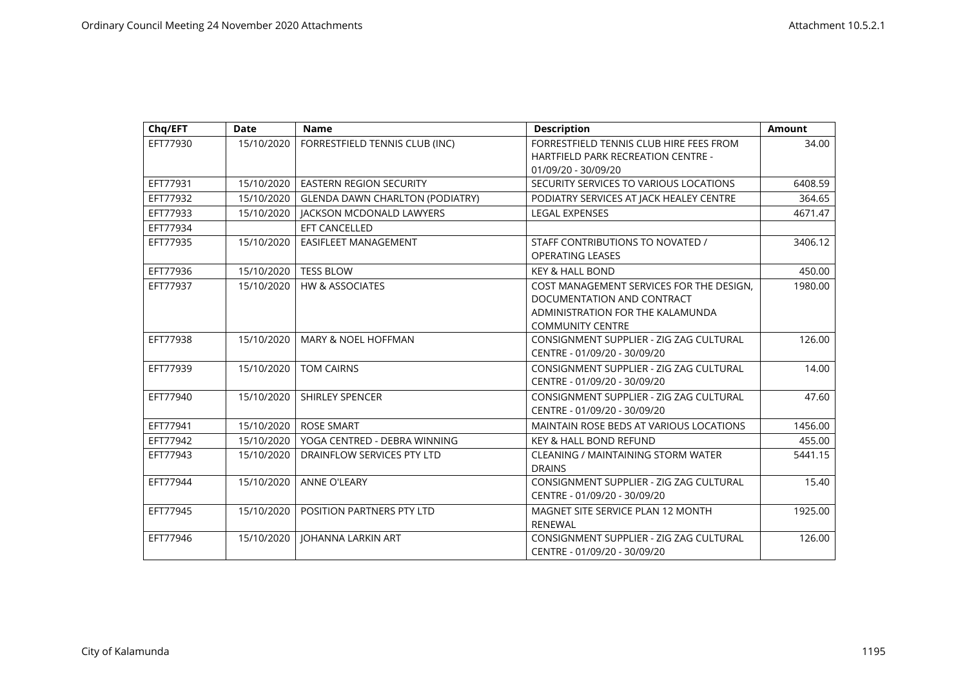| Chq/EFT  | <b>Date</b> | <b>Name</b>                            | <b>Description</b>                                          | <b>Amount</b> |
|----------|-------------|----------------------------------------|-------------------------------------------------------------|---------------|
| EFT77930 | 15/10/2020  | FORRESTFIELD TENNIS CLUB (INC)         | FORRESTFIELD TENNIS CLUB HIRE FEES FROM                     | 34.00         |
|          |             |                                        | <b>HARTFIELD PARK RECREATION CENTRE -</b>                   |               |
|          |             |                                        | 01/09/20 - 30/09/20                                         |               |
| EFT77931 | 15/10/2020  | <b>EASTERN REGION SECURITY</b>         | SECURITY SERVICES TO VARIOUS LOCATIONS                      | 6408.59       |
| EFT77932 | 15/10/2020  | <b>GLENDA DAWN CHARLTON (PODIATRY)</b> | PODIATRY SERVICES AT JACK HEALEY CENTRE                     | 364.65        |
| EFT77933 | 15/10/2020  | <b>JACKSON MCDONALD LAWYERS</b>        | <b>LEGAL EXPENSES</b>                                       | 4671.47       |
| EFT77934 |             | EFT CANCELLED                          |                                                             |               |
| EFT77935 | 15/10/2020  | <b>EASIFLEET MANAGEMENT</b>            | STAFF CONTRIBUTIONS TO NOVATED /<br><b>OPERATING LEASES</b> | 3406.12       |
| EFT77936 | 15/10/2020  | <b>TESS BLOW</b>                       | <b>KEY &amp; HALL BOND</b>                                  | 450.00        |
| EFT77937 | 15/10/2020  | <b>HW &amp; ASSOCIATES</b>             | COST MANAGEMENT SERVICES FOR THE DESIGN,                    | 1980.00       |
|          |             |                                        | DOCUMENTATION AND CONTRACT                                  |               |
|          |             |                                        | ADMINISTRATION FOR THE KALAMUNDA                            |               |
|          |             |                                        | <b>COMMUNITY CENTRE</b>                                     |               |
| EFT77938 | 15/10/2020  | <b>MARY &amp; NOEL HOFFMAN</b>         | CONSIGNMENT SUPPLIER - ZIG ZAG CULTURAL                     | 126.00        |
|          |             |                                        | CENTRE - 01/09/20 - 30/09/20                                |               |
| EFT77939 | 15/10/2020  | <b>TOM CAIRNS</b>                      | CONSIGNMENT SUPPLIER - ZIG ZAG CULTURAL                     | 14.00         |
|          |             |                                        | CENTRE - 01/09/20 - 30/09/20                                |               |
| EFT77940 | 15/10/2020  | <b>SHIRLEY SPENCER</b>                 | CONSIGNMENT SUPPLIER - ZIG ZAG CULTURAL                     | 47.60         |
|          |             |                                        | CENTRE - 01/09/20 - 30/09/20                                |               |
| EFT77941 | 15/10/2020  | <b>ROSE SMART</b>                      | MAINTAIN ROSE BEDS AT VARIOUS LOCATIONS                     | 1456.00       |
| EFT77942 | 15/10/2020  | YOGA CENTRED - DEBRA WINNING           | <b>KEY &amp; HALL BOND REFUND</b>                           | 455.00        |
| EFT77943 | 15/10/2020  | DRAINFLOW SERVICES PTY LTD             | <b>CLEANING / MAINTAINING STORM WATER</b>                   | 5441.15       |
|          |             |                                        | <b>DRAINS</b>                                               |               |
| EFT77944 | 15/10/2020  | <b>ANNE O'LEARY</b>                    | CONSIGNMENT SUPPLIER - ZIG ZAG CULTURAL                     | 15.40         |
|          |             |                                        | CENTRE - 01/09/20 - 30/09/20                                |               |
| EFT77945 | 15/10/2020  | POSITION PARTNERS PTY LTD              | MAGNET SITE SERVICE PLAN 12 MONTH                           | 1925.00       |
|          |             |                                        | <b>RENEWAL</b>                                              |               |
| EFT77946 | 15/10/2020  | <b>JOHANNA LARKIN ART</b>              | CONSIGNMENT SUPPLIER - ZIG ZAG CULTURAL                     | 126.00        |
|          |             |                                        | CENTRE - 01/09/20 - 30/09/20                                |               |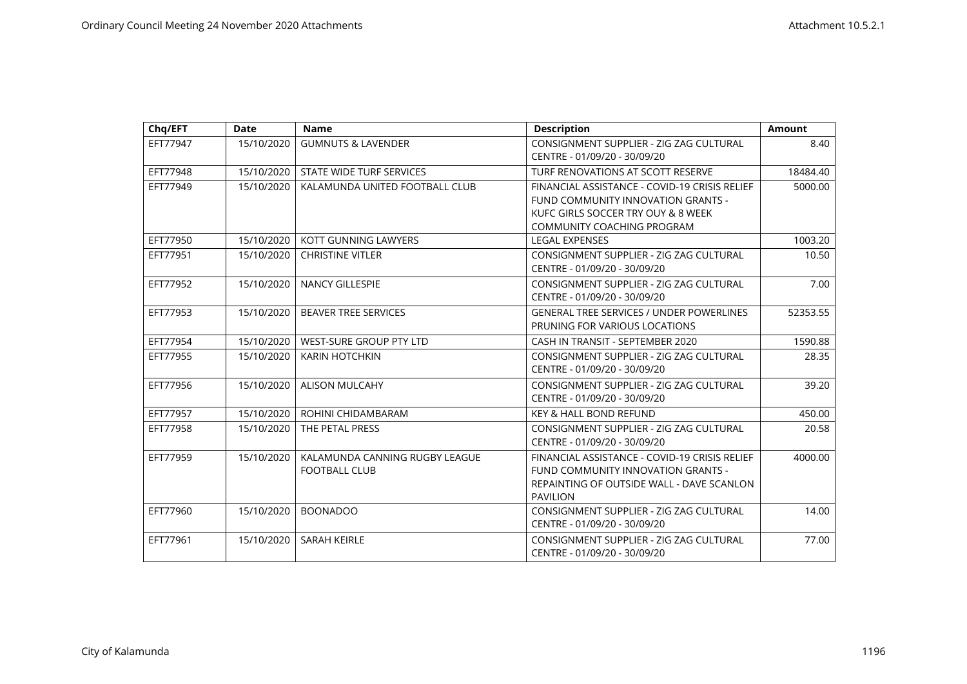| Chq/EFT  | <b>Date</b> | <b>Name</b>                                            | <b>Description</b>                                                                                                                                      | <b>Amount</b> |
|----------|-------------|--------------------------------------------------------|---------------------------------------------------------------------------------------------------------------------------------------------------------|---------------|
| EFT77947 | 15/10/2020  | <b>GUMNUTS &amp; LAVENDER</b>                          | CONSIGNMENT SUPPLIER - ZIG ZAG CULTURAL<br>CENTRE - 01/09/20 - 30/09/20                                                                                 | 8.40          |
| EFT77948 | 15/10/2020  | STATE WIDE TURF SERVICES                               | TURF RENOVATIONS AT SCOTT RESERVE                                                                                                                       | 18484.40      |
| EFT77949 | 15/10/2020  | KALAMUNDA UNITED FOOTBALL CLUB                         | FINANCIAL ASSISTANCE - COVID-19 CRISIS RELIEF<br>FUND COMMUNITY INNOVATION GRANTS -<br>KUFC GIRLS SOCCER TRY OUY & 8 WEEK<br>COMMUNITY COACHING PROGRAM | 5000.00       |
| EFT77950 | 15/10/2020  | KOTT GUNNING LAWYERS                                   | <b>LEGAL EXPENSES</b>                                                                                                                                   | 1003.20       |
| EFT77951 | 15/10/2020  | <b>CHRISTINE VITLER</b>                                | CONSIGNMENT SUPPLIER - ZIG ZAG CULTURAL<br>CENTRE - 01/09/20 - 30/09/20                                                                                 | 10.50         |
| EFT77952 | 15/10/2020  | <b>NANCY GILLESPIE</b>                                 | CONSIGNMENT SUPPLIER - ZIG ZAG CULTURAL<br>CENTRE - 01/09/20 - 30/09/20                                                                                 | 7.00          |
| EFT77953 | 15/10/2020  | <b>BEAVER TREE SERVICES</b>                            | <b>GENERAL TREE SERVICES / UNDER POWERLINES</b><br>PRUNING FOR VARIOUS LOCATIONS                                                                        | 52353.55      |
| EFT77954 | 15/10/2020  | WEST-SURE GROUP PTY LTD                                | CASH IN TRANSIT - SEPTEMBER 2020                                                                                                                        | 1590.88       |
| EFT77955 | 15/10/2020  | <b>KARIN HOTCHKIN</b>                                  | CONSIGNMENT SUPPLIER - ZIG ZAG CULTURAL<br>CENTRE - 01/09/20 - 30/09/20                                                                                 | 28.35         |
| EFT77956 | 15/10/2020  | <b>ALISON MULCAHY</b>                                  | CONSIGNMENT SUPPLIER - ZIG ZAG CULTURAL<br>CENTRE - 01/09/20 - 30/09/20                                                                                 | 39.20         |
| EFT77957 | 15/10/2020  | ROHINI CHIDAMBARAM                                     | <b>KEY &amp; HALL BOND REFUND</b>                                                                                                                       | 450.00        |
| EFT77958 | 15/10/2020  | THE PETAL PRESS                                        | CONSIGNMENT SUPPLIER - ZIG ZAG CULTURAL<br>CENTRE - 01/09/20 - 30/09/20                                                                                 | 20.58         |
| EFT77959 | 15/10/2020  | KALAMUNDA CANNING RUGBY LEAGUE<br><b>FOOTBALL CLUB</b> | FINANCIAL ASSISTANCE - COVID-19 CRISIS RELIEF<br>FUND COMMUNITY INNOVATION GRANTS -<br>REPAINTING OF OUTSIDE WALL - DAVE SCANLON<br><b>PAVILION</b>     | 4000.00       |
| EFT77960 | 15/10/2020  | <b>BOONADOO</b>                                        | CONSIGNMENT SUPPLIER - ZIG ZAG CULTURAL<br>CENTRE - 01/09/20 - 30/09/20                                                                                 | 14.00         |
| EFT77961 | 15/10/2020  | <b>SARAH KEIRLE</b>                                    | CONSIGNMENT SUPPLIER - ZIG ZAG CULTURAL<br>CENTRE - 01/09/20 - 30/09/20                                                                                 | 77.00         |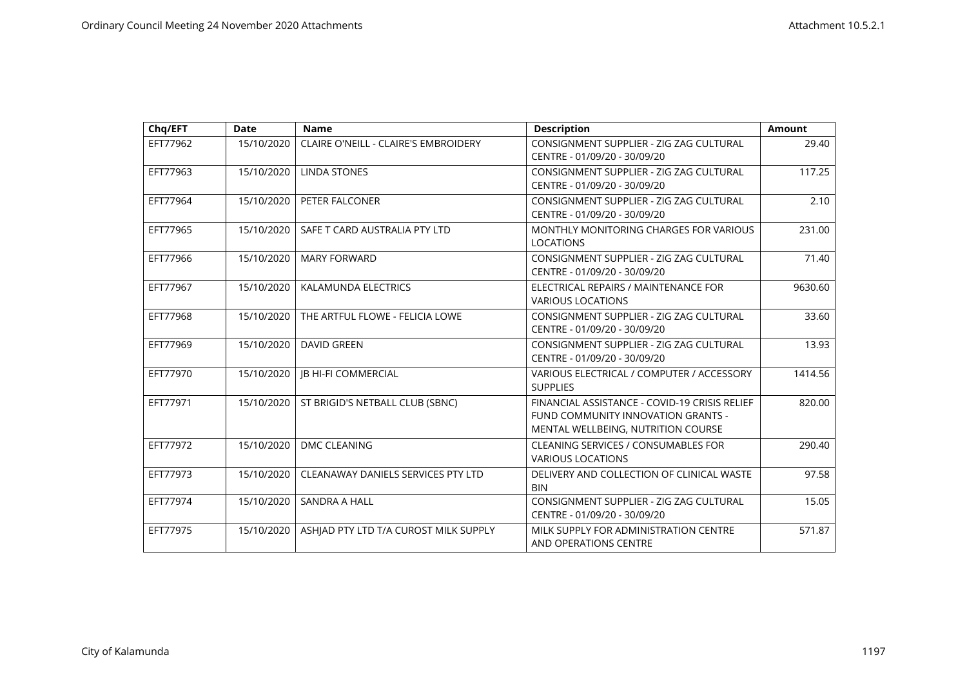| Chq/EFT  | <b>Date</b> | <b>Name</b>                                 | <b>Description</b>                                                                                                        | <b>Amount</b> |
|----------|-------------|---------------------------------------------|---------------------------------------------------------------------------------------------------------------------------|---------------|
| EFT77962 | 15/10/2020  | <b>CLAIRE O'NEILL - CLAIRE'S EMBROIDERY</b> | CONSIGNMENT SUPPLIER - ZIG ZAG CULTURAL<br>CENTRE - 01/09/20 - 30/09/20                                                   | 29.40         |
| EFT77963 | 15/10/2020  | <b>LINDA STONES</b>                         | CONSIGNMENT SUPPLIER - ZIG ZAG CULTURAL<br>CENTRE - 01/09/20 - 30/09/20                                                   | 117.25        |
| EFT77964 | 15/10/2020  | PETER FALCONER                              | CONSIGNMENT SUPPLIER - ZIG ZAG CULTURAL<br>CENTRE - 01/09/20 - 30/09/20                                                   | 2.10          |
| EFT77965 | 15/10/2020  | SAFE T CARD AUSTRALIA PTY LTD               | MONTHLY MONITORING CHARGES FOR VARIOUS<br><b>LOCATIONS</b>                                                                | 231.00        |
| EFT77966 | 15/10/2020  | <b>MARY FORWARD</b>                         | CONSIGNMENT SUPPLIER - ZIG ZAG CULTURAL<br>CENTRE - 01/09/20 - 30/09/20                                                   | 71.40         |
| EFT77967 | 15/10/2020  | KALAMUNDA ELECTRICS                         | ELECTRICAL REPAIRS / MAINTENANCE FOR<br><b>VARIOUS LOCATIONS</b>                                                          | 9630.60       |
| EFT77968 | 15/10/2020  | THE ARTFUL FLOWE - FELICIA LOWE             | CONSIGNMENT SUPPLIER - ZIG ZAG CULTURAL<br>CENTRE - 01/09/20 - 30/09/20                                                   | 33.60         |
| EFT77969 | 15/10/2020  | <b>DAVID GREEN</b>                          | CONSIGNMENT SUPPLIER - ZIG ZAG CULTURAL<br>CENTRE - 01/09/20 - 30/09/20                                                   | 13.93         |
| EFT77970 | 15/10/2020  | <b>JB HI-FI COMMERCIAL</b>                  | VARIOUS ELECTRICAL / COMPUTER / ACCESSORY<br><b>SUPPLIES</b>                                                              | 1414.56       |
| EFT77971 | 15/10/2020  | ST BRIGID'S NETBALL CLUB (SBNC)             | FINANCIAL ASSISTANCE - COVID-19 CRISIS RELIEF<br>FUND COMMUNITY INNOVATION GRANTS -<br>MENTAL WELLBEING, NUTRITION COURSE | 820.00        |
| EFT77972 | 15/10/2020  | <b>DMC CLEANING</b>                         | CLEANING SERVICES / CONSUMABLES FOR<br><b>VARIOUS LOCATIONS</b>                                                           | 290.40        |
| EFT77973 | 15/10/2020  | CLEANAWAY DANIELS SERVICES PTY LTD          | DELIVERY AND COLLECTION OF CLINICAL WASTE<br><b>BIN</b>                                                                   | 97.58         |
| EFT77974 | 15/10/2020  | <b>SANDRA A HALL</b>                        | CONSIGNMENT SUPPLIER - ZIG ZAG CULTURAL<br>CENTRE - 01/09/20 - 30/09/20                                                   | 15.05         |
| EFT77975 | 15/10/2020  | ASHJAD PTY LTD T/A CUROST MILK SUPPLY       | MILK SUPPLY FOR ADMINISTRATION CENTRE<br>AND OPERATIONS CENTRE                                                            | 571.87        |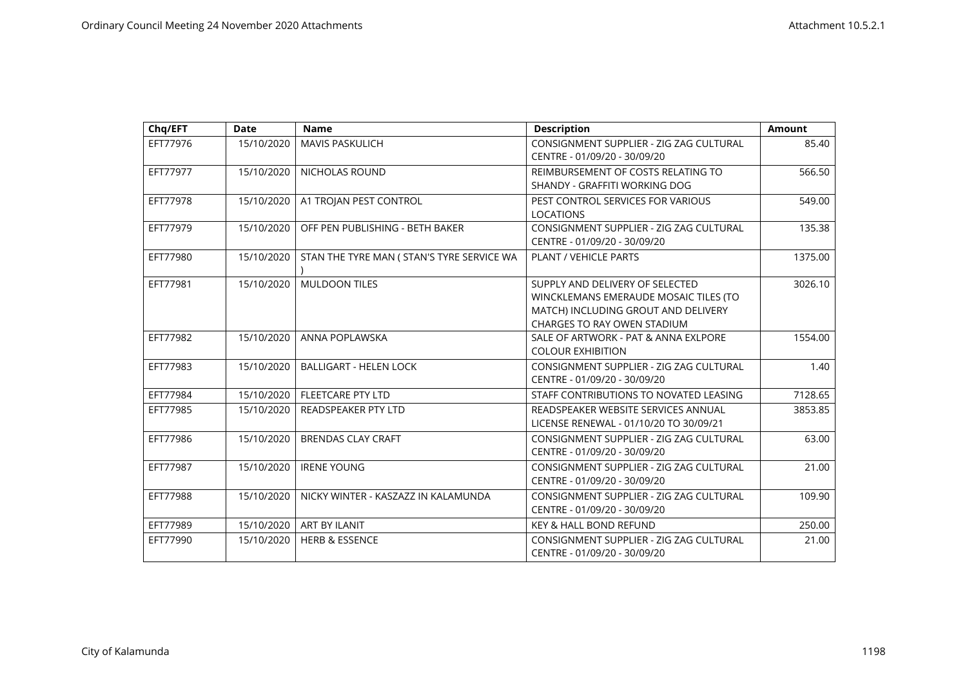| Chq/EFT  | <b>Date</b> | <b>Name</b>                                | <b>Description</b>                                                                                                                                    | <b>Amount</b> |
|----------|-------------|--------------------------------------------|-------------------------------------------------------------------------------------------------------------------------------------------------------|---------------|
| EFT77976 | 15/10/2020  | <b>MAVIS PASKULICH</b>                     | CONSIGNMENT SUPPLIER - ZIG ZAG CULTURAL<br>CENTRE - 01/09/20 - 30/09/20                                                                               | 85.40         |
| EFT77977 | 15/10/2020  | <b>NICHOLAS ROUND</b>                      | REIMBURSEMENT OF COSTS RELATING TO<br>SHANDY - GRAFFITI WORKING DOG                                                                                   | 566.50        |
| EFT77978 | 15/10/2020  | A1 TROJAN PEST CONTROL                     | PEST CONTROL SERVICES FOR VARIOUS<br><b>LOCATIONS</b>                                                                                                 | 549.00        |
| EFT77979 | 15/10/2020  | OFF PEN PUBLISHING - BETH BAKER            | CONSIGNMENT SUPPLIER - ZIG ZAG CULTURAL<br>CENTRE - 01/09/20 - 30/09/20                                                                               | 135.38        |
| EFT77980 | 15/10/2020  | STAN THE TYRE MAN ( STAN'S TYRE SERVICE WA | PLANT / VEHICLE PARTS                                                                                                                                 | 1375.00       |
| EFT77981 | 15/10/2020  | <b>MULDOON TILES</b>                       | SUPPLY AND DELIVERY OF SELECTED<br>WINCKLEMANS EMERAUDE MOSAIC TILES (TO<br>MATCH) INCLUDING GROUT AND DELIVERY<br><b>CHARGES TO RAY OWEN STADIUM</b> | 3026.10       |
| EFT77982 | 15/10/2020  | ANNA POPLAWSKA                             | SALE OF ARTWORK - PAT & ANNA EXLPORE<br><b>COLOUR EXHIBITION</b>                                                                                      | 1554.00       |
| EFT77983 | 15/10/2020  | <b>BALLIGART - HELEN LOCK</b>              | CONSIGNMENT SUPPLIER - ZIG ZAG CULTURAL<br>CENTRE - 01/09/20 - 30/09/20                                                                               | 1.40          |
| EFT77984 | 15/10/2020  | <b>FLEETCARE PTY LTD</b>                   | STAFF CONTRIBUTIONS TO NOVATED LEASING                                                                                                                | 7128.65       |
| EFT77985 | 15/10/2020  | <b>READSPEAKER PTY LTD</b>                 | READSPEAKER WEBSITE SERVICES ANNUAL<br>LICENSE RENEWAL - 01/10/20 TO 30/09/21                                                                         | 3853.85       |
| EFT77986 | 15/10/2020  | <b>BRENDAS CLAY CRAFT</b>                  | CONSIGNMENT SUPPLIER - ZIG ZAG CULTURAL<br>CENTRE - 01/09/20 - 30/09/20                                                                               | 63.00         |
| EFT77987 | 15/10/2020  | <b>IRENE YOUNG</b>                         | CONSIGNMENT SUPPLIER - ZIG ZAG CULTURAL<br>CENTRE - 01/09/20 - 30/09/20                                                                               | 21.00         |
| EFT77988 | 15/10/2020  | NICKY WINTER - KASZAZZ IN KALAMUNDA        | CONSIGNMENT SUPPLIER - ZIG ZAG CULTURAL<br>CENTRE - 01/09/20 - 30/09/20                                                                               | 109.90        |
| EFT77989 | 15/10/2020  | ART BY ILANIT                              | <b>KEY &amp; HALL BOND REFUND</b>                                                                                                                     | 250.00        |
| EFT77990 | 15/10/2020  | <b>HERB &amp; ESSENCE</b>                  | CONSIGNMENT SUPPLIER - ZIG ZAG CULTURAL<br>CENTRE - 01/09/20 - 30/09/20                                                                               | 21.00         |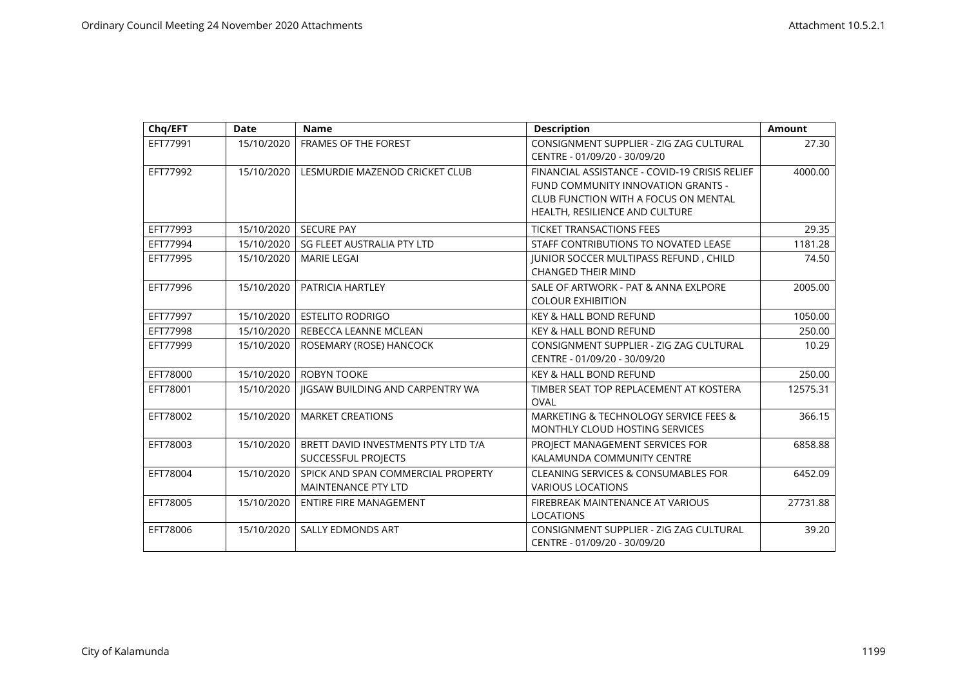| Chq/EFT  | <b>Date</b> | <b>Name</b>                                                      | <b>Description</b>                                                                                                                                            | <b>Amount</b> |
|----------|-------------|------------------------------------------------------------------|---------------------------------------------------------------------------------------------------------------------------------------------------------------|---------------|
| EFT77991 | 15/10/2020  | <b>FRAMES OF THE FOREST</b>                                      | CONSIGNMENT SUPPLIER - ZIG ZAG CULTURAL<br>CENTRE - 01/09/20 - 30/09/20                                                                                       | 27.30         |
| EFT77992 | 15/10/2020  | LESMURDIE MAZENOD CRICKET CLUB                                   | FINANCIAL ASSISTANCE - COVID-19 CRISIS RELIEF<br>FUND COMMUNITY INNOVATION GRANTS -<br>CLUB FUNCTION WITH A FOCUS ON MENTAL<br>HEALTH, RESILIENCE AND CULTURE | 4000.00       |
| EFT77993 | 15/10/2020  | <b>SECURE PAY</b>                                                | <b>TICKET TRANSACTIONS FEES</b>                                                                                                                               | 29.35         |
| EFT77994 | 15/10/2020  | SG FLEET AUSTRALIA PTY LTD                                       | STAFF CONTRIBUTIONS TO NOVATED LEASE                                                                                                                          | 1181.28       |
| EFT77995 | 15/10/2020  | <b>MARIE LEGAI</b>                                               | JUNIOR SOCCER MULTIPASS REFUND, CHILD<br><b>CHANGED THEIR MIND</b>                                                                                            | 74.50         |
| EFT77996 | 15/10/2020  | PATRICIA HARTLEY                                                 | SALE OF ARTWORK - PAT & ANNA EXLPORE<br><b>COLOUR EXHIBITION</b>                                                                                              | 2005.00       |
| EFT77997 | 15/10/2020  | <b>ESTELITO RODRIGO</b>                                          | KEY & HALL BOND REFUND                                                                                                                                        | 1050.00       |
| EFT77998 | 15/10/2020  | REBECCA LEANNE MCLEAN                                            | <b>KEY &amp; HALL BOND REFUND</b>                                                                                                                             | 250.00        |
| EFT77999 | 15/10/2020  | ROSEMARY (ROSE) HANCOCK                                          | CONSIGNMENT SUPPLIER - ZIG ZAG CULTURAL<br>CENTRE - 01/09/20 - 30/09/20                                                                                       | 10.29         |
| EFT78000 | 15/10/2020  | <b>ROBYN TOOKE</b>                                               | <b>KEY &amp; HALL BOND REFUND</b>                                                                                                                             | 250.00        |
| EFT78001 | 15/10/2020  | <b>IIGSAW BUILDING AND CARPENTRY WA</b>                          | TIMBER SEAT TOP REPLACEMENT AT KOSTERA<br>OVAL                                                                                                                | 12575.31      |
| EFT78002 | 15/10/2020  | <b>MARKET CREATIONS</b>                                          | MARKETING & TECHNOLOGY SERVICE FEES &<br>MONTHLY CLOUD HOSTING SERVICES                                                                                       | 366.15        |
| EFT78003 | 15/10/2020  | BRETT DAVID INVESTMENTS PTY LTD T/A<br>SUCCESSFUL PROJECTS       | PROJECT MANAGEMENT SERVICES FOR<br>KALAMUNDA COMMUNITY CENTRE                                                                                                 | 6858.88       |
| EFT78004 | 15/10/2020  | SPICK AND SPAN COMMERCIAL PROPERTY<br><b>MAINTENANCE PTY LTD</b> | CLEANING SERVICES & CONSUMABLES FOR<br><b>VARIOUS LOCATIONS</b>                                                                                               | 6452.09       |
| EFT78005 | 15/10/2020  | <b>ENTIRE FIRE MANAGEMENT</b>                                    | FIREBREAK MAINTENANCE AT VARIOUS<br><b>LOCATIONS</b>                                                                                                          | 27731.88      |
| EFT78006 | 15/10/2020  | <b>SALLY EDMONDS ART</b>                                         | CONSIGNMENT SUPPLIER - ZIG ZAG CULTURAL<br>CENTRE - 01/09/20 - 30/09/20                                                                                       | 39.20         |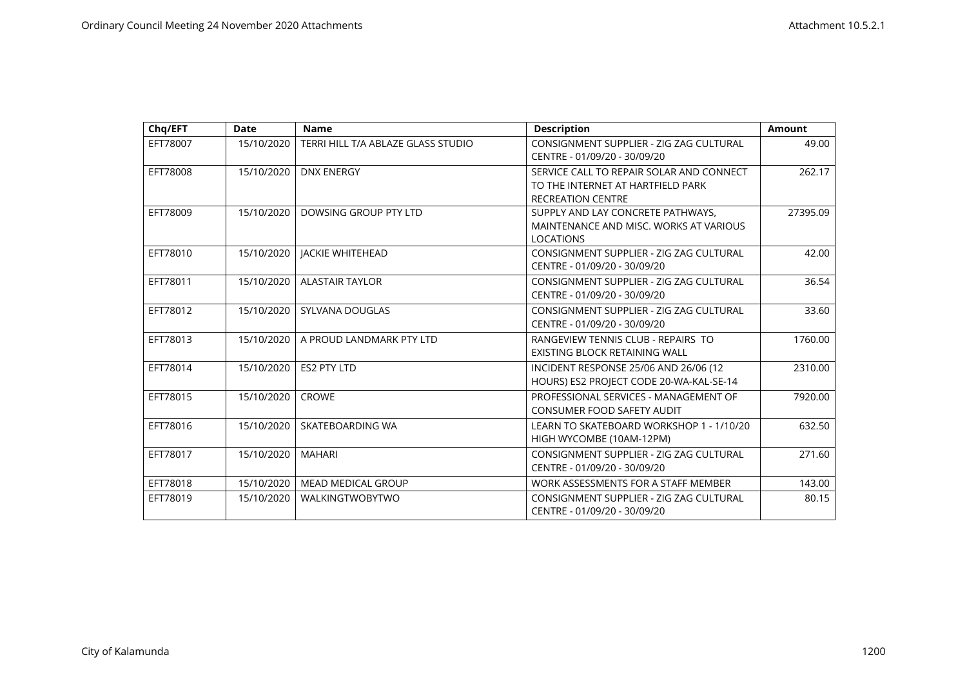| Chq/EFT  | <b>Date</b> | <b>Name</b>                        | <b>Description</b>                                                                                        | Amount   |
|----------|-------------|------------------------------------|-----------------------------------------------------------------------------------------------------------|----------|
| EFT78007 | 15/10/2020  | TERRI HILL T/A ABLAZE GLASS STUDIO | CONSIGNMENT SUPPLIER - ZIG ZAG CULTURAL<br>CENTRE - 01/09/20 - 30/09/20                                   | 49.00    |
| EFT78008 | 15/10/2020  | <b>DNX ENERGY</b>                  | SERVICE CALL TO REPAIR SOLAR AND CONNECT<br>TO THE INTERNET AT HARTFIELD PARK<br><b>RECREATION CENTRE</b> | 262.17   |
| EFT78009 | 15/10/2020  | DOWSING GROUP PTY LTD              | SUPPLY AND LAY CONCRETE PATHWAYS.<br>MAINTENANCE AND MISC. WORKS AT VARIOUS<br><b>LOCATIONS</b>           | 27395.09 |
| EFT78010 | 15/10/2020  | <b>JACKIE WHITEHEAD</b>            | CONSIGNMENT SUPPLIER - ZIG ZAG CULTURAL<br>CENTRE - 01/09/20 - 30/09/20                                   | 42.00    |
| EFT78011 | 15/10/2020  | <b>ALASTAIR TAYLOR</b>             | CONSIGNMENT SUPPLIER - ZIG ZAG CULTURAL<br>CENTRE - 01/09/20 - 30/09/20                                   | 36.54    |
| EFT78012 | 15/10/2020  | SYLVANA DOUGLAS                    | CONSIGNMENT SUPPLIER - ZIG ZAG CULTURAL<br>CENTRE - 01/09/20 - 30/09/20                                   | 33.60    |
| EFT78013 | 15/10/2020  | A PROUD LANDMARK PTY LTD           | RANGEVIEW TENNIS CLUB - REPAIRS TO<br>EXISTING BLOCK RETAINING WALL                                       | 1760.00  |
| EFT78014 | 15/10/2020  | <b>ES2 PTY LTD</b>                 | INCIDENT RESPONSE 25/06 AND 26/06 (12<br>HOURS) ES2 PROJECT CODE 20-WA-KAL-SE-14                          | 2310.00  |
| EFT78015 | 15/10/2020  | <b>CROWE</b>                       | PROFESSIONAL SERVICES - MANAGEMENT OF<br><b>CONSUMER FOOD SAFETY AUDIT</b>                                | 7920.00  |
| EFT78016 | 15/10/2020  | SKATEBOARDING WA                   | LEARN TO SKATEBOARD WORKSHOP 1 - 1/10/20<br>HIGH WYCOMBE (10AM-12PM)                                      | 632.50   |
| EFT78017 | 15/10/2020  | <b>MAHARI</b>                      | CONSIGNMENT SUPPLIER - ZIG ZAG CULTURAL<br>CENTRE - 01/09/20 - 30/09/20                                   | 271.60   |
| EFT78018 | 15/10/2020  | <b>MEAD MEDICAL GROUP</b>          | WORK ASSESSMENTS FOR A STAFF MEMBER                                                                       | 143.00   |
| EFT78019 | 15/10/2020  | <b>WALKINGTWOBYTWO</b>             | CONSIGNMENT SUPPLIER - ZIG ZAG CULTURAL<br>CENTRE - 01/09/20 - 30/09/20                                   | 80.15    |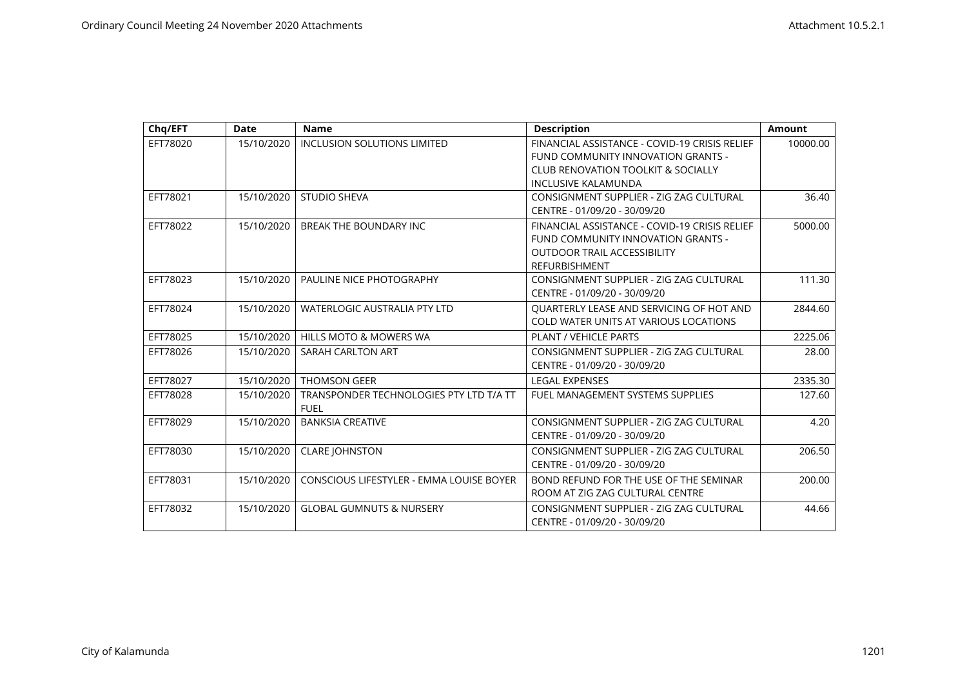| Chq/EFT  | <b>Date</b> | <b>Name</b>                                            | <b>Description</b>                                                                                                                                | <b>Amount</b> |
|----------|-------------|--------------------------------------------------------|---------------------------------------------------------------------------------------------------------------------------------------------------|---------------|
| EFT78020 | 15/10/2020  | <b>INCLUSION SOLUTIONS LIMITED</b>                     | FINANCIAL ASSISTANCE - COVID-19 CRISIS RELIEF<br>FUND COMMUNITY INNOVATION GRANTS -<br><b>CLUB RENOVATION TOOLKIT &amp; SOCIALLY</b>              | 10000.00      |
|          |             |                                                        | <b>INCLUSIVE KALAMUNDA</b>                                                                                                                        |               |
| EFT78021 | 15/10/2020  | <b>STUDIO SHEVA</b>                                    | CONSIGNMENT SUPPLIER - ZIG ZAG CULTURAL<br>CENTRE - 01/09/20 - 30/09/20                                                                           | 36.40         |
| EFT78022 | 15/10/2020  | <b>BREAK THE BOUNDARY INC</b>                          | FINANCIAL ASSISTANCE - COVID-19 CRISIS RELIEF<br>FUND COMMUNITY INNOVATION GRANTS -<br><b>OUTDOOR TRAIL ACCESSIBILITY</b><br><b>REFURBISHMENT</b> | 5000.00       |
| EFT78023 | 15/10/2020  | PAULINE NICE PHOTOGRAPHY                               | CONSIGNMENT SUPPLIER - ZIG ZAG CULTURAL<br>CENTRE - 01/09/20 - 30/09/20                                                                           | 111.30        |
| EFT78024 | 15/10/2020  | <b>WATERLOGIC AUSTRALIA PTY LTD</b>                    | QUARTERLY LEASE AND SERVICING OF HOT AND<br><b>COLD WATER UNITS AT VARIOUS LOCATIONS</b>                                                          | 2844.60       |
| EFT78025 | 15/10/2020  | <b>HILLS MOTO &amp; MOWERS WA</b>                      | <b>PLANT / VEHICLE PARTS</b>                                                                                                                      | 2225.06       |
| EFT78026 | 15/10/2020  | <b>SARAH CARLTON ART</b>                               | CONSIGNMENT SUPPLIER - ZIG ZAG CULTURAL<br>CENTRE - 01/09/20 - 30/09/20                                                                           | 28.00         |
| EFT78027 | 15/10/2020  | <b>THOMSON GEER</b>                                    | <b>LEGAL EXPENSES</b>                                                                                                                             | 2335.30       |
| EFT78028 | 15/10/2020  | TRANSPONDER TECHNOLOGIES PTY LTD T/A TT<br><b>FUEL</b> | <b>FUEL MANAGEMENT SYSTEMS SUPPLIES</b>                                                                                                           | 127.60        |
| EFT78029 | 15/10/2020  | <b>BANKSIA CREATIVE</b>                                | CONSIGNMENT SUPPLIER - ZIG ZAG CULTURAL<br>CENTRE - 01/09/20 - 30/09/20                                                                           | 4.20          |
| EFT78030 | 15/10/2020  | <b>CLARE JOHNSTON</b>                                  | CONSIGNMENT SUPPLIER - ZIG ZAG CULTURAL<br>CENTRE - 01/09/20 - 30/09/20                                                                           | 206.50        |
| EFT78031 | 15/10/2020  | CONSCIOUS LIFESTYLER - EMMA LOUISE BOYER               | BOND REFUND FOR THE USE OF THE SEMINAR<br>ROOM AT ZIG ZAG CULTURAL CENTRE                                                                         | 200.00        |
| EFT78032 | 15/10/2020  | <b>GLOBAL GUMNUTS &amp; NURSERY</b>                    | CONSIGNMENT SUPPLIER - ZIG ZAG CULTURAL<br>CENTRE - 01/09/20 - 30/09/20                                                                           | 44.66         |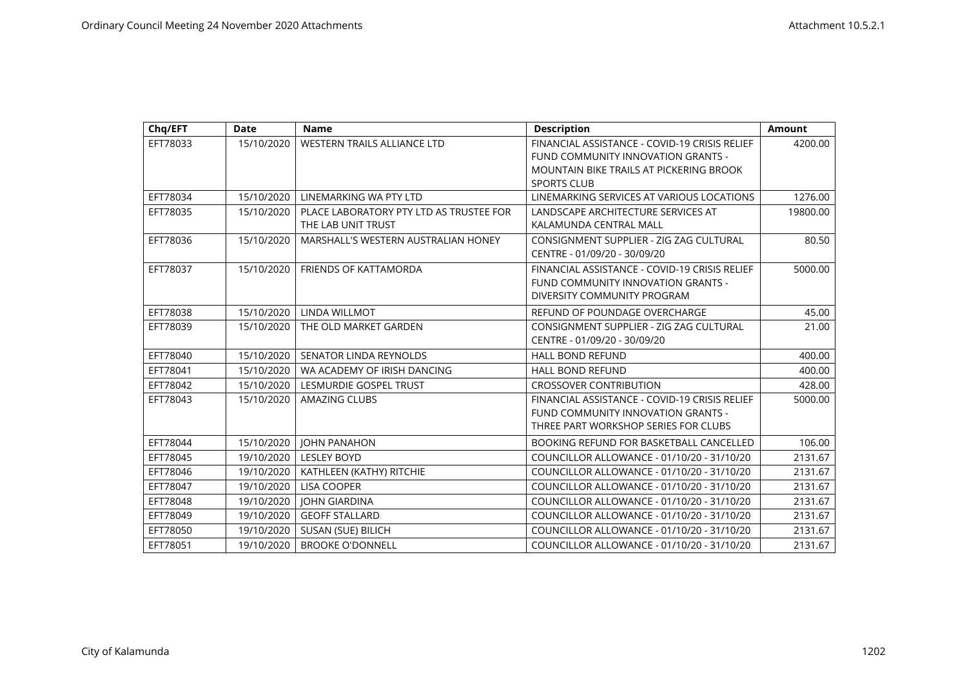| Chq/EFT  | <b>Date</b> | <b>Name</b>                                                   | <b>Description</b>                                                                                                                                          | <b>Amount</b> |
|----------|-------------|---------------------------------------------------------------|-------------------------------------------------------------------------------------------------------------------------------------------------------------|---------------|
| EFT78033 | 15/10/2020  | WESTERN TRAILS ALLIANCE LTD                                   | FINANCIAL ASSISTANCE - COVID-19 CRISIS RELIEF<br>FUND COMMUNITY INNOVATION GRANTS -<br><b>MOUNTAIN BIKE TRAILS AT PICKERING BROOK</b><br><b>SPORTS CLUB</b> | 4200.00       |
| EFT78034 | 15/10/2020  | LINEMARKING WA PTY LTD                                        | LINEMARKING SERVICES AT VARIOUS LOCATIONS                                                                                                                   | 1276.00       |
| EFT78035 | 15/10/2020  | PLACE LABORATORY PTY LTD AS TRUSTEE FOR<br>THE LAB UNIT TRUST | LANDSCAPE ARCHITECTURE SERVICES AT<br>KALAMUNDA CENTRAL MALL                                                                                                | 19800.00      |
| EFT78036 | 15/10/2020  | MARSHALL'S WESTERN AUSTRALIAN HONEY                           | CONSIGNMENT SUPPLIER - ZIG ZAG CULTURAL<br>CENTRE - 01/09/20 - 30/09/20                                                                                     | 80.50         |
| EFT78037 | 15/10/2020  | <b>FRIENDS OF KATTAMORDA</b>                                  | FINANCIAL ASSISTANCE - COVID-19 CRISIS RELIEF<br>FUND COMMUNITY INNOVATION GRANTS -<br>DIVERSITY COMMUNITY PROGRAM                                          | 5000.00       |
| EFT78038 | 15/10/2020  | <b>LINDA WILLMOT</b>                                          | REFUND OF POUNDAGE OVERCHARGE                                                                                                                               | 45.00         |
| EFT78039 | 15/10/2020  | THE OLD MARKET GARDEN                                         | CONSIGNMENT SUPPLIER - ZIG ZAG CULTURAL<br>CENTRE - 01/09/20 - 30/09/20                                                                                     | 21.00         |
| EFT78040 | 15/10/2020  | <b>SENATOR LINDA REYNOLDS</b>                                 | <b>HALL BOND REFUND</b>                                                                                                                                     | 400.00        |
| EFT78041 | 15/10/2020  | WA ACADEMY OF IRISH DANCING                                   | <b>HALL BOND REFUND</b>                                                                                                                                     | 400.00        |
| EFT78042 | 15/10/2020  | LESMURDIE GOSPEL TRUST                                        | <b>CROSSOVER CONTRIBUTION</b>                                                                                                                               | 428.00        |
| EFT78043 | 15/10/2020  | <b>AMAZING CLUBS</b>                                          | FINANCIAL ASSISTANCE - COVID-19 CRISIS RELIEF<br>FUND COMMUNITY INNOVATION GRANTS -<br>THREE PART WORKSHOP SERIES FOR CLUBS                                 | 5000.00       |
| EFT78044 | 15/10/2020  | <b>JOHN PANAHON</b>                                           | BOOKING REFUND FOR BASKETBALL CANCELLED                                                                                                                     | 106.00        |
| EFT78045 | 19/10/2020  | <b>LESLEY BOYD</b>                                            | COUNCILLOR ALLOWANCE - 01/10/20 - 31/10/20                                                                                                                  | 2131.67       |
| EFT78046 | 19/10/2020  | KATHLEEN (KATHY) RITCHIE                                      | COUNCILLOR ALLOWANCE - 01/10/20 - 31/10/20                                                                                                                  | 2131.67       |
| EFT78047 | 19/10/2020  | <b>LISA COOPER</b>                                            | COUNCILLOR ALLOWANCE - 01/10/20 - 31/10/20                                                                                                                  | 2131.67       |
| EFT78048 | 19/10/2020  | <b>JOHN GIARDINA</b>                                          | COUNCILLOR ALLOWANCE - 01/10/20 - 31/10/20                                                                                                                  | 2131.67       |
| EFT78049 | 19/10/2020  | <b>GEOFF STALLARD</b>                                         | COUNCILLOR ALLOWANCE - 01/10/20 - 31/10/20                                                                                                                  | 2131.67       |
| EFT78050 | 19/10/2020  | SUSAN (SUE) BILICH                                            | COUNCILLOR ALLOWANCE - 01/10/20 - 31/10/20                                                                                                                  | 2131.67       |
| EFT78051 | 19/10/2020  | <b>BROOKE O'DONNELL</b>                                       | COUNCILLOR ALLOWANCE - 01/10/20 - 31/10/20                                                                                                                  | 2131.67       |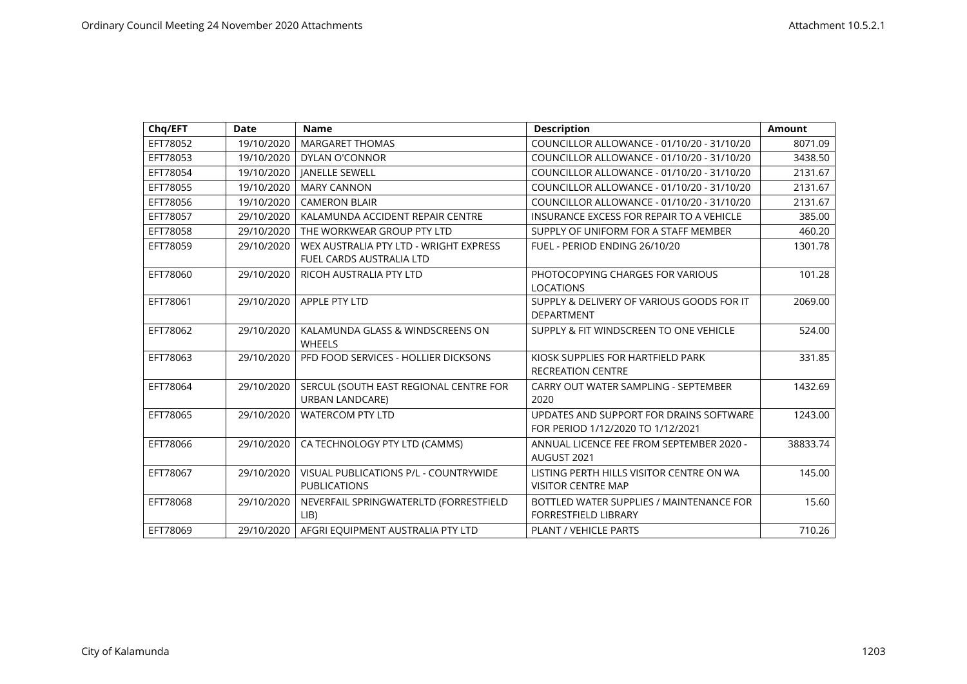| Chq/EFT  | <b>Date</b> | <b>Name</b>                            | <b>Description</b>                         | <b>Amount</b> |
|----------|-------------|----------------------------------------|--------------------------------------------|---------------|
| EFT78052 | 19/10/2020  | <b>MARGARET THOMAS</b>                 | COUNCILLOR ALLOWANCE - 01/10/20 - 31/10/20 | 8071.09       |
| EFT78053 | 19/10/2020  | <b>DYLAN O'CONNOR</b>                  | COUNCILLOR ALLOWANCE - 01/10/20 - 31/10/20 | 3438.50       |
| EFT78054 | 19/10/2020  | <b>JANELLE SEWELL</b>                  | COUNCILLOR ALLOWANCE - 01/10/20 - 31/10/20 | 2131.67       |
| EFT78055 | 19/10/2020  | <b>MARY CANNON</b>                     | COUNCILLOR ALLOWANCE - 01/10/20 - 31/10/20 | 2131.67       |
| EFT78056 | 19/10/2020  | <b>CAMERON BLAIR</b>                   | COUNCILLOR ALLOWANCE - 01/10/20 - 31/10/20 | 2131.67       |
| EFT78057 | 29/10/2020  | KALAMUNDA ACCIDENT REPAIR CENTRE       | INSURANCE EXCESS FOR REPAIR TO A VEHICLE   | 385.00        |
| EFT78058 | 29/10/2020  | THE WORKWEAR GROUP PTY LTD             | SUPPLY OF UNIFORM FOR A STAFF MEMBER       | 460.20        |
| EFT78059 | 29/10/2020  | WEX AUSTRALIA PTY LTD - WRIGHT EXPRESS | FUEL - PERIOD ENDING 26/10/20              | 1301.78       |
|          |             | FUEL CARDS AUSTRALIA LTD               |                                            |               |
| EFT78060 | 29/10/2020  | RICOH AUSTRALIA PTY LTD                | PHOTOCOPYING CHARGES FOR VARIOUS           | 101.28        |
|          |             |                                        | <b>LOCATIONS</b>                           |               |
| EFT78061 | 29/10/2020  | <b>APPLE PTY LTD</b>                   | SUPPLY & DELIVERY OF VARIOUS GOODS FOR IT  | 2069.00       |
|          |             |                                        | <b>DEPARTMENT</b>                          |               |
| EFT78062 | 29/10/2020  | KALAMUNDA GLASS & WINDSCREENS ON       | SUPPLY & FIT WINDSCREEN TO ONE VEHICLE     | 524.00        |
|          |             | <b>WHEELS</b>                          |                                            |               |
| EFT78063 | 29/10/2020  | PFD FOOD SERVICES - HOLLIER DICKSONS   | KIOSK SUPPLIES FOR HARTFIELD PARK          | 331.85        |
|          |             |                                        | <b>RECREATION CENTRE</b>                   |               |
| EFT78064 | 29/10/2020  | SERCUL (SOUTH EAST REGIONAL CENTRE FOR | CARRY OUT WATER SAMPLING - SEPTEMBER       | 1432.69       |
|          |             | <b>URBAN LANDCARE)</b>                 | 2020                                       |               |
| EFT78065 | 29/10/2020  | <b>WATERCOM PTY LTD</b>                | UPDATES AND SUPPORT FOR DRAINS SOFTWARE    | 1243.00       |
|          |             |                                        | FOR PERIOD 1/12/2020 TO 1/12/2021          |               |
| EFT78066 | 29/10/2020  | CA TECHNOLOGY PTY LTD (CAMMS)          | ANNUAL LICENCE FEE FROM SEPTEMBER 2020 -   | 38833.74      |
|          |             |                                        | AUGUST 2021                                |               |
| EFT78067 | 29/10/2020  | VISUAL PUBLICATIONS P/L - COUNTRYWIDE  | LISTING PERTH HILLS VISITOR CENTRE ON WA   | 145.00        |
|          |             | <b>PUBLICATIONS</b>                    | <b>VISITOR CENTRE MAP</b>                  |               |
| EFT78068 | 29/10/2020  | NEVERFAIL SPRINGWATERLTD (FORRESTFIELD | BOTTLED WATER SUPPLIES / MAINTENANCE FOR   | 15.60         |
|          |             | LIB                                    | <b>FORRESTFIELD LIBRARY</b>                |               |
| EFT78069 | 29/10/2020  | AFGRI EQUIPMENT AUSTRALIA PTY LTD      | <b>PLANT / VEHICLE PARTS</b>               | 710.26        |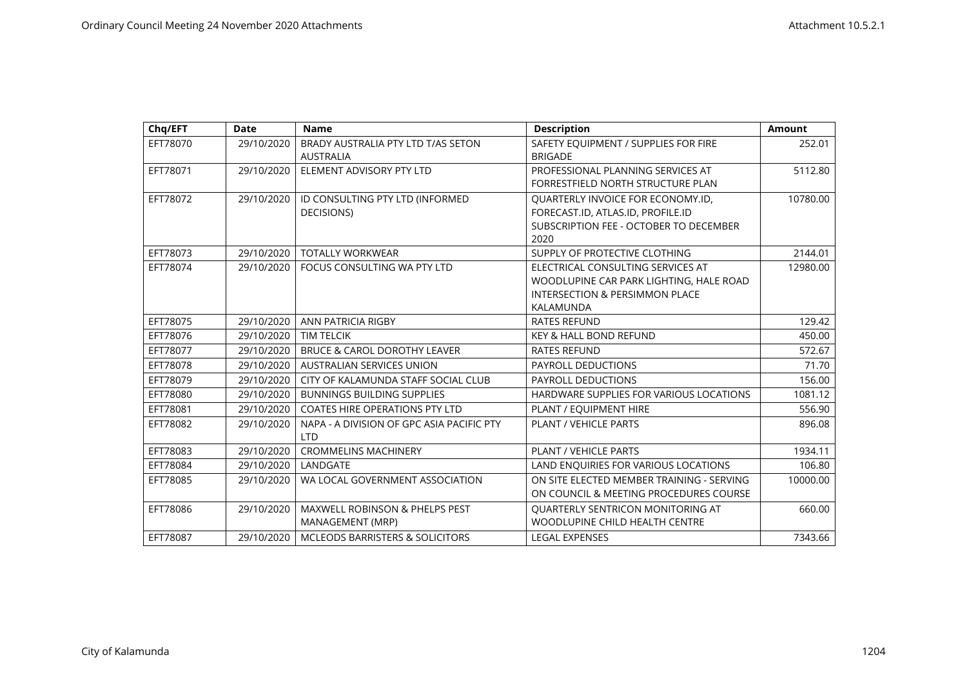| Chq/EFT  | <b>Date</b> | <b>Name</b>                                                   | <b>Description</b>                                                                                                                     | <b>Amount</b> |
|----------|-------------|---------------------------------------------------------------|----------------------------------------------------------------------------------------------------------------------------------------|---------------|
| EFT78070 | 29/10/2020  | BRADY AUSTRALIA PTY LTD T/AS SETON<br><b>AUSTRALIA</b>        | SAFETY EQUIPMENT / SUPPLIES FOR FIRE<br><b>BRIGADE</b>                                                                                 | 252.01        |
| EFT78071 | 29/10/2020  | ELEMENT ADVISORY PTY LTD                                      | PROFESSIONAL PLANNING SERVICES AT<br>FORRESTFIELD NORTH STRUCTURE PLAN                                                                 | 5112.80       |
| EFT78072 | 29/10/2020  | ID CONSULTING PTY LTD (INFORMED<br>DECISIONS)                 | QUARTERLY INVOICE FOR ECONOMY.ID,<br>FORECAST.ID, ATLAS.ID, PROFILE.ID<br>SUBSCRIPTION FEE - OCTOBER TO DECEMBER<br>2020               | 10780.00      |
| EFT78073 | 29/10/2020  | <b>TOTALLY WORKWEAR</b>                                       | SUPPLY OF PROTECTIVE CLOTHING                                                                                                          | 2144.01       |
| EFT78074 | 29/10/2020  | FOCUS CONSULTING WA PTY LTD                                   | ELECTRICAL CONSULTING SERVICES AT<br>WOODLUPINE CAR PARK LIGHTING, HALE ROAD<br><b>INTERSECTION &amp; PERSIMMON PLACE</b><br>KALAMUNDA | 12980.00      |
| EFT78075 | 29/10/2020  | ANN PATRICIA RIGBY                                            | <b>RATES REFUND</b>                                                                                                                    | 129.42        |
| EFT78076 | 29/10/2020  | <b>TIM TELCIK</b>                                             | <b>KEY &amp; HALL BOND REFUND</b>                                                                                                      | 450.00        |
| EFT78077 | 29/10/2020  | <b>BRUCE &amp; CAROL DOROTHY LEAVER</b>                       | <b>RATES REFUND</b>                                                                                                                    | 572.67        |
| EFT78078 | 29/10/2020  | <b>AUSTRALIAN SERVICES UNION</b>                              | <b>PAYROLL DEDUCTIONS</b>                                                                                                              | 71.70         |
| EFT78079 | 29/10/2020  | CITY OF KALAMUNDA STAFF SOCIAL CLUB                           | PAYROLL DEDUCTIONS                                                                                                                     | 156.00        |
| EFT78080 | 29/10/2020  | <b>BUNNINGS BUILDING SUPPLIES</b>                             | HARDWARE SUPPLIES FOR VARIOUS LOCATIONS                                                                                                | 1081.12       |
| EFT78081 | 29/10/2020  | <b>COATES HIRE OPERATIONS PTY LTD</b>                         | PLANT / EQUIPMENT HIRE                                                                                                                 | 556.90        |
| EFT78082 | 29/10/2020  | NAPA - A DIVISION OF GPC ASIA PACIFIC PTY<br><b>LTD</b>       | PLANT / VEHICLE PARTS                                                                                                                  | 896.08        |
| EFT78083 | 29/10/2020  | <b>CROMMELINS MACHINERY</b>                                   | <b>PLANT / VEHICLE PARTS</b>                                                                                                           | 1934.11       |
| EFT78084 | 29/10/2020  | LANDGATE                                                      | LAND ENQUIRIES FOR VARIOUS LOCATIONS                                                                                                   | 106.80        |
| EFT78085 | 29/10/2020  | WA LOCAL GOVERNMENT ASSOCIATION                               | ON SITE ELECTED MEMBER TRAINING - SERVING<br>ON COUNCIL & MEETING PROCEDURES COURSE                                                    | 10000.00      |
| EFT78086 | 29/10/2020  | <b>MAXWELL ROBINSON &amp; PHELPS PEST</b><br>MANAGEMENT (MRP) | QUARTERLY SENTRICON MONITORING AT<br>WOODLUPINE CHILD HEALTH CENTRE                                                                    | 660.00        |
| EFT78087 | 29/10/2020  | MCLEODS BARRISTERS & SOLICITORS                               | <b>LEGAL EXPENSES</b>                                                                                                                  | 7343.66       |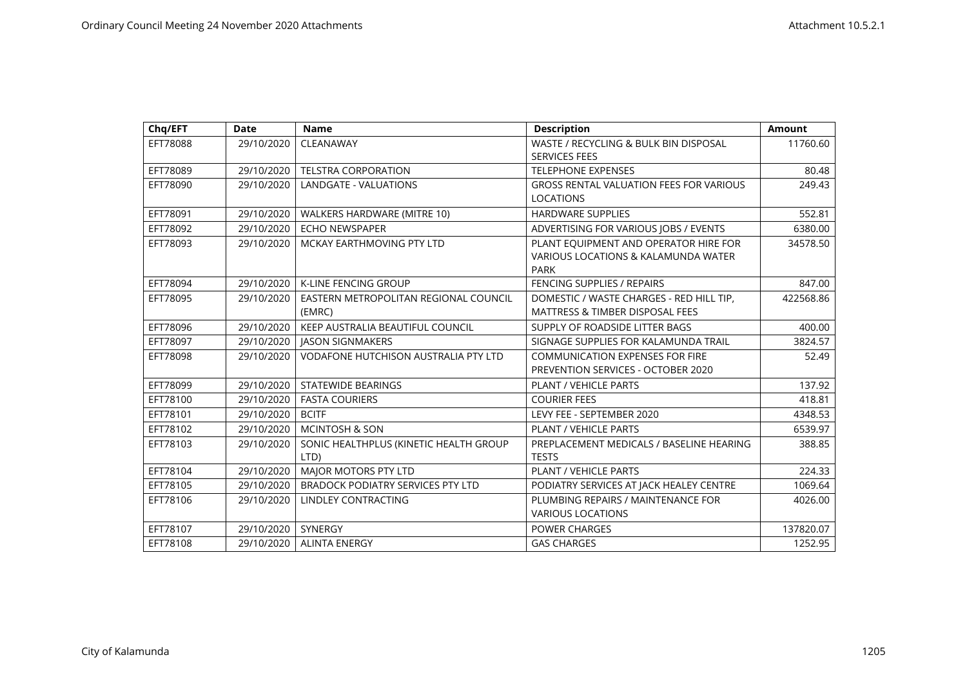| Chq/EFT  | <b>Date</b> | <b>Name</b>                                    | <b>Description</b>                                                                   | <b>Amount</b> |
|----------|-------------|------------------------------------------------|--------------------------------------------------------------------------------------|---------------|
| EFT78088 | 29/10/2020  | CLEANAWAY                                      | WASTE / RECYCLING & BULK BIN DISPOSAL<br><b>SERVICES FEES</b>                        | 11760.60      |
| EFT78089 | 29/10/2020  | <b>TELSTRA CORPORATION</b>                     | <b>TELEPHONE EXPENSES</b>                                                            | 80.48         |
| EFT78090 | 29/10/2020  | LANDGATE - VALUATIONS                          | <b>GROSS RENTAL VALUATION FEES FOR VARIOUS</b>                                       | 249.43        |
|          |             |                                                | <b>LOCATIONS</b>                                                                     |               |
| EFT78091 | 29/10/2020  | WALKERS HARDWARE (MITRE 10)                    | <b>HARDWARE SUPPLIES</b>                                                             | 552.81        |
| EFT78092 | 29/10/2020  | <b>ECHO NEWSPAPER</b>                          | ADVERTISING FOR VARIOUS JOBS / EVENTS                                                | 6380.00       |
| EFT78093 | 29/10/2020  | MCKAY EARTHMOVING PTY LTD                      | PLANT EQUIPMENT AND OPERATOR HIRE FOR<br>VARIOUS LOCATIONS & KALAMUNDA WATER<br>PARK | 34578.50      |
| EFT78094 | 29/10/2020  | <b>K-LINE FENCING GROUP</b>                    | <b>FENCING SUPPLIES / REPAIRS</b>                                                    | 847.00        |
| EFT78095 | 29/10/2020  | EASTERN METROPOLITAN REGIONAL COUNCIL          | DOMESTIC / WASTE CHARGES - RED HILL TIP.                                             | 422568.86     |
|          |             | (EMRC)                                         | <b>MATTRESS &amp; TIMBER DISPOSAL FEES</b>                                           |               |
| EFT78096 | 29/10/2020  | KEEP AUSTRALIA BEAUTIFUL COUNCIL               | SUPPLY OF ROADSIDE LITTER BAGS                                                       | 400.00        |
| EFT78097 | 29/10/2020  | <b>JASON SIGNMAKERS</b>                        | SIGNAGE SUPPLIES FOR KALAMUNDA TRAIL                                                 | 3824.57       |
| EFT78098 | 29/10/2020  | <b>VODAFONE HUTCHISON AUSTRALIA PTY LTD</b>    | <b>COMMUNICATION EXPENSES FOR FIRE</b><br>PREVENTION SERVICES - OCTOBER 2020         | 52.49         |
| EFT78099 | 29/10/2020  | STATEWIDE BEARINGS                             | <b>PLANT / VEHICLE PARTS</b>                                                         | 137.92        |
| EFT78100 | 29/10/2020  | <b>FASTA COURIERS</b>                          | <b>COURIER FEES</b>                                                                  | 418.81        |
| EFT78101 | 29/10/2020  | <b>BCITF</b>                                   | LEVY FEE - SEPTEMBER 2020                                                            | 4348.53       |
| EFT78102 | 29/10/2020  | <b>MCINTOSH &amp; SON</b>                      | PLANT / VEHICLE PARTS                                                                | 6539.97       |
| EFT78103 | 29/10/2020  | SONIC HEALTHPLUS (KINETIC HEALTH GROUP<br>LTD) | PREPLACEMENT MEDICALS / BASELINE HEARING<br><b>TESTS</b>                             | 388.85        |
| EFT78104 | 29/10/2020  | MAJOR MOTORS PTY LTD                           | PLANT / VEHICLE PARTS                                                                | 224.33        |
| EFT78105 | 29/10/2020  | <b>BRADOCK PODIATRY SERVICES PTY LTD</b>       | PODIATRY SERVICES AT JACK HEALEY CENTRE                                              | 1069.64       |
| EFT78106 | 29/10/2020  | LINDLEY CONTRACTING                            | PLUMBING REPAIRS / MAINTENANCE FOR<br><b>VARIOUS LOCATIONS</b>                       | 4026.00       |
| EFT78107 | 29/10/2020  | SYNERGY                                        | <b>POWER CHARGES</b>                                                                 | 137820.07     |
| EFT78108 | 29/10/2020  | <b>ALINTA ENERGY</b>                           | <b>GAS CHARGES</b>                                                                   | 1252.95       |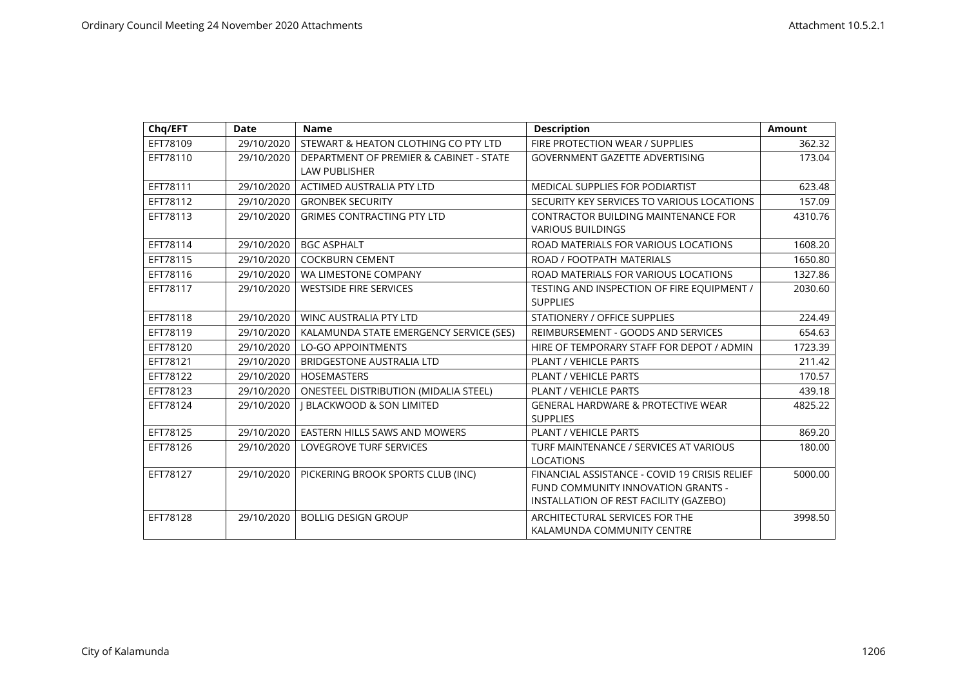| Chq/EFT  | <b>Date</b> | <b>Name</b>                                                     | <b>Description</b>                                                                                                            | <b>Amount</b> |
|----------|-------------|-----------------------------------------------------------------|-------------------------------------------------------------------------------------------------------------------------------|---------------|
| EFT78109 | 29/10/2020  | STEWART & HEATON CLOTHING CO PTY LTD                            | FIRE PROTECTION WEAR / SUPPLIES                                                                                               | 362.32        |
| EFT78110 | 29/10/2020  | DEPARTMENT OF PREMIER & CABINET - STATE<br><b>LAW PUBLISHER</b> | <b>GOVERNMENT GAZETTE ADVERTISING</b>                                                                                         | 173.04        |
| EFT78111 | 29/10/2020  | ACTIMED AUSTRALIA PTY LTD                                       | <b>MEDICAL SUPPLIES FOR PODIARTIST</b>                                                                                        | 623.48        |
| EFT78112 | 29/10/2020  | <b>GRONBEK SECURITY</b>                                         | SECURITY KEY SERVICES TO VARIOUS LOCATIONS                                                                                    | 157.09        |
| EFT78113 | 29/10/2020  | <b>GRIMES CONTRACTING PTY LTD</b>                               | <b>CONTRACTOR BUILDING MAINTENANCE FOR</b><br><b>VARIOUS BUILDINGS</b>                                                        | 4310.76       |
| EFT78114 | 29/10/2020  | <b>BGC ASPHALT</b>                                              | ROAD MATERIALS FOR VARIOUS LOCATIONS                                                                                          | 1608.20       |
| EFT78115 | 29/10/2020  | <b>COCKBURN CEMENT</b>                                          | ROAD / FOOTPATH MATERIALS                                                                                                     | 1650.80       |
| EFT78116 | 29/10/2020  | WA LIMESTONE COMPANY                                            | ROAD MATERIALS FOR VARIOUS LOCATIONS                                                                                          | 1327.86       |
| EFT78117 | 29/10/2020  | <b>WESTSIDE FIRE SERVICES</b>                                   | TESTING AND INSPECTION OF FIRE EQUIPMENT /<br><b>SUPPLIES</b>                                                                 | 2030.60       |
| EFT78118 | 29/10/2020  | <b>WINC AUSTRALIA PTY LTD</b>                                   | STATIONERY / OFFICE SUPPLIES                                                                                                  | 224.49        |
| EFT78119 | 29/10/2020  | KALAMUNDA STATE EMERGENCY SERVICE (SES)                         | REIMBURSEMENT - GOODS AND SERVICES                                                                                            | 654.63        |
| EFT78120 | 29/10/2020  | <b>LO-GO APPOINTMENTS</b>                                       | HIRE OF TEMPORARY STAFF FOR DEPOT / ADMIN                                                                                     | 1723.39       |
| EFT78121 | 29/10/2020  | <b>BRIDGESTONE AUSTRALIA LTD</b>                                | PLANT / VEHICLE PARTS                                                                                                         | 211.42        |
| EFT78122 | 29/10/2020  | <b>HOSEMASTERS</b>                                              | PLANT / VEHICLE PARTS                                                                                                         | 170.57        |
| EFT78123 | 29/10/2020  | <b>ONESTEEL DISTRIBUTION (MIDALIA STEEL)</b>                    | PLANT / VEHICLE PARTS                                                                                                         | 439.18        |
| EFT78124 | 29/10/2020  | <b>J BLACKWOOD &amp; SON LIMITED</b>                            | <b>GENERAL HARDWARE &amp; PROTECTIVE WEAR</b><br><b>SUPPLIES</b>                                                              | 4825.22       |
| EFT78125 | 29/10/2020  | <b>EASTERN HILLS SAWS AND MOWERS</b>                            | PLANT / VEHICLE PARTS                                                                                                         | 869.20        |
| EFT78126 | 29/10/2020  | <b>LOVEGROVE TURF SERVICES</b>                                  | TURF MAINTENANCE / SERVICES AT VARIOUS<br><b>LOCATIONS</b>                                                                    | 180.00        |
| EFT78127 | 29/10/2020  | PICKERING BROOK SPORTS CLUB (INC)                               | FINANCIAL ASSISTANCE - COVID 19 CRISIS RELIEF<br>FUND COMMUNITY INNOVATION GRANTS -<br>INSTALLATION OF REST FACILITY (GAZEBO) | 5000.00       |
| EFT78128 | 29/10/2020  | <b>BOLLIG DESIGN GROUP</b>                                      | ARCHITECTURAL SERVICES FOR THE<br>KALAMUNDA COMMUNITY CENTRE                                                                  | 3998.50       |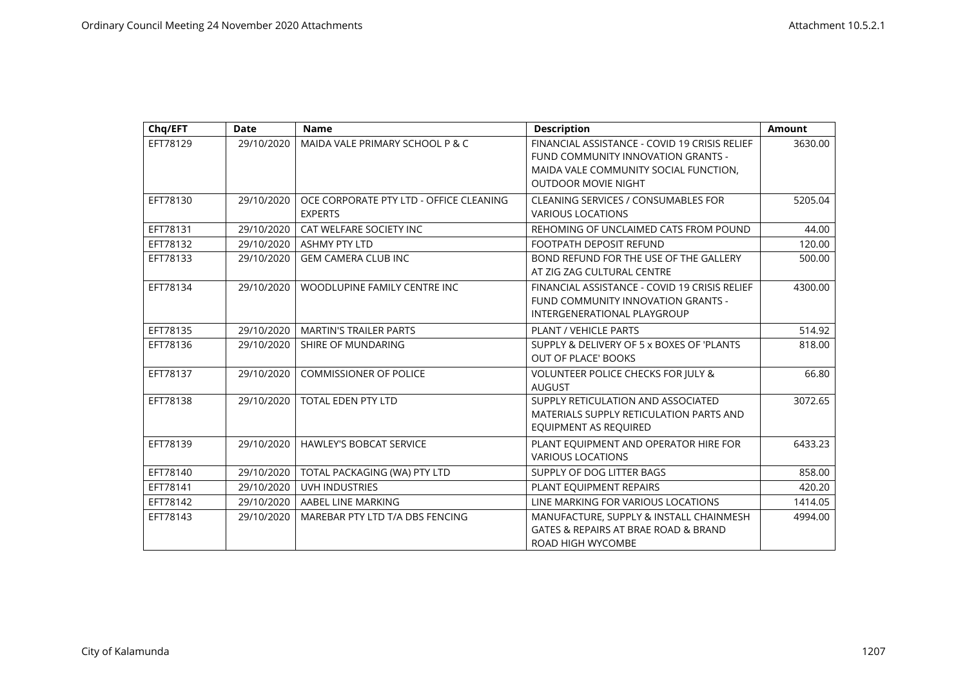| Chq/EFT  | <b>Date</b> | <b>Name</b>                                               | <b>Description</b>                                                                                                                                         | <b>Amount</b> |
|----------|-------------|-----------------------------------------------------------|------------------------------------------------------------------------------------------------------------------------------------------------------------|---------------|
| EFT78129 | 29/10/2020  | MAIDA VALE PRIMARY SCHOOL P & C                           | FINANCIAL ASSISTANCE - COVID 19 CRISIS RELIEF<br>FUND COMMUNITY INNOVATION GRANTS -<br>MAIDA VALE COMMUNITY SOCIAL FUNCTION,<br><b>OUTDOOR MOVIE NIGHT</b> | 3630.00       |
| EFT78130 | 29/10/2020  | OCE CORPORATE PTY LTD - OFFICE CLEANING<br><b>EXPERTS</b> | <b>CLEANING SERVICES / CONSUMABLES FOR</b><br><b>VARIOUS LOCATIONS</b>                                                                                     | 5205.04       |
| EFT78131 | 29/10/2020  | CAT WELFARE SOCIETY INC                                   | REHOMING OF UNCLAIMED CATS FROM POUND                                                                                                                      | 44.00         |
| EFT78132 | 29/10/2020  | <b>ASHMY PTY LTD</b>                                      | FOOTPATH DEPOSIT REFUND                                                                                                                                    | 120.00        |
| EFT78133 | 29/10/2020  | <b>GEM CAMERA CLUB INC</b>                                | BOND REFUND FOR THE USE OF THE GALLERY<br>AT ZIG ZAG CULTURAL CENTRE                                                                                       | 500.00        |
| EFT78134 | 29/10/2020  | WOODLUPINE FAMILY CENTRE INC                              | FINANCIAL ASSISTANCE - COVID 19 CRISIS RELIEF<br>FUND COMMUNITY INNOVATION GRANTS -<br>INTERGENERATIONAL PLAYGROUP                                         | 4300.00       |
| EFT78135 | 29/10/2020  | <b>MARTIN'S TRAILER PARTS</b>                             | PLANT / VEHICLE PARTS                                                                                                                                      | 514.92        |
| EFT78136 | 29/10/2020  | SHIRE OF MUNDARING                                        | SUPPLY & DELIVERY OF 5 x BOXES OF 'PLANTS<br><b>OUT OF PLACE' BOOKS</b>                                                                                    | 818.00        |
| EFT78137 | 29/10/2020  | <b>COMMISSIONER OF POLICE</b>                             | <b>VOLUNTEER POLICE CHECKS FOR JULY &amp;</b><br><b>AUGUST</b>                                                                                             | 66.80         |
| EFT78138 | 29/10/2020  | TOTAL EDEN PTY LTD                                        | SUPPLY RETICULATION AND ASSOCIATED<br>MATERIALS SUPPLY RETICULATION PARTS AND<br>EQUIPMENT AS REQUIRED                                                     | 3072.65       |
| EFT78139 | 29/10/2020  | HAWLEY'S BOBCAT SERVICE                                   | PLANT EQUIPMENT AND OPERATOR HIRE FOR<br><b>VARIOUS LOCATIONS</b>                                                                                          | 6433.23       |
| EFT78140 | 29/10/2020  | TOTAL PACKAGING (WA) PTY LTD                              | SUPPLY OF DOG LITTER BAGS                                                                                                                                  | 858.00        |
| EFT78141 | 29/10/2020  | <b>UVH INDUSTRIES</b>                                     | PLANT EQUIPMENT REPAIRS                                                                                                                                    | 420.20        |
| EFT78142 | 29/10/2020  | AABEL LINE MARKING                                        | LINE MARKING FOR VARIOUS LOCATIONS                                                                                                                         | 1414.05       |
| EFT78143 | 29/10/2020  | MAREBAR PTY LTD T/A DBS FENCING                           | MANUFACTURE, SUPPLY & INSTALL CHAINMESH<br>GATES & REPAIRS AT BRAE ROAD & BRAND<br>ROAD HIGH WYCOMBE                                                       | 4994.00       |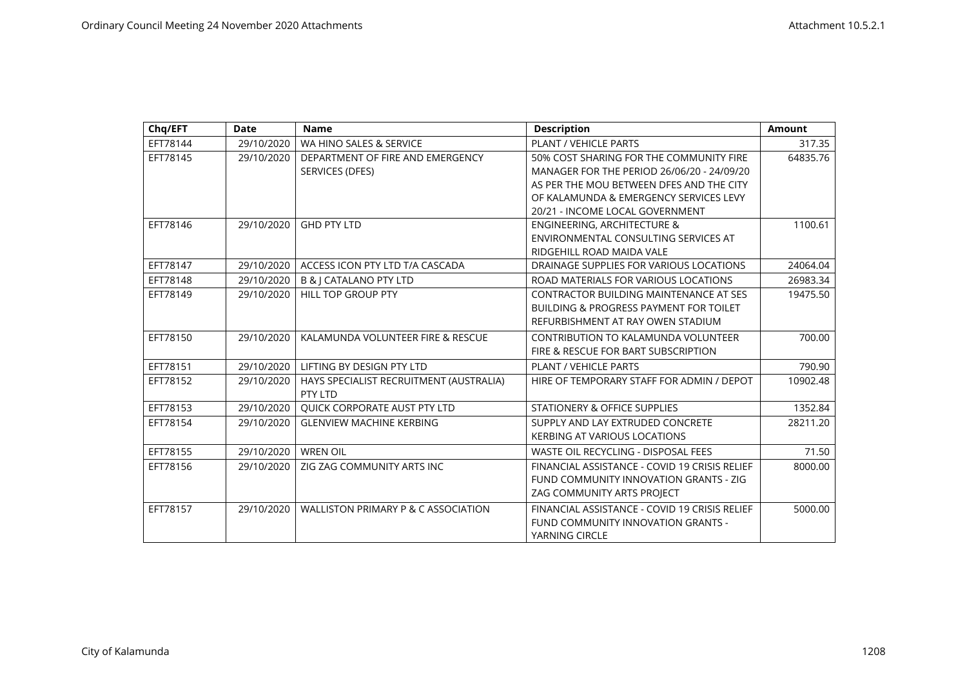| Chq/EFT  | <b>Date</b> | <b>Name</b>                             | <b>Description</b>                                | <b>Amount</b> |
|----------|-------------|-----------------------------------------|---------------------------------------------------|---------------|
| EFT78144 | 29/10/2020  | WA HINO SALES & SERVICE                 | PLANT / VEHICLE PARTS                             | 317.35        |
| EFT78145 | 29/10/2020  | DEPARTMENT OF FIRE AND EMERGENCY        | 50% COST SHARING FOR THE COMMUNITY FIRE           | 64835.76      |
|          |             | SERVICES (DFES)                         | MANAGER FOR THE PERIOD 26/06/20 - 24/09/20        |               |
|          |             |                                         | AS PER THE MOU BETWEEN DFES AND THE CITY          |               |
|          |             |                                         | OF KALAMUNDA & EMERGENCY SERVICES LEVY            |               |
|          |             |                                         | 20/21 - INCOME LOCAL GOVERNMENT                   |               |
| EFT78146 | 29/10/2020  | <b>GHD PTY LTD</b>                      | <b>ENGINEERING, ARCHITECTURE &amp;</b>            | 1100.61       |
|          |             |                                         | ENVIRONMENTAL CONSULTING SERVICES AT              |               |
|          |             |                                         | RIDGEHILL ROAD MAIDA VALE                         |               |
| EFT78147 | 29/10/2020  | ACCESS ICON PTY LTD T/A CASCADA         | DRAINAGE SUPPLIES FOR VARIOUS LOCATIONS           | 24064.04      |
| EFT78148 | 29/10/2020  | <b>B &amp; J CATALANO PTY LTD</b>       | ROAD MATERIALS FOR VARIOUS LOCATIONS              | 26983.34      |
| EFT78149 | 29/10/2020  | <b>HILL TOP GROUP PTY</b>               | CONTRACTOR BUILDING MAINTENANCE AT SES            | 19475.50      |
|          |             |                                         | <b>BUILDING &amp; PROGRESS PAYMENT FOR TOILET</b> |               |
|          |             |                                         | REFURBISHMENT AT RAY OWEN STADIUM                 |               |
| EFT78150 | 29/10/2020  | KALAMUNDA VOLUNTEER FIRE & RESCUE       | CONTRIBUTION TO KALAMUNDA VOLUNTEER               | 700.00        |
|          |             |                                         | FIRE & RESCUE FOR BART SUBSCRIPTION               |               |
| EFT78151 | 29/10/2020  | LIFTING BY DESIGN PTY LTD               | <b>PLANT / VEHICLE PARTS</b>                      | 790.90        |
| EFT78152 | 29/10/2020  | HAYS SPECIALIST RECRUITMENT (AUSTRALIA) | HIRE OF TEMPORARY STAFF FOR ADMIN / DEPOT         | 10902.48      |
|          |             | PTY LTD                                 |                                                   |               |
| EFT78153 | 29/10/2020  | <b>QUICK CORPORATE AUST PTY LTD</b>     | STATIONERY & OFFICE SUPPLIES                      | 1352.84       |
| EFT78154 | 29/10/2020  | <b>GLENVIEW MACHINE KERBING</b>         | SUPPLY AND LAY EXTRUDED CONCRETE                  | 28211.20      |
|          |             |                                         | <b>KERBING AT VARIOUS LOCATIONS</b>               |               |
| EFT78155 | 29/10/2020  | <b>WREN OIL</b>                         | WASTE OIL RECYCLING - DISPOSAL FEES               | 71.50         |
| EFT78156 | 29/10/2020  | ZIG ZAG COMMUNITY ARTS INC              | FINANCIAL ASSISTANCE - COVID 19 CRISIS RELIEF     | 8000.00       |
|          |             |                                         | FUND COMMUNITY INNOVATION GRANTS - ZIG            |               |
|          |             |                                         | ZAG COMMUNITY ARTS PROJECT                        |               |
| EFT78157 | 29/10/2020  | WALLISTON PRIMARY P & C ASSOCIATION     | FINANCIAL ASSISTANCE - COVID 19 CRISIS RELIEF     | 5000.00       |
|          |             |                                         | FUND COMMUNITY INNOVATION GRANTS -                |               |
|          |             |                                         | YARNING CIRCLE                                    |               |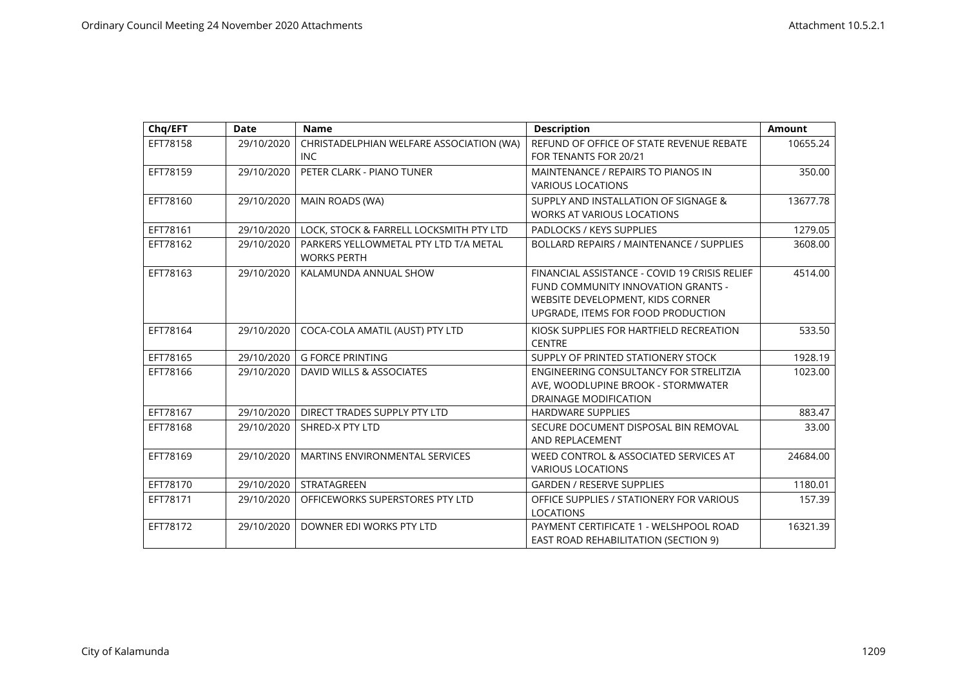| Chq/EFT  | <b>Date</b> | <b>Name</b>                                                 | <b>Description</b>                                                                                                                                            | <b>Amount</b> |
|----------|-------------|-------------------------------------------------------------|---------------------------------------------------------------------------------------------------------------------------------------------------------------|---------------|
| EFT78158 | 29/10/2020  | CHRISTADELPHIAN WELFARE ASSOCIATION (WA)<br><b>INC</b>      | REFUND OF OFFICE OF STATE REVENUE REBATE<br>FOR TENANTS FOR 20/21                                                                                             | 10655.24      |
| EFT78159 | 29/10/2020  | PETER CLARK - PIANO TUNER                                   | MAINTENANCE / REPAIRS TO PIANOS IN<br><b>VARIOUS LOCATIONS</b>                                                                                                | 350.00        |
| EFT78160 | 29/10/2020  | MAIN ROADS (WA)                                             | SUPPLY AND INSTALLATION OF SIGNAGE &<br><b>WORKS AT VARIOUS LOCATIONS</b>                                                                                     | 13677.78      |
| EFT78161 | 29/10/2020  | LOCK, STOCK & FARRELL LOCKSMITH PTY LTD                     | PADLOCKS / KEYS SUPPLIES                                                                                                                                      | 1279.05       |
| EFT78162 | 29/10/2020  | PARKERS YELLOWMETAL PTY LTD T/A METAL<br><b>WORKS PERTH</b> | BOLLARD REPAIRS / MAINTENANCE / SUPPLIES                                                                                                                      | 3608.00       |
| EFT78163 | 29/10/2020  | KALAMUNDA ANNUAL SHOW                                       | FINANCIAL ASSISTANCE - COVID 19 CRISIS RELIEF<br>FUND COMMUNITY INNOVATION GRANTS -<br>WEBSITE DEVELOPMENT, KIDS CORNER<br>UPGRADE, ITEMS FOR FOOD PRODUCTION | 4514.00       |
| EFT78164 | 29/10/2020  | COCA-COLA AMATIL (AUST) PTY LTD                             | KIOSK SUPPLIES FOR HARTFIELD RECREATION<br><b>CENTRE</b>                                                                                                      | 533.50        |
| EFT78165 | 29/10/2020  | <b>G FORCE PRINTING</b>                                     | SUPPLY OF PRINTED STATIONERY STOCK                                                                                                                            | 1928.19       |
| EFT78166 | 29/10/2020  | DAVID WILLS & ASSOCIATES                                    | ENGINEERING CONSULTANCY FOR STRELITZIA<br>AVE, WOODLUPINE BROOK - STORMWATER<br><b>DRAINAGE MODIFICATION</b>                                                  | 1023.00       |
| EFT78167 | 29/10/2020  | DIRECT TRADES SUPPLY PTY LTD                                | <b>HARDWARE SUPPLIES</b>                                                                                                                                      | 883.47        |
| EFT78168 | 29/10/2020  | SHRED-X PTY LTD                                             | SECURE DOCUMENT DISPOSAL BIN REMOVAL<br>AND REPLACEMENT                                                                                                       | 33.00         |
| EFT78169 | 29/10/2020  | <b>MARTINS ENVIRONMENTAL SERVICES</b>                       | WEED CONTROL & ASSOCIATED SERVICES AT<br><b>VARIOUS LOCATIONS</b>                                                                                             | 24684.00      |
| EFT78170 | 29/10/2020  | STRATAGREEN                                                 | <b>GARDEN / RESERVE SUPPLIES</b>                                                                                                                              | 1180.01       |
| EFT78171 | 29/10/2020  | OFFICEWORKS SUPERSTORES PTY LTD                             | OFFICE SUPPLIES / STATIONERY FOR VARIOUS<br><b>LOCATIONS</b>                                                                                                  | 157.39        |
| EFT78172 | 29/10/2020  | DOWNER EDI WORKS PTY LTD                                    | PAYMENT CERTIFICATE 1 - WELSHPOOL ROAD<br><b>EAST ROAD REHABILITATION (SECTION 9)</b>                                                                         | 16321.39      |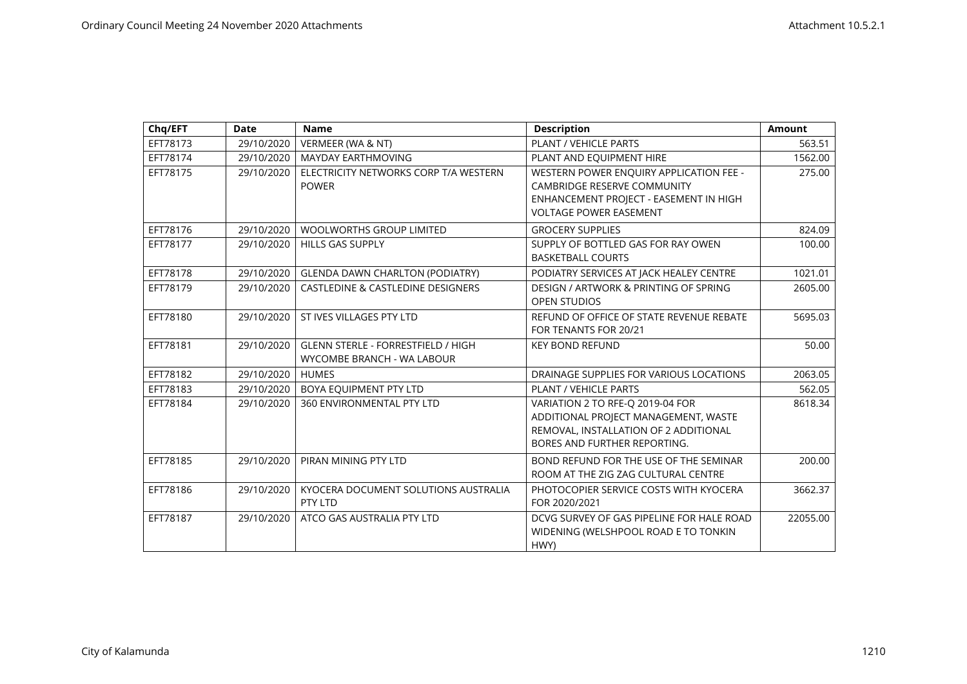| Chq/EFT  | <b>Date</b> | <b>Name</b>                                                             | <b>Description</b>                                                                                                                                | <b>Amount</b> |
|----------|-------------|-------------------------------------------------------------------------|---------------------------------------------------------------------------------------------------------------------------------------------------|---------------|
| EFT78173 | 29/10/2020  | VERMEER (WA & NT)                                                       | PLANT / VEHICLE PARTS                                                                                                                             | 563.51        |
| EFT78174 | 29/10/2020  | <b>MAYDAY EARTHMOVING</b>                                               | PLANT AND EQUIPMENT HIRE                                                                                                                          | 1562.00       |
| EFT78175 | 29/10/2020  | ELECTRICITY NETWORKS CORP T/A WESTERN<br><b>POWER</b>                   | WESTERN POWER ENOUIRY APPLICATION FEE -<br>CAMBRIDGE RESERVE COMMUNITY<br>ENHANCEMENT PROJECT - EASEMENT IN HIGH<br><b>VOLTAGE POWER EASEMENT</b> | 275.00        |
| EFT78176 | 29/10/2020  | <b>WOOLWORTHS GROUP LIMITED</b>                                         | <b>GROCERY SUPPLIES</b>                                                                                                                           | 824.09        |
| EFT78177 | 29/10/2020  | <b>HILLS GAS SUPPLY</b>                                                 | SUPPLY OF BOTTLED GAS FOR RAY OWEN<br><b>BASKETBALL COURTS</b>                                                                                    | 100.00        |
| EFT78178 | 29/10/2020  | <b>GLENDA DAWN CHARLTON (PODIATRY)</b>                                  | PODIATRY SERVICES AT JACK HEALEY CENTRE                                                                                                           | 1021.01       |
| EFT78179 | 29/10/2020  | <b>CASTLEDINE &amp; CASTLEDINE DESIGNERS</b>                            | DESIGN / ARTWORK & PRINTING OF SPRING<br><b>OPEN STUDIOS</b>                                                                                      | 2605.00       |
| EFT78180 | 29/10/2020  | ST IVES VILLAGES PTY LTD                                                | REFUND OF OFFICE OF STATE REVENUE REBATE<br>FOR TENANTS FOR 20/21                                                                                 | 5695.03       |
| EFT78181 | 29/10/2020  | <b>GLENN STERLE - FORRESTFIELD / HIGH</b><br>WYCOMBE BRANCH - WA LABOUR | <b>KEY BOND REFUND</b>                                                                                                                            | 50.00         |
| EFT78182 | 29/10/2020  | <b>HUMES</b>                                                            | DRAINAGE SUPPLIES FOR VARIOUS LOCATIONS                                                                                                           | 2063.05       |
| EFT78183 | 29/10/2020  | BOYA EQUIPMENT PTY LTD                                                  | PLANT / VEHICLE PARTS                                                                                                                             | 562.05        |
| EFT78184 | 29/10/2020  | 360 ENVIRONMENTAL PTY LTD                                               | VARIATION 2 TO RFE-Q 2019-04 FOR<br>ADDITIONAL PROJECT MANAGEMENT, WASTE<br>REMOVAL, INSTALLATION OF 2 ADDITIONAL<br>BORES AND FURTHER REPORTING. | 8618.34       |
| EFT78185 | 29/10/2020  | PIRAN MINING PTY LTD                                                    | BOND REFUND FOR THE USE OF THE SEMINAR<br>ROOM AT THE ZIG ZAG CULTURAL CENTRE                                                                     | 200.00        |
| EFT78186 | 29/10/2020  | KYOCERA DOCUMENT SOLUTIONS AUSTRALIA<br>PTY LTD                         | PHOTOCOPIER SERVICE COSTS WITH KYOCERA<br>FOR 2020/2021                                                                                           | 3662.37       |
| EFT78187 | 29/10/2020  | ATCO GAS AUSTRALIA PTY LTD                                              | DCVG SURVEY OF GAS PIPELINE FOR HALE ROAD<br>WIDENING (WELSHPOOL ROAD E TO TONKIN<br>HWY)                                                         | 22055.00      |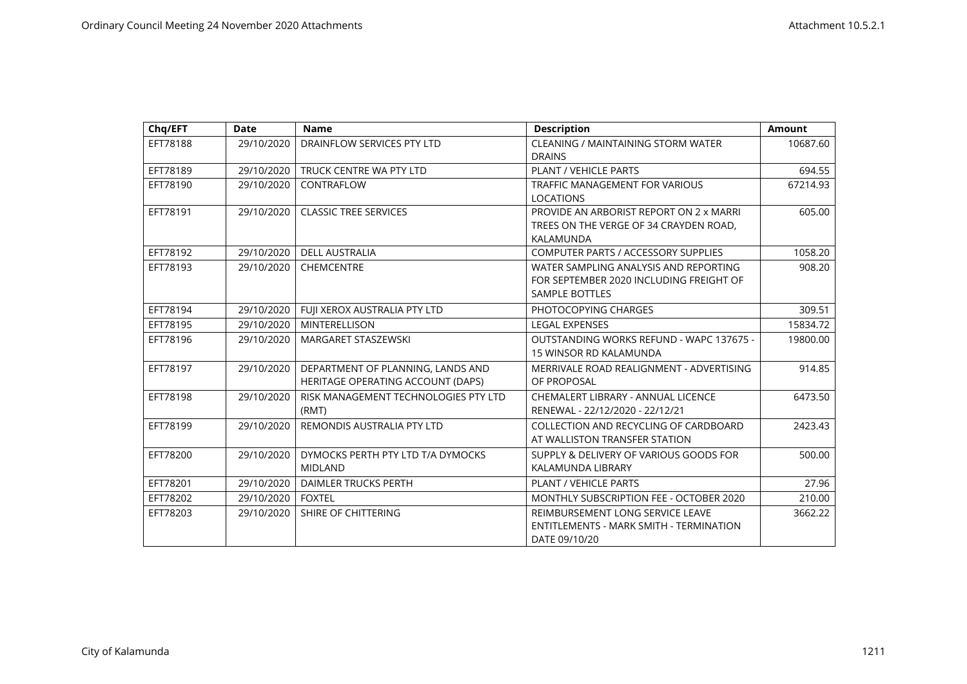| Chq/EFT  | <b>Date</b> | <b>Name</b>                                                            | <b>Description</b>                                                                                        | <b>Amount</b> |
|----------|-------------|------------------------------------------------------------------------|-----------------------------------------------------------------------------------------------------------|---------------|
| EFT78188 | 29/10/2020  | DRAINFLOW SERVICES PTY LTD                                             | <b>CLEANING / MAINTAINING STORM WATER</b><br><b>DRAINS</b>                                                | 10687.60      |
| EFT78189 | 29/10/2020  | TRUCK CENTRE WA PTY LTD                                                | PLANT / VEHICLE PARTS                                                                                     | 694.55        |
| EFT78190 | 29/10/2020  | CONTRAFLOW                                                             | <b>TRAFFIC MANAGEMENT FOR VARIOUS</b><br><b>LOCATIONS</b>                                                 | 67214.93      |
| EFT78191 | 29/10/2020  | <b>CLASSIC TREE SERVICES</b>                                           | PROVIDE AN ARBORIST REPORT ON 2 x MARRI<br>TREES ON THE VERGE OF 34 CRAYDEN ROAD.<br>KALAMUNDA            | 605.00        |
| EFT78192 | 29/10/2020  | <b>DELL AUSTRALIA</b>                                                  | <b>COMPUTER PARTS / ACCESSORY SUPPLIES</b>                                                                | 1058.20       |
| EFT78193 | 29/10/2020  | CHEMCENTRE                                                             | WATER SAMPLING ANALYSIS AND REPORTING<br>FOR SEPTEMBER 2020 INCLUDING FREIGHT OF<br><b>SAMPLE BOTTLES</b> | 908.20        |
| EFT78194 | 29/10/2020  | FUII XEROX AUSTRALIA PTY LTD                                           | PHOTOCOPYING CHARGES                                                                                      | 309.51        |
| EFT78195 | 29/10/2020  | <b>MINTERELLISON</b>                                                   | <b>LEGAL EXPENSES</b>                                                                                     | 15834.72      |
| EFT78196 | 29/10/2020  | <b>MARGARET STASZEWSKI</b>                                             | OUTSTANDING WORKS REFUND - WAPC 137675 -<br><b>15 WINSOR RD KALAMUNDA</b>                                 | 19800.00      |
| EFT78197 | 29/10/2020  | DEPARTMENT OF PLANNING, LANDS AND<br>HERITAGE OPERATING ACCOUNT (DAPS) | MERRIVALE ROAD REALIGNMENT - ADVERTISING<br>OF PROPOSAL                                                   | 914.85        |
| EFT78198 | 29/10/2020  | RISK MANAGEMENT TECHNOLOGIES PTY LTD<br>(RMT)                          | CHEMALERT LIBRARY - ANNUAL LICENCE<br>RENEWAL - 22/12/2020 - 22/12/21                                     | 6473.50       |
| EFT78199 | 29/10/2020  | REMONDIS AUSTRALIA PTY LTD                                             | COLLECTION AND RECYCLING OF CARDBOARD<br>AT WALLISTON TRANSFER STATION                                    | 2423.43       |
| EFT78200 | 29/10/2020  | DYMOCKS PERTH PTY LTD T/A DYMOCKS<br><b>MIDLAND</b>                    | SUPPLY & DELIVERY OF VARIOUS GOODS FOR<br>KALAMUNDA LIBRARY                                               | 500.00        |
| EFT78201 | 29/10/2020  | DAIMLER TRUCKS PERTH                                                   | PLANT / VEHICLE PARTS                                                                                     | 27.96         |
| EFT78202 | 29/10/2020  | FOXTEL                                                                 | MONTHLY SUBSCRIPTION FEE - OCTOBER 2020                                                                   | 210.00        |
| EFT78203 | 29/10/2020  | SHIRE OF CHITTERING                                                    | REIMBURSEMENT LONG SERVICE LEAVE<br>ENTITLEMENTS - MARK SMITH - TERMINATION<br>DATE 09/10/20              | 3662.22       |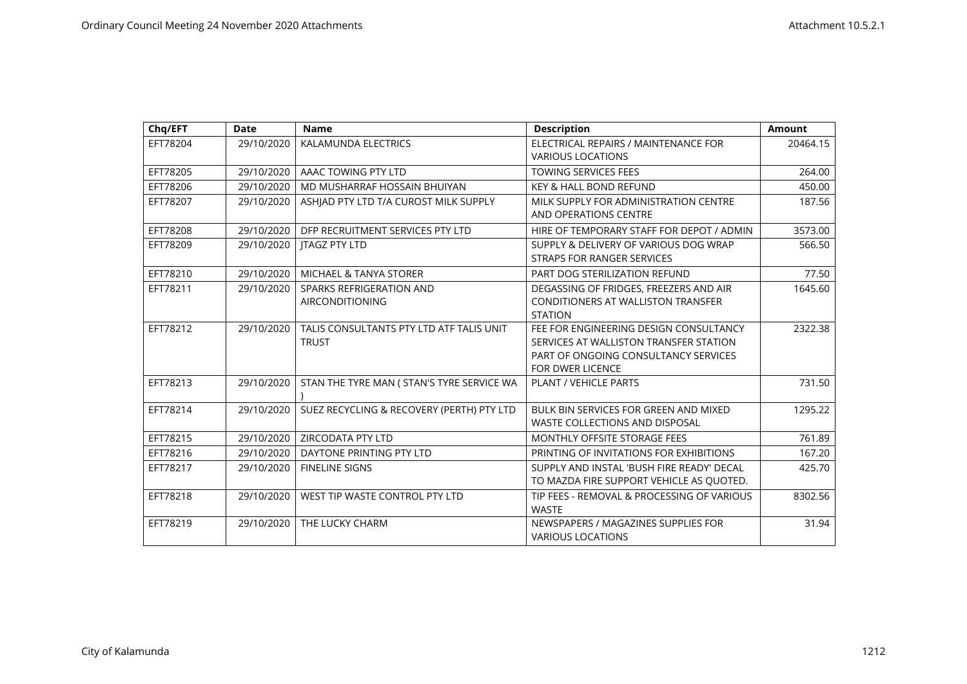| Chq/EFT  | <b>Date</b> | <b>Name</b>                                              | <b>Description</b>                                                                                                                                  | <b>Amount</b> |
|----------|-------------|----------------------------------------------------------|-----------------------------------------------------------------------------------------------------------------------------------------------------|---------------|
| EFT78204 | 29/10/2020  | KALAMUNDA ELECTRICS                                      | ELECTRICAL REPAIRS / MAINTENANCE FOR<br><b>VARIOUS LOCATIONS</b>                                                                                    | 20464.15      |
| EFT78205 | 29/10/2020  | AAAC TOWING PTY LTD                                      | <b>TOWING SERVICES FEES</b>                                                                                                                         | 264.00        |
| EFT78206 | 29/10/2020  | MD MUSHARRAF HOSSAIN BHUIYAN                             | <b>KEY &amp; HALL BOND REFUND</b>                                                                                                                   | 450.00        |
| EFT78207 | 29/10/2020  | ASHIAD PTY LTD T/A CUROST MILK SUPPLY                    | MILK SUPPLY FOR ADMINISTRATION CENTRE<br>AND OPERATIONS CENTRE                                                                                      | 187.56        |
| EFT78208 | 29/10/2020  | DFP RECRUITMENT SERVICES PTY LTD                         | HIRE OF TEMPORARY STAFF FOR DEPOT / ADMIN                                                                                                           | 3573.00       |
| EFT78209 | 29/10/2020  | <b>ITAGZ PTY LTD</b>                                     | SUPPLY & DELIVERY OF VARIOUS DOG WRAP<br>STRAPS FOR RANGER SERVICES                                                                                 | 566.50        |
| EFT78210 | 29/10/2020  | <b>MICHAEL &amp; TANYA STORER</b>                        | PART DOG STERILIZATION REFUND                                                                                                                       | 77.50         |
| EFT78211 | 29/10/2020  | SPARKS REFRIGERATION AND                                 | DEGASSING OF FRIDGES, FREEZERS AND AIR                                                                                                              | 1645.60       |
|          |             | <b>AIRCONDITIONING</b>                                   | CONDITIONERS AT WALLISTON TRANSFER<br><b>STATION</b>                                                                                                |               |
| EFT78212 | 29/10/2020  | TALIS CONSULTANTS PTY LTD ATF TALIS UNIT<br><b>TRUST</b> | FEE FOR ENGINEERING DESIGN CONSULTANCY<br>SERVICES AT WALLISTON TRANSFER STATION<br>PART OF ONGOING CONSULTANCY SERVICES<br><b>FOR DWER LICENCE</b> | 2322.38       |
| EFT78213 | 29/10/2020  | STAN THE TYRE MAN ( STAN'S TYRE SERVICE WA               | <b>PLANT / VEHICLE PARTS</b>                                                                                                                        | 731.50        |
| EFT78214 | 29/10/2020  | SUEZ RECYCLING & RECOVERY (PERTH) PTY LTD                | BULK BIN SERVICES FOR GREEN AND MIXED<br><b>WASTE COLLECTIONS AND DISPOSAL</b>                                                                      | 1295.22       |
| EFT78215 | 29/10/2020  | <b>ZIRCODATA PTY LTD</b>                                 | MONTHLY OFFSITE STORAGE FEES                                                                                                                        | 761.89        |
| EFT78216 | 29/10/2020  | DAYTONE PRINTING PTY LTD                                 | PRINTING OF INVITATIONS FOR EXHIBITIONS                                                                                                             | 167.20        |
| EFT78217 | 29/10/2020  | <b>FINELINE SIGNS</b>                                    | SUPPLY AND INSTAL 'BUSH FIRE READY' DECAL<br>TO MAZDA FIRE SUPPORT VEHICLE AS QUOTED.                                                               | 425.70        |
| EFT78218 | 29/10/2020  | WEST TIP WASTE CONTROL PTY LTD                           | TIP FEES - REMOVAL & PROCESSING OF VARIOUS<br><b>WASTE</b>                                                                                          | 8302.56       |
| EFT78219 | 29/10/2020  | THE LUCKY CHARM                                          | NEWSPAPERS / MAGAZINES SUPPLIES FOR<br><b>VARIOUS LOCATIONS</b>                                                                                     | 31.94         |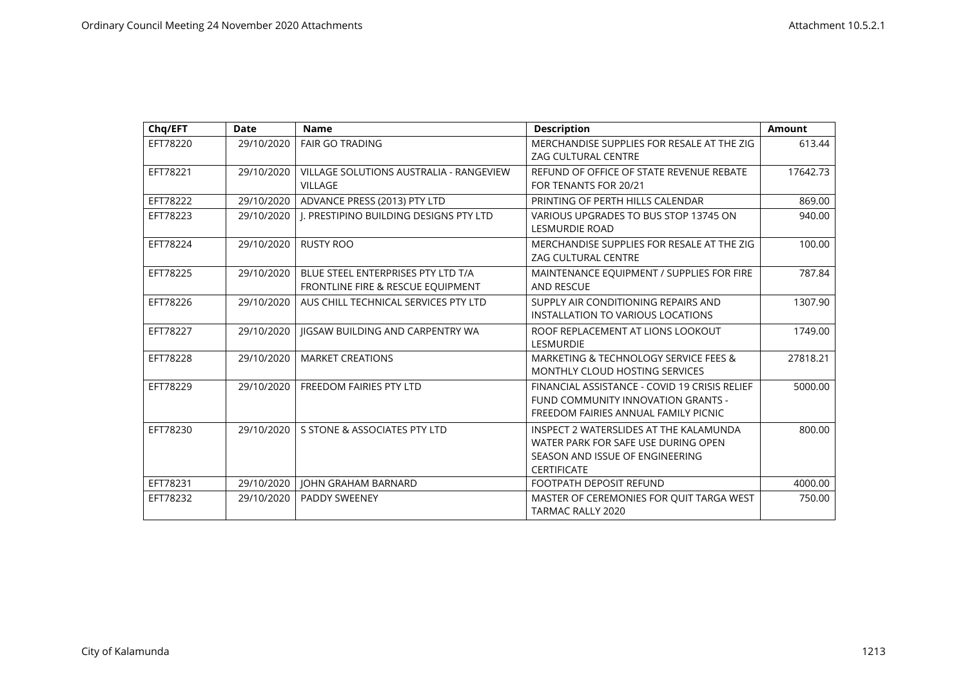| Chq/EFT  | <b>Date</b> | <b>Name</b>                                                             | <b>Description</b>                                                                                                                     | <b>Amount</b> |
|----------|-------------|-------------------------------------------------------------------------|----------------------------------------------------------------------------------------------------------------------------------------|---------------|
| EFT78220 | 29/10/2020  | <b>FAIR GO TRADING</b>                                                  | MERCHANDISE SUPPLIES FOR RESALE AT THE ZIG<br><b>ZAG CULTURAL CENTRE</b>                                                               | 613.44        |
| EFT78221 | 29/10/2020  | VILLAGE SOLUTIONS AUSTRALIA - RANGEVIEW<br>VILLAGE                      | REFUND OF OFFICE OF STATE REVENUE REBATE<br>FOR TENANTS FOR 20/21                                                                      | 17642.73      |
| EFT78222 | 29/10/2020  | ADVANCE PRESS (2013) PTY LTD                                            | PRINTING OF PERTH HILLS CALENDAR                                                                                                       | 869.00        |
| EFT78223 | 29/10/2020  | I. PRESTIPINO BUILDING DESIGNS PTY LTD                                  | VARIOUS UPGRADES TO BUS STOP 13745 ON<br><b>LESMURDIE ROAD</b>                                                                         | 940.00        |
| EFT78224 | 29/10/2020  | <b>RUSTY ROO</b>                                                        | MERCHANDISE SUPPLIES FOR RESALE AT THE ZIG<br><b>ZAG CULTURAL CENTRE</b>                                                               | 100.00        |
| EFT78225 | 29/10/2020  | BLUE STEEL ENTERPRISES PTY LTD T/A<br>FRONTLINE FIRE & RESCUE EQUIPMENT | MAINTENANCE EQUIPMENT / SUPPLIES FOR FIRE<br><b>AND RESCUE</b>                                                                         | 787.84        |
| EFT78226 | 29/10/2020  | AUS CHILL TECHNICAL SERVICES PTY LTD                                    | SUPPLY AIR CONDITIONING REPAIRS AND<br><b>INSTALLATION TO VARIOUS LOCATIONS</b>                                                        | 1307.90       |
| EFT78227 | 29/10/2020  | <b>IIGSAW BUILDING AND CARPENTRY WA</b>                                 | ROOF REPLACEMENT AT LIONS LOOKOUT<br><b>LESMURDIE</b>                                                                                  | 1749.00       |
| EFT78228 | 29/10/2020  | <b>MARKET CREATIONS</b>                                                 | MARKETING & TECHNOLOGY SERVICE FEES &<br>MONTHLY CLOUD HOSTING SERVICES                                                                | 27818.21      |
| EFT78229 | 29/10/2020  | <b>FREEDOM FAIRIES PTY LTD</b>                                          | FINANCIAL ASSISTANCE - COVID 19 CRISIS RELIEF<br>FUND COMMUNITY INNOVATION GRANTS -<br>FREEDOM FAIRIES ANNUAL FAMILY PICNIC            | 5000.00       |
| EFT78230 | 29/10/2020  | S STONE & ASSOCIATES PTY LTD                                            | INSPECT 2 WATERSLIDES AT THE KALAMUNDA<br>WATER PARK FOR SAFE USE DURING OPEN<br>SEASON AND ISSUE OF ENGINEERING<br><b>CERTIFICATE</b> | 800.00        |
| EFT78231 | 29/10/2020  | <b>JOHN GRAHAM BARNARD</b>                                              | <b>FOOTPATH DEPOSIT REFUND</b>                                                                                                         | 4000.00       |
| EFT78232 | 29/10/2020  | <b>PADDY SWEENEY</b>                                                    | MASTER OF CEREMONIES FOR OUIT TARGA WEST<br><b>TARMAC RALLY 2020</b>                                                                   | 750.00        |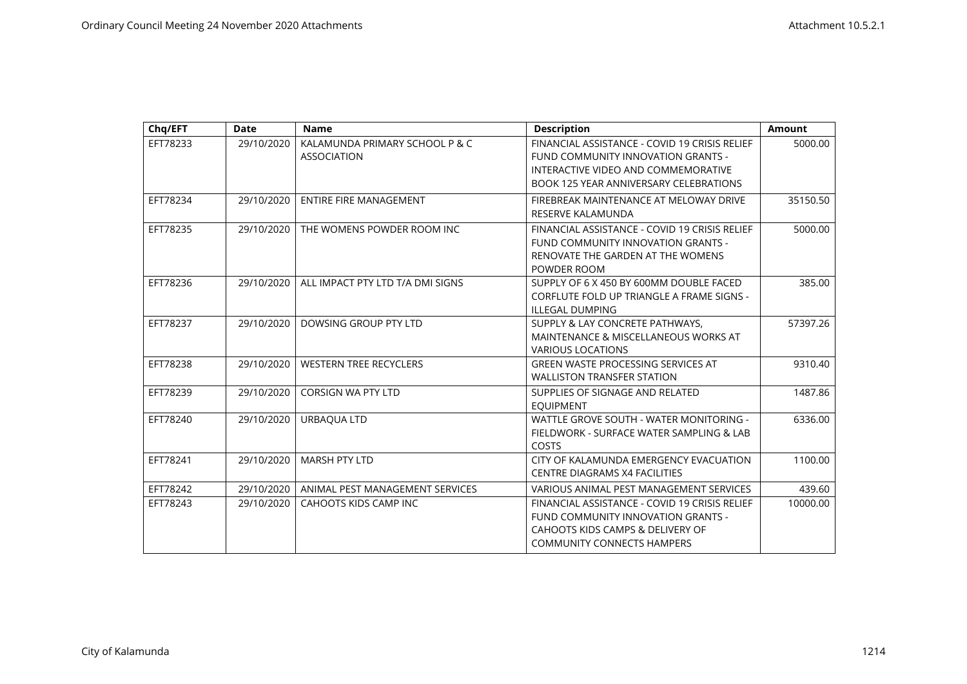| Chq/EFT  | <b>Date</b> | <b>Name</b>                                          | <b>Description</b>                                                                                                                                           | <b>Amount</b> |
|----------|-------------|------------------------------------------------------|--------------------------------------------------------------------------------------------------------------------------------------------------------------|---------------|
| EFT78233 | 29/10/2020  | KALAMUNDA PRIMARY SCHOOL P & C<br><b>ASSOCIATION</b> | FINANCIAL ASSISTANCE - COVID 19 CRISIS RELIEF<br>FUND COMMUNITY INNOVATION GRANTS -<br>INTERACTIVE VIDEO AND COMMEMORATIVE                                   | 5000.00       |
|          |             |                                                      | <b>BOOK 125 YEAR ANNIVERSARY CELEBRATIONS</b>                                                                                                                |               |
| EFT78234 | 29/10/2020  | <b>ENTIRE FIRE MANAGEMENT</b>                        | FIREBREAK MAINTENANCE AT MELOWAY DRIVE<br>RESERVE KALAMUNDA                                                                                                  | 35150.50      |
| EFT78235 | 29/10/2020  | THE WOMENS POWDER ROOM INC                           | FINANCIAL ASSISTANCE - COVID 19 CRISIS RELIEF<br>FUND COMMUNITY INNOVATION GRANTS -<br>RENOVATE THE GARDEN AT THE WOMENS<br>POWDER ROOM                      | 5000.00       |
| EFT78236 | 29/10/2020  | ALL IMPACT PTY LTD T/A DMI SIGNS                     | SUPPLY OF 6 X 450 BY 600MM DOUBLE FACED<br><b>CORFLUTE FOLD UP TRIANGLE A FRAME SIGNS -</b><br><b>ILLEGAL DUMPING</b>                                        | 385.00        |
| EFT78237 | 29/10/2020  | DOWSING GROUP PTY LTD                                | SUPPLY & LAY CONCRETE PATHWAYS,<br>MAINTENANCE & MISCELLANEOUS WORKS AT<br><b>VARIOUS LOCATIONS</b>                                                          | 57397.26      |
| EFT78238 | 29/10/2020  | <b>WESTERN TREE RECYCLERS</b>                        | <b>GREEN WASTE PROCESSING SERVICES AT</b><br><b>WALLISTON TRANSFER STATION</b>                                                                               | 9310.40       |
| EFT78239 | 29/10/2020  | <b>CORSIGN WA PTY LTD</b>                            | SUPPLIES OF SIGNAGE AND RELATED<br><b>EQUIPMENT</b>                                                                                                          | 1487.86       |
| EFT78240 | 29/10/2020  | URBAQUA LTD                                          | WATTLE GROVE SOUTH - WATER MONITORING -<br>FIELDWORK - SURFACE WATER SAMPLING & LAB<br>COSTS                                                                 | 6336.00       |
| EFT78241 | 29/10/2020  | <b>MARSH PTY LTD</b>                                 | CITY OF KALAMUNDA EMERGENCY EVACUATION<br><b>CENTRE DIAGRAMS X4 FACILITIES</b>                                                                               | 1100.00       |
| EFT78242 | 29/10/2020  | ANIMAL PEST MANAGEMENT SERVICES                      | VARIOUS ANIMAL PEST MANAGEMENT SERVICES                                                                                                                      | 439.60        |
| EFT78243 | 29/10/2020  | <b>CAHOOTS KIDS CAMP INC</b>                         | FINANCIAL ASSISTANCE - COVID 19 CRISIS RELIEF<br>FUND COMMUNITY INNOVATION GRANTS -<br>CAHOOTS KIDS CAMPS & DELIVERY OF<br><b>COMMUNITY CONNECTS HAMPERS</b> | 10000.00      |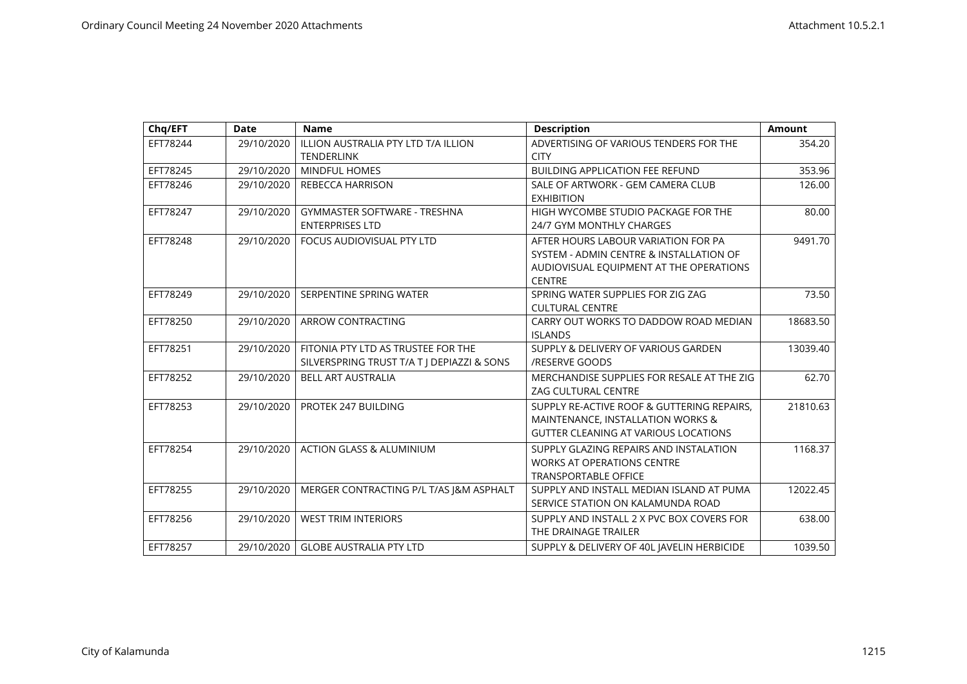| Chq/EFT  | <b>Date</b> | <b>Name</b>                                                                      | <b>Description</b>                                                                                                                         | <b>Amount</b> |
|----------|-------------|----------------------------------------------------------------------------------|--------------------------------------------------------------------------------------------------------------------------------------------|---------------|
| EFT78244 | 29/10/2020  | ILLION AUSTRALIA PTY LTD T/A ILLION<br><b>TENDERLINK</b>                         | ADVERTISING OF VARIOUS TENDERS FOR THE<br><b>CITY</b>                                                                                      | 354.20        |
| EFT78245 | 29/10/2020  | <b>MINDFUL HOMES</b>                                                             | <b>BUILDING APPLICATION FEE REFUND</b>                                                                                                     | 353.96        |
| EFT78246 | 29/10/2020  | <b>REBECCA HARRISON</b>                                                          | SALE OF ARTWORK - GEM CAMERA CLUB<br><b>EXHIBITION</b>                                                                                     | 126.00        |
| EFT78247 | 29/10/2020  | <b>GYMMASTER SOFTWARE - TRESHNA</b><br><b>ENTERPRISES LTD</b>                    | HIGH WYCOMBE STUDIO PACKAGE FOR THE<br>24/7 GYM MONTHLY CHARGES                                                                            | 80.00         |
| EFT78248 | 29/10/2020  | FOCUS AUDIOVISUAL PTY LTD                                                        | AFTER HOURS LABOUR VARIATION FOR PA<br>SYSTEM - ADMIN CENTRE & INSTALLATION OF<br>AUDIOVISUAL EQUIPMENT AT THE OPERATIONS<br><b>CENTRE</b> | 9491.70       |
| EFT78249 | 29/10/2020  | SERPENTINE SPRING WATER                                                          | SPRING WATER SUPPLIES FOR ZIG ZAG<br><b>CULTURAL CENTRE</b>                                                                                | 73.50         |
| EFT78250 | 29/10/2020  | ARROW CONTRACTING                                                                | CARRY OUT WORKS TO DADDOW ROAD MEDIAN<br><b>ISLANDS</b>                                                                                    | 18683.50      |
| EFT78251 | 29/10/2020  | FITONIA PTY LTD AS TRUSTEE FOR THE<br>SILVERSPRING TRUST T/A T J DEPIAZZI & SONS | SUPPLY & DELIVERY OF VARIOUS GARDEN<br>/RESERVE GOODS                                                                                      | 13039.40      |
| EFT78252 | 29/10/2020  | <b>BELL ART AUSTRALIA</b>                                                        | MERCHANDISE SUPPLIES FOR RESALE AT THE ZIG<br><b>ZAG CULTURAL CENTRE</b>                                                                   | 62.70         |
| EFT78253 | 29/10/2020  | PROTEK 247 BUILDING                                                              | SUPPLY RE-ACTIVE ROOF & GUTTERING REPAIRS,<br>MAINTENANCE, INSTALLATION WORKS &<br><b>GUTTER CLEANING AT VARIOUS LOCATIONS</b>             | 21810.63      |
| EFT78254 | 29/10/2020  | <b>ACTION GLASS &amp; ALUMINIUM</b>                                              | SUPPLY GLAZING REPAIRS AND INSTALATION<br><b>WORKS AT OPERATIONS CENTRE</b><br><b>TRANSPORTABLE OFFICE</b>                                 | 1168.37       |
| EFT78255 | 29/10/2020  | MERGER CONTRACTING P/L T/AS J&M ASPHALT                                          | SUPPLY AND INSTALL MEDIAN ISLAND AT PUMA<br>SERVICE STATION ON KALAMUNDA ROAD                                                              | 12022.45      |
| EFT78256 | 29/10/2020  | <b>WEST TRIM INTERIORS</b>                                                       | SUPPLY AND INSTALL 2 X PVC BOX COVERS FOR<br>THE DRAINAGE TRAILER                                                                          | 638.00        |
| EFT78257 | 29/10/2020  | <b>GLOBE AUSTRALIA PTY LTD</b>                                                   | SUPPLY & DELIVERY OF 40L JAVELIN HERBICIDE                                                                                                 | 1039.50       |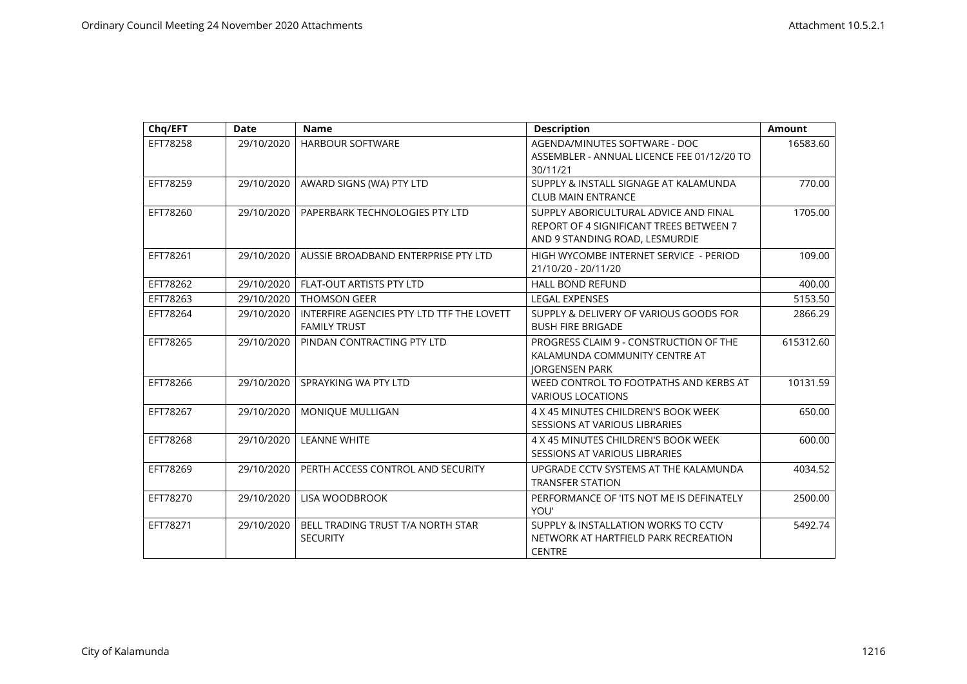| Chq/EFT  | <b>Date</b> | <b>Name</b>                                                      | <b>Description</b>                                                                                                 | <b>Amount</b> |
|----------|-------------|------------------------------------------------------------------|--------------------------------------------------------------------------------------------------------------------|---------------|
| EFT78258 | 29/10/2020  | <b>HARBOUR SOFTWARE</b>                                          | AGENDA/MINUTES SOFTWARE - DOC<br>ASSEMBLER - ANNUAL LICENCE FEE 01/12/20 TO<br>30/11/21                            | 16583.60      |
| EFT78259 | 29/10/2020  | AWARD SIGNS (WA) PTY LTD                                         | SUPPLY & INSTALL SIGNAGE AT KALAMUNDA<br><b>CLUB MAIN ENTRANCE</b>                                                 | 770.00        |
| EFT78260 | 29/10/2020  | PAPERBARK TECHNOLOGIES PTY LTD                                   | SUPPLY ABORICULTURAL ADVICE AND FINAL<br>REPORT OF 4 SIGNIFICANT TREES BETWEEN 7<br>AND 9 STANDING ROAD, LESMURDIE | 1705.00       |
| EFT78261 | 29/10/2020  | AUSSIE BROADBAND ENTERPRISE PTY LTD                              | HIGH WYCOMBE INTERNET SERVICE - PERIOD<br>21/10/20 - 20/11/20                                                      | 109.00        |
| EFT78262 | 29/10/2020  | FLAT-OUT ARTISTS PTY LTD                                         | <b>HALL BOND REFUND</b>                                                                                            | 400.00        |
| EFT78263 | 29/10/2020  | <b>THOMSON GEER</b>                                              | <b>LEGAL EXPENSES</b>                                                                                              | 5153.50       |
| EFT78264 | 29/10/2020  | INTERFIRE AGENCIES PTY LTD TTF THE LOVETT<br><b>FAMILY TRUST</b> | SUPPLY & DELIVERY OF VARIOUS GOODS FOR<br><b>BUSH FIRE BRIGADE</b>                                                 | 2866.29       |
| EFT78265 | 29/10/2020  | PINDAN CONTRACTING PTY LTD                                       | PROGRESS CLAIM 9 - CONSTRUCTION OF THE<br>KALAMUNDA COMMUNITY CENTRE AT<br><b>JORGENSEN PARK</b>                   | 615312.60     |
| EFT78266 | 29/10/2020  | SPRAYKING WA PTY LTD                                             | WEED CONTROL TO FOOTPATHS AND KERBS AT<br><b>VARIOUS LOCATIONS</b>                                                 | 10131.59      |
| EFT78267 | 29/10/2020  | MONIQUE MULLIGAN                                                 | 4 X 45 MINUTES CHILDREN'S BOOK WEEK<br>SESSIONS AT VARIOUS LIBRARIES                                               | 650.00        |
| EFT78268 | 29/10/2020  | <b>LEANNE WHITE</b>                                              | 4 X 45 MINUTES CHILDREN'S BOOK WEEK<br>SESSIONS AT VARIOUS LIBRARIES                                               | 600.00        |
| EFT78269 | 29/10/2020  | PERTH ACCESS CONTROL AND SECURITY                                | UPGRADE CCTV SYSTEMS AT THE KALAMUNDA<br><b>TRANSFER STATION</b>                                                   | 4034.52       |
| EFT78270 | 29/10/2020  | LISA WOODBROOK                                                   | PERFORMANCE OF 'ITS NOT ME IS DEFINATELY<br>YOU'                                                                   | 2500.00       |
| EFT78271 | 29/10/2020  | BELL TRADING TRUST T/A NORTH STAR<br><b>SECURITY</b>             | SUPPLY & INSTALLATION WORKS TO CCTV<br>NETWORK AT HARTFIELD PARK RECREATION<br><b>CENTRE</b>                       | 5492.74       |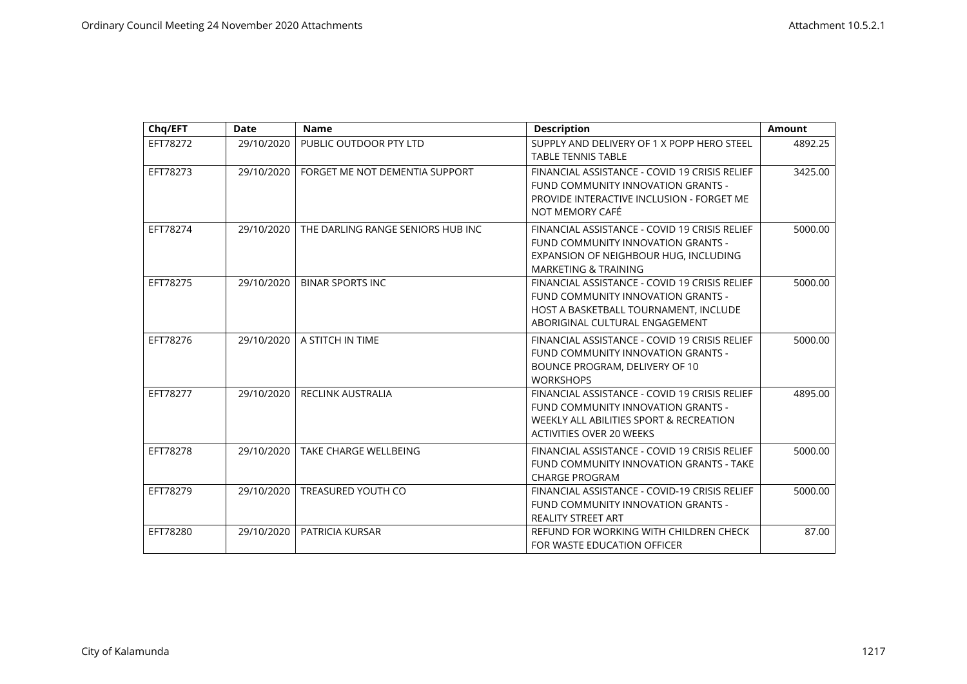| Chq/EFT  | <b>Date</b> | <b>Name</b>                       | <b>Description</b>                                                                                                                                                | <b>Amount</b> |
|----------|-------------|-----------------------------------|-------------------------------------------------------------------------------------------------------------------------------------------------------------------|---------------|
| EFT78272 | 29/10/2020  | PUBLIC OUTDOOR PTY LTD            | SUPPLY AND DELIVERY OF 1 X POPP HERO STEEL<br><b>TABLE TENNIS TABLE</b>                                                                                           | 4892.25       |
| EFT78273 | 29/10/2020  | FORGET ME NOT DEMENTIA SUPPORT    | FINANCIAL ASSISTANCE - COVID 19 CRISIS RELIEF<br>FUND COMMUNITY INNOVATION GRANTS -<br>PROVIDE INTERACTIVE INCLUSION - FORGET ME<br>NOT MEMORY CAFÉ               | 3425.00       |
| EFT78274 | 29/10/2020  | THE DARLING RANGE SENIORS HUB INC | FINANCIAL ASSISTANCE - COVID 19 CRISIS RELIEF<br>FUND COMMUNITY INNOVATION GRANTS -<br>EXPANSION OF NEIGHBOUR HUG, INCLUDING<br><b>MARKETING &amp; TRAINING</b>   | 5000.00       |
| EFT78275 | 29/10/2020  | <b>BINAR SPORTS INC</b>           | FINANCIAL ASSISTANCE - COVID 19 CRISIS RELIEF<br>FUND COMMUNITY INNOVATION GRANTS -<br>HOST A BASKETBALL TOURNAMENT, INCLUDE<br>ABORIGINAL CULTURAL ENGAGEMENT    | 5000.00       |
| EFT78276 | 29/10/2020  | A STITCH IN TIME                  | FINANCIAL ASSISTANCE - COVID 19 CRISIS RELIEF<br>FUND COMMUNITY INNOVATION GRANTS -<br>BOUNCE PROGRAM, DELIVERY OF 10<br><b>WORKSHOPS</b>                         | 5000.00       |
| EFT78277 | 29/10/2020  | <b>RECLINK AUSTRALIA</b>          | FINANCIAL ASSISTANCE - COVID 19 CRISIS RELIEF<br>FUND COMMUNITY INNOVATION GRANTS -<br>WEEKLY ALL ABILITIES SPORT & RECREATION<br><b>ACTIVITIES OVER 20 WEEKS</b> | 4895.00       |
| EFT78278 | 29/10/2020  | <b>TAKE CHARGE WELLBEING</b>      | FINANCIAL ASSISTANCE - COVID 19 CRISIS RELIEF<br>FUND COMMUNITY INNOVATION GRANTS - TAKE<br><b>CHARGE PROGRAM</b>                                                 | 5000.00       |
| EFT78279 | 29/10/2020  | <b>TREASURED YOUTH CO</b>         | FINANCIAL ASSISTANCE - COVID-19 CRISIS RELIEF<br>FUND COMMUNITY INNOVATION GRANTS -<br><b>REALITY STREET ART</b>                                                  | 5000.00       |
| EFT78280 | 29/10/2020  | PATRICIA KURSAR                   | REFUND FOR WORKING WITH CHILDREN CHECK<br>FOR WASTE EDUCATION OFFICER                                                                                             | 87.00         |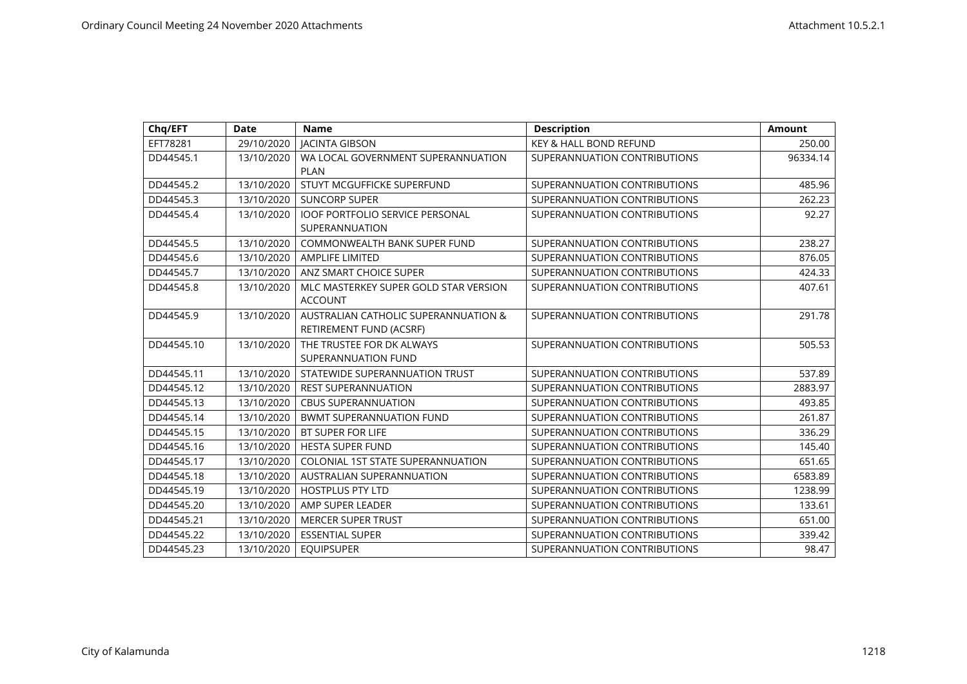| Chq/EFT    | Date       | <b>Name</b>                                                     | <b>Description</b>           | <b>Amount</b> |
|------------|------------|-----------------------------------------------------------------|------------------------------|---------------|
| EFT78281   | 29/10/2020 | <b>JACINTA GIBSON</b>                                           | KEY & HALL BOND REFUND       | 250.00        |
| DD44545.1  | 13/10/2020 | WA LOCAL GOVERNMENT SUPERANNUATION<br><b>PLAN</b>               | SUPERANNUATION CONTRIBUTIONS | 96334.14      |
| DD44545.2  | 13/10/2020 | STUYT MCGUFFICKE SUPERFUND                                      | SUPERANNUATION CONTRIBUTIONS | 485.96        |
| DD44545.3  | 13/10/2020 | <b>SUNCORP SUPER</b>                                            | SUPERANNUATION CONTRIBUTIONS | 262.23        |
| DD44545.4  | 13/10/2020 | <b>IOOF PORTFOLIO SERVICE PERSONAL</b><br>SUPERANNUATION        | SUPERANNUATION CONTRIBUTIONS | 92.27         |
| DD44545.5  | 13/10/2020 | <b>COMMONWEALTH BANK SUPER FUND</b>                             | SUPERANNUATION CONTRIBUTIONS | 238.27        |
| DD44545.6  | 13/10/2020 | <b>AMPLIFE LIMITED</b>                                          | SUPERANNUATION CONTRIBUTIONS | 876.05        |
| DD44545.7  | 13/10/2020 | ANZ SMART CHOICE SUPER                                          | SUPERANNUATION CONTRIBUTIONS | 424.33        |
| DD44545.8  | 13/10/2020 | MLC MASTERKEY SUPER GOLD STAR VERSION<br><b>ACCOUNT</b>         | SUPERANNUATION CONTRIBUTIONS | 407.61        |
| DD44545.9  | 13/10/2020 | AUSTRALIAN CATHOLIC SUPERANNUATION &<br>RETIREMENT FUND (ACSRF) | SUPERANNUATION CONTRIBUTIONS | 291.78        |
| DD44545.10 | 13/10/2020 | THE TRUSTEE FOR DK ALWAYS<br>SUPERANNUATION FUND                | SUPERANNUATION CONTRIBUTIONS | 505.53        |
| DD44545.11 | 13/10/2020 | STATEWIDE SUPERANNUATION TRUST                                  | SUPERANNUATION CONTRIBUTIONS | 537.89        |
| DD44545.12 | 13/10/2020 | <b>REST SUPERANNUATION</b>                                      | SUPERANNUATION CONTRIBUTIONS | 2883.97       |
| DD44545.13 | 13/10/2020 | <b>CBUS SUPERANNUATION</b>                                      | SUPERANNUATION CONTRIBUTIONS | 493.85        |
| DD44545.14 | 13/10/2020 | <b>BWMT SUPERANNUATION FUND</b>                                 | SUPERANNUATION CONTRIBUTIONS | 261.87        |
| DD44545.15 | 13/10/2020 | <b>BT SUPER FOR LIFE</b>                                        | SUPERANNUATION CONTRIBUTIONS | 336.29        |
| DD44545.16 | 13/10/2020 | <b>HESTA SUPER FUND</b>                                         | SUPERANNUATION CONTRIBUTIONS | 145.40        |
| DD44545.17 | 13/10/2020 | <b>COLONIAL 1ST STATE SUPERANNUATION</b>                        | SUPERANNUATION CONTRIBUTIONS | 651.65        |
| DD44545.18 | 13/10/2020 | AUSTRALIAN SUPERANNUATION                                       | SUPERANNUATION CONTRIBUTIONS | 6583.89       |
| DD44545.19 | 13/10/2020 | <b>HOSTPLUS PTY LTD</b>                                         | SUPERANNUATION CONTRIBUTIONS | 1238.99       |
| DD44545.20 | 13/10/2020 | AMP SUPER LEADER                                                | SUPERANNUATION CONTRIBUTIONS | 133.61        |
| DD44545.21 | 13/10/2020 | <b>MERCER SUPER TRUST</b>                                       | SUPERANNUATION CONTRIBUTIONS | 651.00        |
| DD44545.22 | 13/10/2020 | <b>ESSENTIAL SUPER</b>                                          | SUPERANNUATION CONTRIBUTIONS | 339.42        |
| DD44545.23 | 13/10/2020 | <b>EQUIPSUPER</b>                                               | SUPERANNUATION CONTRIBUTIONS | 98.47         |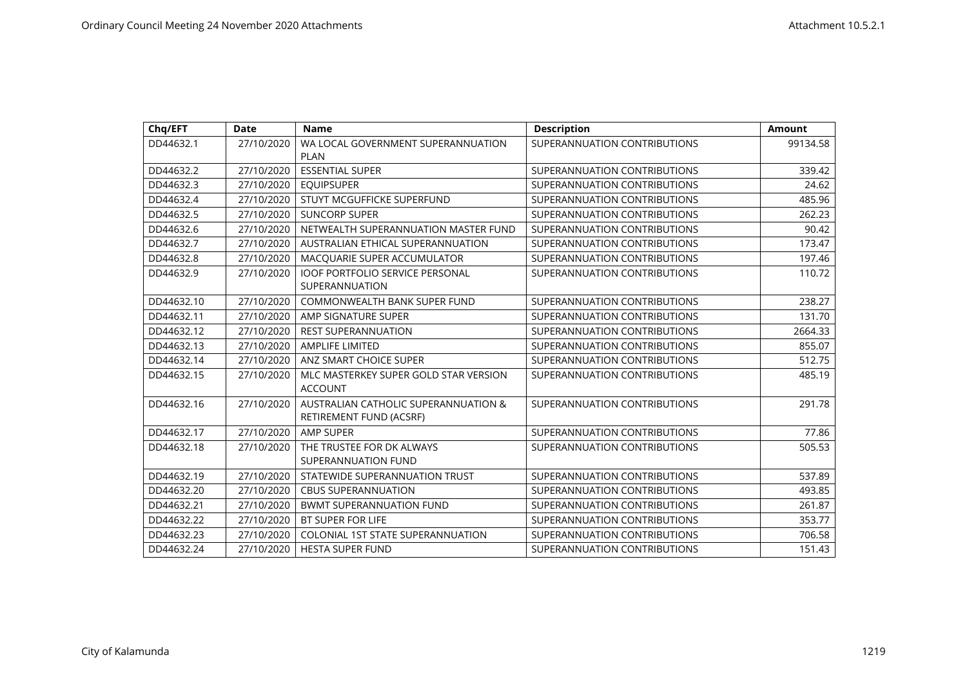| Chq/EFT    | Date       | <b>Name</b>                                                     | <b>Description</b>           | <b>Amount</b> |
|------------|------------|-----------------------------------------------------------------|------------------------------|---------------|
| DD44632.1  | 27/10/2020 | WA LOCAL GOVERNMENT SUPERANNUATION<br><b>PLAN</b>               | SUPERANNUATION CONTRIBUTIONS | 99134.58      |
| DD44632.2  | 27/10/2020 | <b>ESSENTIAL SUPER</b>                                          | SUPERANNUATION CONTRIBUTIONS | 339.42        |
| DD44632.3  | 27/10/2020 | <b>EQUIPSUPER</b>                                               | SUPERANNUATION CONTRIBUTIONS | 24.62         |
| DD44632.4  | 27/10/2020 | STUYT MCGUFFICKE SUPERFUND                                      | SUPERANNUATION CONTRIBUTIONS | 485.96        |
| DD44632.5  | 27/10/2020 | <b>SUNCORP SUPER</b>                                            | SUPERANNUATION CONTRIBUTIONS | 262.23        |
| DD44632.6  | 27/10/2020 | NETWEALTH SUPERANNUATION MASTER FUND                            | SUPERANNUATION CONTRIBUTIONS | 90.42         |
| DD44632.7  | 27/10/2020 | AUSTRALIAN ETHICAL SUPERANNUATION                               | SUPERANNUATION CONTRIBUTIONS | 173.47        |
| DD44632.8  | 27/10/2020 | MACQUARIE SUPER ACCUMULATOR                                     | SUPERANNUATION CONTRIBUTIONS | 197.46        |
| DD44632.9  | 27/10/2020 | <b>IOOF PORTFOLIO SERVICE PERSONAL</b><br>SUPERANNUATION        | SUPERANNUATION CONTRIBUTIONS | 110.72        |
| DD44632.10 | 27/10/2020 | COMMONWEALTH BANK SUPER FUND                                    | SUPERANNUATION CONTRIBUTIONS | 238.27        |
| DD44632.11 | 27/10/2020 | AMP SIGNATURE SUPER                                             | SUPERANNUATION CONTRIBUTIONS | 131.70        |
| DD44632.12 | 27/10/2020 | <b>REST SUPERANNUATION</b>                                      | SUPERANNUATION CONTRIBUTIONS | 2664.33       |
| DD44632.13 | 27/10/2020 | <b>AMPLIFE LIMITED</b>                                          | SUPERANNUATION CONTRIBUTIONS | 855.07        |
| DD44632.14 | 27/10/2020 | ANZ SMART CHOICE SUPER                                          | SUPERANNUATION CONTRIBUTIONS | 512.75        |
| DD44632.15 | 27/10/2020 | MLC MASTERKEY SUPER GOLD STAR VERSION<br><b>ACCOUNT</b>         | SUPERANNUATION CONTRIBUTIONS | 485.19        |
| DD44632.16 | 27/10/2020 | AUSTRALIAN CATHOLIC SUPERANNUATION &<br>RETIREMENT FUND (ACSRF) | SUPERANNUATION CONTRIBUTIONS | 291.78        |
| DD44632.17 | 27/10/2020 | <b>AMP SUPER</b>                                                | SUPERANNUATION CONTRIBUTIONS | 77.86         |
| DD44632.18 | 27/10/2020 | THE TRUSTEE FOR DK ALWAYS<br><b>SUPERANNUATION FUND</b>         | SUPERANNUATION CONTRIBUTIONS | 505.53        |
| DD44632.19 | 27/10/2020 | STATEWIDE SUPERANNUATION TRUST                                  | SUPERANNUATION CONTRIBUTIONS | 537.89        |
| DD44632.20 | 27/10/2020 | <b>CBUS SUPERANNUATION</b>                                      | SUPERANNUATION CONTRIBUTIONS | 493.85        |
| DD44632.21 | 27/10/2020 | <b>BWMT SUPERANNUATION FUND</b>                                 | SUPERANNUATION CONTRIBUTIONS | 261.87        |
| DD44632.22 | 27/10/2020 | <b>BT SUPER FOR LIFE</b>                                        | SUPERANNUATION CONTRIBUTIONS | 353.77        |
| DD44632.23 | 27/10/2020 | <b>COLONIAL 1ST STATE SUPERANNUATION</b>                        | SUPERANNUATION CONTRIBUTIONS | 706.58        |
| DD44632.24 | 27/10/2020 | <b>HESTA SUPER FUND</b>                                         | SUPERANNUATION CONTRIBUTIONS | 151.43        |